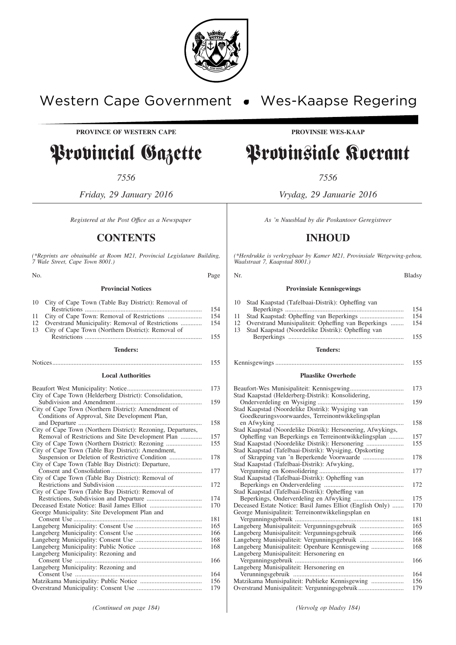

# Western Cape Government . Wes-Kaapse Regering

**PROVINCE OF WESTERN CAPE PROVINSIE WES-KAAP**

# Provincial Gazette Provinsiale Koerant

*7556 7556*

*Friday, 29 January 2016 Vrydag, 29 Januarie 2016*

# **CONTENTS INHOUD**

*(\*Reprints are obtainable at Room M21, Provincial Legislature Building, 7 Wale Street, Cape Town 8001.)*

No. Bladsy Rage Nr. 2006 and the Bladsy Region of the Bladsy Region of the Bladsy **Provincial Notices**

|    | 10 City of Cape Town (Table Bay District): Removal of |     |
|----|-------------------------------------------------------|-----|
|    |                                                       | 154 |
|    |                                                       | 154 |
| 12 | Overstrand Municipality: Removal of Restrictions      | 154 |
|    | City of Cape Town (Northern District): Removal of     |     |
|    |                                                       | 155 |
|    | Tenders:                                              |     |

# Notices............................................................................................ 155 **Local Authorities**

|                                                              | 173 |
|--------------------------------------------------------------|-----|
| City of Cape Town (Helderberg District): Consolidation,      |     |
|                                                              | 159 |
| City of Cape Town (Northern District): Amendment of          |     |
| Conditions of Approval, Site Development Plan,               | 158 |
| City of Cape Town (Northern District): Rezoning, Departures, |     |
| Removal of Restrictions and Site Development Plan            | 157 |
|                                                              | 155 |
| City of Cape Town (Table Bay District): Amendment,           |     |
|                                                              | 178 |
|                                                              |     |
| City of Cape Town (Table Bay District): Departure,           | 177 |
|                                                              |     |
| City of Cape Town (Table Bay District): Removal of           | 172 |
|                                                              |     |
| City of Cape Town (Table Bay District): Removal of           | 174 |
|                                                              | 170 |
|                                                              |     |
| George Municipality: Site Development Plan and               |     |
|                                                              | 181 |
|                                                              | 165 |
|                                                              | 166 |
|                                                              | 168 |
|                                                              | 168 |
| Langeberg Municipality: Rezoning and                         |     |
|                                                              | 166 |
| Langeberg Municipality: Rezoning and                         |     |
|                                                              | 164 |
|                                                              | 156 |
|                                                              | 179 |
|                                                              |     |

*Registered at the Post Office as a Newspaper* As 'n Nuusblad by die Poskantoor Geregistreer

*(\*Herdrukke is verkrygbaar by Kamer M21, Provinsiale Wetgewing-gebou, Waalstraat 7, Kaapstad 8001.)*

#### **Provinsiale Kennisgewings**

|    | 10 Stad Kaapstad (Tafelbaai-Distrik): Opheffing van |     |
|----|-----------------------------------------------------|-----|
|    |                                                     | 154 |
|    |                                                     | 154 |
| 12 | Overstrand Munisipaliteit: Opheffing van Beperkings | 154 |
| 13 | Stad Kaapstad (Noordelike Distrik): Opheffing van   |     |
|    |                                                     | 155 |

**Tenders:**

# Kennisgewings ............................................................................... 155

#### **Plaaslike Owerhede**

|                                                             | 173 |
|-------------------------------------------------------------|-----|
| Stad Kaapstad (Helderberg-Distrik): Konsolidering,          |     |
|                                                             | 159 |
| Stad Kaapstad (Noordelike Distrik): Wysiging van            |     |
| Goedkeuringsvoorwaardes, Terreinontwikkelingsplan           |     |
|                                                             | 158 |
| Stad Kaapstad (Noordelike Distrik): Hersonering, Afwykings, |     |
| Opheffing van Beperkings en Terreinontwikkelingsplan        | 157 |
| Stad Kaapstad (Noordelike Distrik): Hersonering             | 155 |
| Stad Kaapstad (Tafelbaai-Distrik): Wysiging, Opskorting     |     |
|                                                             | 178 |
| Stad Kaapstad (Tafelbaai-Distrik): Afwyking,                |     |
|                                                             | 177 |
| Stad Kaapstad (Tafelbaai-Distrik): Opheffing van            |     |
|                                                             | 172 |
| Stad Kaapstad (Tafelbaai-Distrik): Opheffing van            |     |
|                                                             | 175 |
| Deceased Estate Notice: Basil James Elliot (English Only)   | 170 |
| George Munisipaliteit: Terreinontwikkelingsplan en          |     |
|                                                             | 181 |
|                                                             | 165 |
| Langeberg Munisipaliteit: Vergunningsgebruik                | 166 |
|                                                             | 168 |
| Langeberg Munisipaliteit: Openbare Kennisgewing             | 168 |
| Langeberg Munisipaliteit: Hersonering en                    |     |
|                                                             | 166 |
| Langeberg Munisipaliteit: Hersonering en                    |     |
|                                                             | 164 |
| Matzikama Munisipaliteit: Publieke Kennisgewing             | 156 |
| Overstrand Munisipaliteit: Vergunningsgebruik               | 179 |

*(Continued on page 184) (Vervolg op bladsy 184)*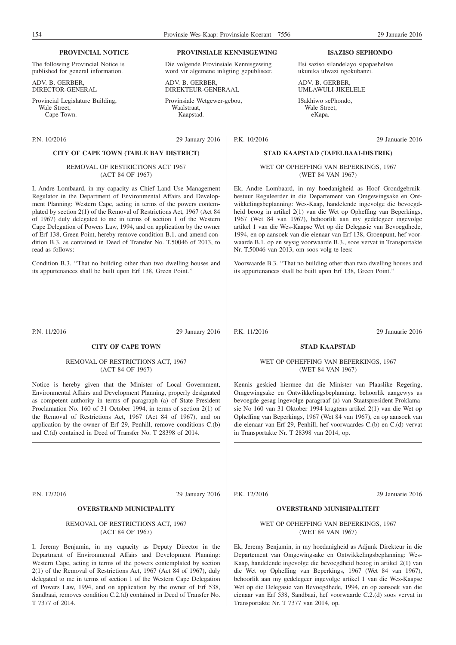# **PROVINCIAL NOTICE**

The following Provincial Notice is published for general information.

ADV. B. GERBER, DIRECTOR-GENERAL

Provincial Legislature Building, Wale Street. Cape Town.

#### **PROVINSIALE KENNISGEWING**

Die volgende Provinsiale Kennisgewing word vir algemene inligting gepubliseer.

ADV. B. GERBER, DIREKTEUR-GENERAAL

Provinsiale Wetgewer-gebou, Waalstraat, Kaapstad.

P.N. 10/2016 29 January 2016

#### **CITY OF CAPE TOWN (TABLE BAY DISTRICT)**

#### REMOVAL OF RESTRICTIONS ACT 1967 (ACT 84 OF 1967)

I, Andre Lombaard, in my capacity as Chief Land Use Management Regulator in the Department of Environmental Affairs and Development Planning: Western Cape, acting in terms of the powers contemplated by section 2(1) of the Removal of Restrictions Act, 1967 (Act 84 of 1967) duly delegated to me in terms of section 1 of the Western Cape Delegation of Powers Law, 1994, and on application by the owner of Erf 138, Green Point, hereby remove condition B.1. and amend condition B.3. as contained in Deed of Transfer No. T.50046 of 2013, to read as follows:

Condition B.3. ''That no building other than two dwelling houses and its appurtenances shall be built upon Erf 138, Green Point.''

P.N. 11/2016 29 January 2016

# **CITY OF CAPE TOWN**

REMOVAL OF RESTRICTIONS ACT, 1967 (ACT 84 OF 1967)

Notice is hereby given that the Minister of Local Government, Environmental Affairs and Development Planning, properly designated as competent authority in terms of paragraph (a) of State President Proclamation No. 160 of 31 October 1994, in terms of section 2(1) of the Removal of Restrictions Act, 1967 (Act 84 of 1967), and on application by the owner of Erf 29, Penhill, remove conditions C.(b) and C.(d) contained in Deed of Transfer No. T 28398 of 2014.

P.N. 12/2016 29 January 2016

# **OVERSTRAND MUNICIPALITY**

REMOVAL OF RESTRICTIONS ACT, 1967 (ACT 84 OF 1967)

I, Jeremy Benjamin, in my capacity as Deputy Director in the Department of Environmental Affairs and Development Planning: Western Cape, acting in terms of the powers contemplated by section 2(1) of the Removal of Restrictions Act, 1967 (Act 84 of 1967), duly delegated to me in terms of section 1 of the Western Cape Delegation of Powers Law, 1994, and on application by the owner of Erf 538, Sandbaai, removes condition C.2.(d) contained in Deed of Transfer No. T 7377 of 2014.

#### **ISAZISO SEPHONDO**

Esi saziso silandelayo sipapashelwe ukunika ulwazi ngokubanzi.

ADV. B. GERBER UMLAWULI-JIKELELE

ISakhiwo sePhondo, Wale Street, eKapa.

P.K. 10/2016 29 Januarie 2016

#### **STAD KAAPSTAD (TAFELBAAI-DISTRIK)**

WET OP OPHEFFING VAN BEPERKINGS, 1967 (WET 84 VAN 1967)

Ek, Andre Lombaard, in my hoedanigheid as Hoof Grondgebruikbestuur Reguleerder in die Departement van Omgewingsake en Ontwikkelingsbeplanning: Wes-Kaap, handelende ingevolge die bevoegdheid beoog in artikel 2(1) van die Wet op Opheffing van Beperkings, 1967 (Wet 84 van 1967), behoorlik aan my gedelegeer ingevolge artikel 1 van die Wes-Kaapse Wet op die Delegasie van Bevoegdhede, 1994, en op aansoek van die eienaar van Erf 138, Groenpunt, hef voorwaarde B.1. op en wysig voorwaarde B.3., soos vervat in Transportakte Nr. T.50046 van 2013, om soos volg te lees:

Voorwaarde B.3. ''That no building other than two dwelling houses and its appurtenances shall be built upon Erf 138, Green Point.''

P.K. 11/2016 29 Januarie 2016

# **STAD KAAPSTAD**

#### WET OP OPHEFFING VAN BEPERKINGS, 1967 (WET 84 VAN 1967)

Kennis geskied hiermee dat die Minister van Plaaslike Regering, Omgewingsake en Ontwikkelingsbeplanning, behoorlik aangewys as bevoegde gesag ingevolge paragraaf (a) van Staatspresident Proklamasie No 160 van 31 Oktober 1994 kragtens artikel 2(1) van die Wet op Opheffing van Beperkings, 1967 (Wet 84 van 1967), en op aansoek van die eienaar van Erf 29, Penhill, hef voorwaardes C.(b) en C.(d) vervat in Transportakte Nr. T 28398 van 2014, op.

P.K. 12/2016 29 Januarie 2016

# **OVERSTRAND MUNISIPALITEIT**

## WET OP OPHEFFING VAN BEPERKINGS, 1967 (WET 84 VAN 1967)

Ek, Jeremy Benjamin, in my hoedanigheid as Adjunk Direkteur in die Departement van Omgewingsake en Ontwikkelingsbeplanning: Wes-Kaap, handelende ingevolge die bevoegdheid beoog in artikel 2(1) van die Wet op Opheffing van Beperkings, 1967 (Wet 84 van 1967), behoorlik aan my gedelegeer ingevolge artikel 1 van die Wes-Kaapse Wet op die Delegasie van Bevoegdhede, 1994, en op aansoek van die eienaar van Erf 538, Sandbaai, hef voorwaarde C.2.(d) soos vervat in Transportakte Nr. T 7377 van 2014, op.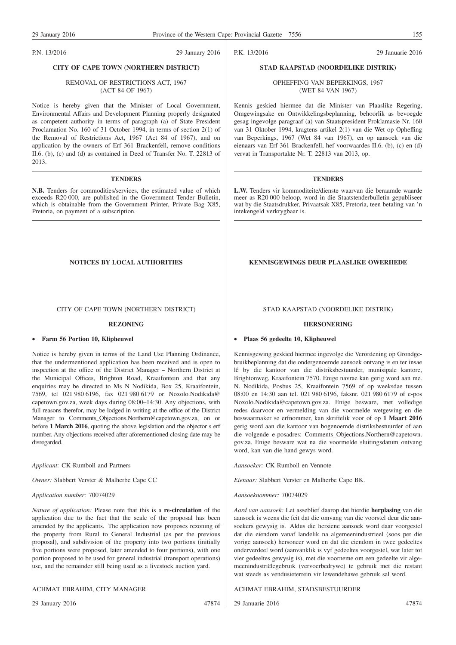P.N. 13/2016 29 January 2016

# **CITY OF CAPE TOWN (NORTHERN DISTRICT)**

#### REMOVAL OF RESTRICTIONS ACT, 1967 (ACT 84 OF 1967)

Notice is hereby given that the Minister of Local Government, Environmental Affairs and Development Planning properly designated as competent authority in terms of paragraph (a) of State President Proclamation No. 160 of 31 October 1994, in terms of section 2(1) of the Removal of Restrictions Act, 1967 (Act 84 of 1967), and on application by the owners of Erf 361 Brackenfell, remove conditions II.6. (b), (c) and (d) as contained in Deed of Transfer No. T. 22813 of 2013.

#### **TENDERS**

**N.B.** Tenders for commodities/services, the estimated value of which exceeds R20 000, are published in the Government Tender Bulletin, which is obtainable from the Government Printer, Private Bag X85, Pretoria, on payment of a subscription.

### CITY OF CAPE TOWN (NORTHERN DISTRICT)

### **REZONING**

#### • **Farm 56 Portion 10, Klipheuwel**

Notice is hereby given in terms of the Land Use Planning Ordinance, that the undermentioned application has been received and is open to inspection at the office of the District Manager – Northern District at the Municipal Offices, Brighton Road, Kraaifontein and that any enquiries may be directed to Ms N Nodikida, Box 25, Kraaifontein, 7569, tel 021 980 6196, fax 021 980 6179 or Noxolo.Nodikida@ capetown.gov.za, week days during 08:00–14:30. Any objections, with full reasons therefor, may be lodged in writing at the office of the District Manager to Comments\_Objections.Northern@capetown.gov.za, on or before **1 March 2016**, quoting the above legislation and the objector s erf number. Any objections received after aforementioned closing date may be disregarded.

*Applicant:* CK Rumboll and Partners

*Owner:* Slabbert Verster & Malherbe Cape CC

# *Application number:* 70074029

*Nature of application:* Please note that this is a **re-circulation** of the application due to the fact that the scale of the proposal has been amended by the applicants. The application now proposes rezoning of the property from Rural to General Industrial (as per the previous proposal), and subdivision of the property into two portions (initially five portions were proposed, later amended to four portions), with one portion proposed to be used for general industrial (transport operations) use, and the remainder still being used as a livestock auction yard.

#### ACHMAT EBRAHIM, CITY MANAGER

29 January 2016 47874

P.K. 13/2016 29 Januarie 2016

# **STAD KAAPSTAD (NOORDELIKE DISTRIK)**

OPHEFFING VAN BEPERKINGS, 1967 (WET 84 VAN 1967)

Kennis geskied hiermee dat die Minister van Plaaslike Regering, Omgewingsake en Ontwikkelingsbeplanning, behoorlik as bevoegde gesag ingevolge paragraaf (a) van Staatspresident Proklamasie Nr. 160 van 31 Oktober 1994, kragtens artikel 2(1) van die Wet op Opheffing van Beperkings, 1967 (Wet 84 van 1967), en op aansoek van die eienaars van Erf 361 Brackenfell, hef voorwaardes II.6. (b), (c) en (d) vervat in Transportakte Nr. T. 22813 van 2013, op.

#### **TENDERS**

**L.W.** Tenders vir kommoditeite/dienste waarvan die beraamde waarde meer as R20 000 beloop, word in die Staatstenderbulletin gepubliseer wat by die Staatsdrukker, Privaatsak X85, Pretoria, teen betaling van 'n intekengeld verkrygbaar is.

### **NOTICES BY LOCAL AUTHORITIES KENNISGEWINGS DEUR PLAASLIKE OWERHEDE**

### STAD KAAPSTAD (NOORDELIKE DISTRIK)

#### **HERSONERING**

#### • **Plaas 56 gedeelte 10, Klipheuwel**

Kennisgewing geskied hiermee ingevolge die Verordening op Grondgebruikbeplanning dat die ondergenoemde aansoek ontvang is en ter insae lê by die kantoor van die distriksbestuurder, munisipale kantore, Brightonweg, Kraaifontein 7570. Enige navrae kan gerig word aan me. N. Nodikida, Posbus 25, Kraaifontein 7569 of op weeksdae tussen 08:00 en 14:30 aan tel. 021 980 6196, faksnr. 021 980 6179 of e-pos Noxolo.Nodikida@capetown.gov.za. Enige besware, met volledige redes daarvoor en vermelding van die voormelde wetgewing en die beswaarmaker se erfnommer, kan skriftelik voor of op **1 Maart 2016** gerig word aan die kantoor van bogenoemde distriksbestuurder of aan die volgende e-posadres: Comments\_Objections.Northern@capetown. gov.za. Enige besware wat na die voormelde sluitingsdatum ontvang word, kan van die hand gewys word.

*Aansoeker:* CK Rumboll en Vennote

*Eienaar:* Slabbert Verster en Malherbe Cape BK.

*Aansoeknommer:* 70074029

*Aard van aansoek:* Let asseblief daarop dat hierdie **herplasing** van die aansoek is weens die feit dat die omvang van die voorstel deur die aansoekers gewysig is. Aldus die hersiene aansoek word daar voorgestel dat die eiendom vanaf landelik na algemeenindustrieel (soos per die vorige aansoek) hersoneer word en dat die eiendom in twee gedeeltes onderverdeel word (aanvanklik is vyf gedeeltes voorgestel, wat later tot vier gedeeltes gewysig is), met die voorneme om een gedeelte vir algemeenindustriëlegebruik (vervoerbedrywe) te gebruik met die restant wat steeds as vendusieterrein vir lewendehawe gebruik sal word.

ACHMAT EBRAHIM, STADSBESTUURDER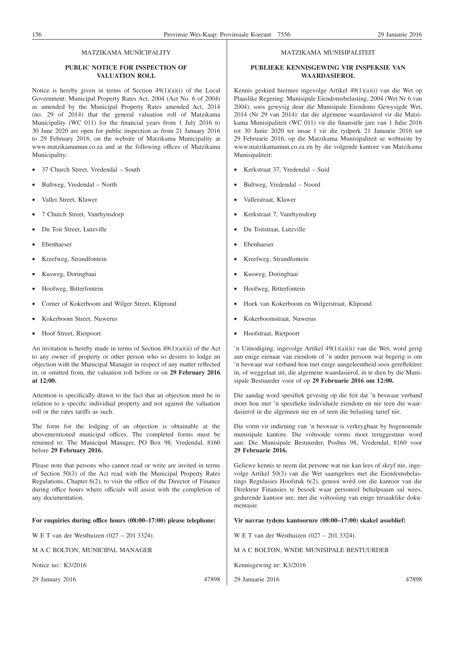#### MATZIKAMA MUNICIPALITY

# **PUBLIC NOTICE FOR INSPECTION OF VALUATION ROLL**

Notice is hereby given in terms of Section 49(1)(a)(i) of the Local Government: Municipal Property Rates Act, 2004 (Act No. 6 of 2004) as amended by the Municipal Property Rates amended Act, 2014 (no. 29 of 2014) that the general valuation roll of Matzikama Municipality (WC 011) for the financial years from 1 July 2016 to 30 June 2020 are open for public inspection as from 21 January 2016 to 29 February 2016, on the website of Matzikama Municipality at www.matzikamamun.co.za and at the following offices of Matzikama Municipality:

- 37 Church Street, Vredendal South
- Bultweg, Vredendal North
- Vallei Street, Klawer
- 7 Church Street, Vanrhynsdorp
- Du Toit Street, Lutzville
- Ebenhaeser
- Kreefweg, Strandfontein
- Kusweg, Doringbaai
- Hoofweg, Bitterfontein
- Corner of Kokerboom and Wilger Street, Kliprand
- Kokerboom Street, Nuwerus
- Hoof Street, Rietpoort

An invitation is hereby made in terms of Section  $49(1)(a)(ii)$  of the Act to any owner of property or other person who so desires to lodge an objection with the Municipal Manager in respect of any matter reflected in, or omitted from, the valuation roll before or on **29 February 2016 at 12:00.**

Attention is specifically drawn to the fact that an objection must be in relation to a specific individual property and not against the valuation roll or the rates tariffs as such.

The form for the lodging of an objection is obtainable at the abovementioned municipal offices. The completed forms must be returned to: The Municipal Manager, PO Box 98, Vredendal, 8160 before **29 February 2016.**

Please note that persons who cannot read or write are invited in terms of Section 50(3) of the Act read with the Municipal Property Rates Regulations, Chapter 6(2), to visit the office of the Director of Finance during office hours where officials will assist with the completion of any documentation.

#### **For enquiries during office hours (08:00–17:00) please telephone:**

W E T van der Westhuizen (027 – 201 3324).

M A C BOLTON, MUNICIPAL MANAGER

Notice no.: K3/2016

29 January 2016 47898

#### MATZIKAMA MUNISIPALITEIT

### **PUBLIEKE KENNISGEWING VIR INSPEKSIE VAN WAARDASIEROL**

Kennis geskied hiermee ingevolge Artikel 49(1)(a)(i) van die Wet op Plaaslike Regering: Munisipale Eiendomsbelasting, 2004 (Wet Nr 6 van 2004), soos gewysig deur die Munisipale Eiendoms Gewysigde Wet, 2014 (Nr 29 van 2014): dat die algemene waardasierol vir die Matzikama Munisipaliteit (WC 011) vir die finansiële jare van 1 Julie 2016 tot 30 Junie 2020 ter insae l vir die tydperk 21 Januarie 2016 tot 29 Februarie 2016, op die Matzikama Munisipaliteit se webtuiste by www.matzikamamun.co.za en by die volgende kantore van Matzikama Munisipaliteit:

- Kerkstraat 37, Vredendal Suid
- Bultweg, Vredendal Noord
- Valleistraat, Klawer
- Kerkstraat 7, Vanrhynsdorp
- Du Toitstraat, Lutzville
- Ebenhaeser
- Kreefweg, Strandfontein
- Kusweg, Doringbaai
- Hoofweg, Bitterfontein
- Hoek van Kokerboom en Wilgerstraat, Kliprand
- Kokerboomstraat, Nuwerus
- Hoofstraat, Rietpoort

'n Uitnodiging, ingevolge Artikel 49(1)(a)(ii) van die Wet, word gerig aan enige eienaar van eiendom of 'n ander persoon wat begerig is om 'n beswaar wat verband hou met enige aangeleentheid soos gereflekteer in, of weggelaat uit, die algemene waardasierol, in te dien by die Munisipale Bestuurder voor of op **29 Februarie 2016 om 12:00.**

Die aandag word spesifiek gevestig op die feit dat 'n beswaar verband moet hou met 'n spesifieke individuele eiendom en nie teen die waardasierol in die algemeen nie en of teen die belasting tarief nie.

Die vorm vir indiening van 'n beswaar is verkrygbaar by bogenoemde munisipale kantore. Die voltooide vorms moet teruggestuur word aan: Die Munisipale Bestuurder, Posbus 98, Vredendal, 8160 voor **29 Februarie 2016.**

Geliewe kennis te neem dat persone wat nie kan lees of skryf nie, ingevolge Artikel 50(3) van die Wet saamgelees met die Eiendomsbelastings Regulasies Hoofstuk 6(2), genooi word om die kantoor van die Direkteur Finansies te besoek waar personeel behulpsaam sal wees, gedurende kantoor ure, met die voltooiing van enige tersaaklike dokumentasie.

**Vir navrae tydens kantoorure (08:00–17:00) skakel asseblief:**

W E T van der Westhuizen (027 – 201 3324).

M A C BOLTON, WNDE MUNISIPALE BESTUURDER

Kennisgewing nr: K3/2016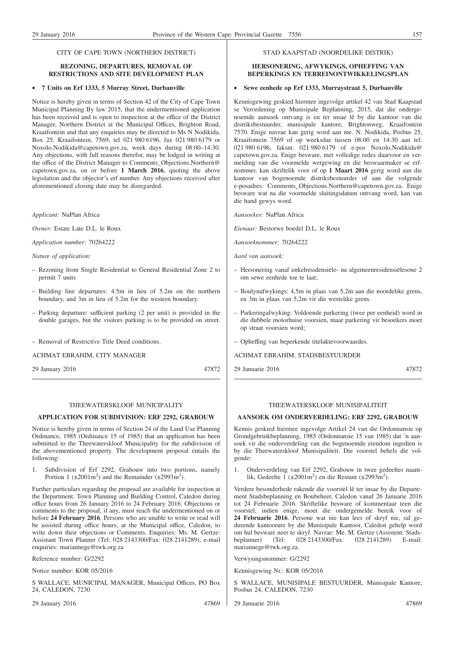#### CITY OF CAPE TOWN (NORTHERN DISTRICT)

### **REZONING, DEPARTURES, REMOVAL OF RESTRICTIONS AND SITE DEVELOPMENT PLAN**

#### • **7 Units on Erf 1333, 5 Murray Street, Durbanville**

Notice is hereby given in terms of Section 42 of the City of Cape Town Municipal Planning By law 2015, that the undermentioned application has been received and is open to inspection at the office of the District Manager, Northern District at the Municipal Offices, Brighton Road, Kraaifontein and that any enquiries may be directed to Ms N Nodikida, Box 25, Kraaifontein, 7569, tel 021 980 6196, fax 021 980 6179 or Noxolo.Nodikida@capetown.gov.za, week days during 08:00–14:30. Any objections, with full reasons therefor, may be lodged in writing at the office of the District Manager to Comments\_Objections.Northern@ capetown.gov.za, on or before **1 March 2016**, quoting the above legislation and the objector's erf number. Any objections received after aforementioned closing date may be disregarded.

*Applicant:* NuPlan Africa

*Owner:* Estate Late D.L. le Roux

*Application number:* 70264222

*Nature of application:*

- Rezoning from Single Residential to General Residential Zone 2 to permit 7 units
- Building line departures: 4.5m in lieu of 5.2m on the northern boundary, and 3m in lieu of 5.2m for the western boundary.
- Parking departure: sufficient parking (2 per unit) is provided in the double garages, but the visitors parking is to be provided on street.
- Removal of Restrictive Title Deed conditions.

ACHMAT EBRAHIM, CITY MANAGER

29 January 2016 47872

THEEWATERSKLOOF MUNICIPALITY

#### **APPLICATION FOR SUBDIVISION: ERF 2292, GRABOUW**

Notice is hereby given in terms of Section 24 of the Land Use Planning Ordinance, 1985 (Ordinance 15 of 1985) that an application has been submitted to the Theewaterskloof Municipality for the subdivision of the abovementioned property. The development proposal entails the following:

1. Subdivision of Erf 2292, Grabouw into two portions, namely Portion 1 ( $\pm 2001 \text{m}^2$ ) and the Remainder ( $\pm 2993 \text{m}^2$ ).

Further particulars regarding the proposal are available for inspection at the Department: Town Planning and Building Control, Caledon during office hours from 26 January 2016 to 24 February 2016. Objections or comments to the proposal, if any, must reach the undermentioned on or before **24 February 2016**. Persons who are unable to write or read will be assisted during office hours, at the Municipal office, Caledon, to write down their objections or Comments. Enquiries: Ms. M. Gertze: Assistant Town Planner (Tel: 028 2143300/Fax: 028 2141289), e-mail enquiries: mariannege@twk.org.za

Reference number: G/2292

Notice number: KOR 05/2016

S WALLACE, MUNICIPAL MANAGER, Municipal Offices, PO Box 24, CALEDON, 7230

29 January 2016 47869

#### STAD KAAPSTAD (NOORDELIKE DISTRIK)

#### **HERSONERING, AFWYKINGS, OPHEFFING VAN BEPERKINGS EN TERREINONTWIKKELINGSPLAN**

#### • **Sewe eenhede op Erf 1333, Murraystraat 5, Durbanville**

Kennisgewing geskied hiermee ingevolge artikel 42 van Stad Kaapstad se Verordening op Munisipale Beplanning, 2015, dat die ondergenoemde aansoek ontvang is en ter insae lê by die kantoor van die distriksbestuurder, munisipale kantore, Brightonweg, Kraaifontein 7570. Enige navrae kan gerig word aan me. N. Nodikida, Posbus 25, Kraaifontein 7569 of op weeksdae tussen 08:00 en 14:30 aan tel. 021 980 6196, faksnr. 021 980 6179 of e-pos Noxolo.Nodikida@ capetown.gov.za. Enige besware, met volledige redes daarvoor en vermelding van die voormelde wetgewing en die beswaarmaker se erfnommer, kan skriftelik voor of op **1 Maart 2016** gerig word aan die kantoor van bogenoemde distriksbestuurder of aan die volgende e-posadres: Comments\_Objections.Northern@capetown.gov.za. Enige besware wat na die voormelde sluitingsdatum ontvang word, kan van die hand gewys word.

*Aansoeker:* NuPlan Africa

*Eienaar:* Bestorwe boedel D.L. le Roux

*Aansoeknommer:* 70264222

*Aard van aansoek:*

- Hersonering vanaf enkelresidensiële- na algemeenresidensiëlesone 2 om sewe eenhede toe te laat;
- Boulynafwykings: 4,5m in plaas van 5,2m aan die noordelike grens, en 3m in plaas van 5,2m vir die westelike grens.
- Parkeringafwyking: Voldoende parkering (twee per eenheid) word in die dubbele motorhuise voorsien, maar parkering vir besoekers moet op straat voorsien word;
- Opheffing van beperkende titelaktevoorwaardes.

ACHMAT EBRAHIM, STADSBESTUURDER

29 Januarie 2016 47872

#### THEEWATERSKLOOF MUNISIPALITEIT

#### **AANSOEK OM ONDERVERDELING: ERF 2292, GRABOUW**

Kennis geskied hiermee ingevolge Artikel 24 van die Ordonnansie op Grondgebruikbeplanning, 1985 (Ordonnansie 15 van 1985) dat 'n aansoek vir die onderverdeling van die bogenoemde eiendom ingedien is by die Theewaterskloof Munisipaliteit. Die voorstel behels die volgende:

1. Onderverdeling van Erf 2292, Grabouw in twee gedeeltes naamlik, Gedeelte  $1 (±2001m^2)$  en die Restant  $(±2993m^2)$ .

Verdere besonderhede rakende die voorstel lê ter insae by die Departement Stadsbeplanning en Boubeheer, Caledon vanaf 26 Januarie 2016 tot 24 Februarie 2016. Skriftelike besware of kommentaar teen die voorstel, indien enige, moet die ondergemelde bereik voor of **24 Februarie 2016**. Persone wat nie kan lees of skryf nie, sal gedurende kantoorure by die Munisipale Kantoor, Caledon gehelp word om hul besware neer te skryf. Navrae: Me. M. Gertze (Assistent: Stads-<br>beplanner) (Tel: 028 2143300/Fax: 028 2141289) E-mail: (Tel: 028 2143300/Fax: 028 2141289) mariannege@twk.org.za.

Verwysingsnommer: G/2292

Kennisgewing Nr.: KOR 05/2016

S WALLACE, MUNISIPALE BESTUURDER, Munisipale Kantore, Posbus 24, CALEDON, 7230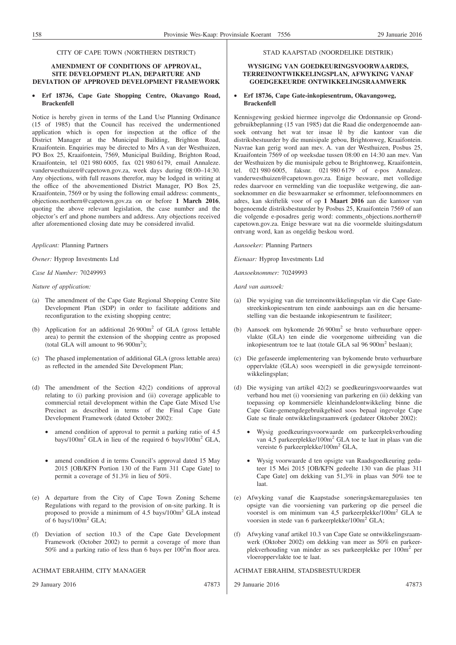#### CITY OF CAPE TOWN (NORTHERN DISTRICT)

#### **AMENDMENT OF CONDITIONS OF APPROVAL, SITE DEVELOPMENT PLAN, DEPARTURE AND DEVIATION OF APPROVED DEVELOPMENT FRAMEWORK**

#### • **Erf 18736, Cape Gate Shopping Centre, Okavango Road, Brackenfell**

Notice is hereby given in terms of the Land Use Planning Ordinance (15 of 1985) that the Council has received the undermentioned application which is open for inspection at the office of the District Manager at the Municipal Building, Brighton Road, Kraaifontein. Enquiries may be directed to Mrs A van der Westhuizen, PO Box 25, Kraaifontein, 7569, Municipal Building, Brighton Road, Kraaifontein, tel 021 980 6005, fax 021 980 6179, email Annaleze. vanderwesthuizen@capetown.gov.za, week days during 08:00–14:30. Any objections, with full reasons therefor, may be lodged in writing at the office of the abovementioned District Manager, PO Box 25, Kraaifontein, 7569 or by using the following email address: comments\_ objections.northern@capetown.gov.za on or before **1 March 2016**, quoting the above relevant legislation, the case number and the objector's erf and phone numbers and address. Any objections received after aforementioned closing date may be considered invalid.

*Applicant:* Planning Partners

*Owner:* Hyprop Investments Ltd

*Case Id Number:* 70249993

*Nature of application:*

- (a) The amendment of the Cape Gate Regional Shopping Centre Site Development Plan (SDP) in order to facilitate additions and reconfiguration to the existing shopping centre;
- (b) Application for an additional  $26\,900\,\text{m}^2$  of GLA (gross lettable area) to permit the extension of the shopping centre as proposed (total GLA will amount to  $96\,900\text{m}^2$ );
- (c) The phased implementation of additional GLA (gross lettable area) as reflected in the amended Site Development Plan;
- (d) The amendment of the Section 42(2) conditions of approval relating to (i) parking provision and (ii) coverage applicable to commercial retail development within the Cape Gate Mixed Use Precinct as described in terms of the Final Cape Gate Development Framework (dated October 2002):
	- amend condition of approval to permit a parking ratio of 4.5 bays/100m2 GLA in lieu of the required 6 bays/100m2 GLA,
	- amend condition d in terms Council's approval dated 15 May 2015 [OB/KFN Portion 130 of the Farm 311 Cape Gate] to permit a coverage of 51.3% in lieu of 50%.
- (e) A departure from the City of Cape Town Zoning Scheme Regulations with regard to the provision of on-site parking. It is proposed to provide a minimum of 4.5 bays/100m2 GLA instead of 6 bays/ $100m^2$  GLA;
- (f) Deviation of section 10.3 of the Cape Gate Development Framework (October 2002) to permit a coverage of more than 50% and a parking ratio of less than 6 bays per 100<sup>2</sup>m floor area.

#### ACHMAT EBRAHIM, CITY MANAGER

29 January 2016 47873

STAD KAAPSTAD (NOORDELIKE DISTRIK)

#### **WYSIGING VAN GOEDKEURINGSVOORWAARDES, TERREINONTWIKKELINGSPLAN, AFWYKING VANAF GOEDGEKEURDE ONTWIKKELINGSRAAMWERK**

#### • **Erf 18736, Cape Gate-inkopiesentrum, Okavangoweg, Brackenfell**

Kennisgewing geskied hiermee ingevolge die Ordonnansie op Grondgebruikbeplanning (15 van 1985) dat die Raad die ondergenoemde aansoek ontvang het wat ter insae lê by die kantoor van die distriksbestuurder by die munisipale gebou, Brightonweg, Kraaifontein. Navrae kan gerig word aan mev. A. van der Westhuizen, Posbus 25, Kraaifontein 7569 of op weeksdae tussen 08:00 en 14:30 aan mev. Van der Westhuizen by die munisipale gebou te Brightonweg, Kraaifontein, tel. 021 980 6005, faksnr. 021 980 6179 of e-pos Annaleze. vanderwesthuizen@capetown.gov.za. Enige besware, met volledige redes daarvoor en vermelding van die toepaslike wetgewing, die aansoeknommer en die beswaarmaker se erfnommer, telefoonnommers en adres, kan skriftelik voor of op **1 Maart 2016** aan die kantoor van bogenoemde distriksbestuurder by Posbus 25, Kraaifontein 7569 of aan die volgende e-posadres gerig word: comments\_objections.northern@ capetown.gov.za. Enige besware wat na die voormelde sluitingsdatum ontvang word, kan as ongeldig beskou word.

*Aansoeker:* Planning Partners

*Eienaar:* Hyprop Investments Ltd

*Aansoeknommer:* 70249993

*Aard van aansoek:*

- (a) Die wysiging van die terreinontwikkelingsplan vir die Cape Gatestreekinkopiesentrum ten einde aanbouings aan en die hersamestelling van die bestaande inkopiesentrum te fasiliteer;
- (b) Aansoek om bykomende 26 900m2 se bruto verhuurbare oppervlakte (GLA) ten einde die voorgenome uitbreiding van die inkopiesentrum toe te laat (totale GLA sal 96 900m<sup>2</sup> beslaan);
- (c) Die gefaseerde implementering van bykomende bruto verhuurbare oppervlakte (GLA) soos weerspieël in die gewysigde terreinontwikkelingsplan;
- (d) Die wysiging van artikel 42(2) se goedkeuringsvoorwaardes wat verband hou met (i) voorsiening van parkering en (ii) dekking van toepassing op kommersiële kleinhandelontwikkeling binne die Cape Gate-gemengdegebruikgebied soos bepaal ingevolge Cape Gate se finale ontwikkelingsraamwerk (gedateer Oktober 2002):
	- Wysig goedkeuringsvoorwaarde om parkeerplekverhouding van 4,5 parkeerplekke/100m<sup>2</sup> GLA toe te laat in plaas van die vereiste 6 parkeerplekke/100m<sup>2</sup> GLA,
	- Wysig voorwaarde d ten opsigte van Raadsgoedkeuring gedateer 15 Mei 2015 [OB/KFN gedeelte 130 van die plaas 311 Cape Gate] om dekking van 51,3% in plaas van 50% toe te laat.
- (e) Afwyking vanaf die Kaapstadse soneringskemaregulasies ten opsigte van die voorsiening van parkering op die perseel die voorstel is om minimum van 4,5 parkeerplekke/100m2 GLA te voorsien in stede van 6 parkeerplekke/100m2 GLA;
- (f) Afwyking vanaf artikel 10.3 van Cape Gate se ontwikkelingsraamwerk (Oktober 2002) om dekking van meer as 50% en parkeerplekverhouding van minder as ses parkeerplekke per 100m2 per vloeroppervlakte toe te laat.

#### ACHMAT EBRAHIM, STADSBESTUURDER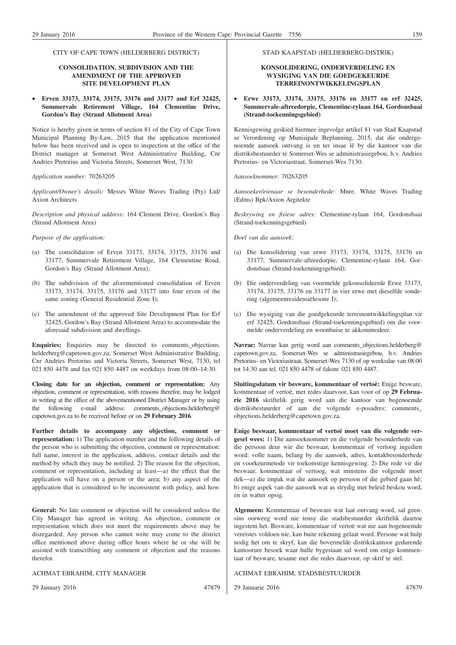#### CITY OF CAPE TOWN (HELDERBERG DISTRICT)

## **CONSOLIDATION, SUBDIVISION AND THE AMENDMENT OF THE APPROVED SITE DEVELOPMENT PLAN**

• **Erven 33173, 33174, 33175, 33176 and 33177 and Erf 32425, Summervale Retirement Village, 164 Clementine Drive, Gordon's Bay (Strand Allotment Area)**

Notice is hereby given in terms of section 81 of the City of Cape Town Municipal Planning By-Law, 2015 that the application mentioned below has been received and is open to inspection at the office of the District manager at Somerset West Administrative Building, Cnr Andries Pretorius and Victoria Streets, Somerset West, 7130

#### *Application number:* 70263205

*Applicant/Owner's details:* Messrs White Waves Trading (Pty) Ltd/ Axion Architects

*Description and physical address:* 164 Clement Drive, Gordon's Bay (Strand Allotment Area)

#### *Purpose of the application:*

- (a) The consolidation of Erven 33173, 33174, 33175, 33176 and 33177, Summervale Retirement Village, 164 Clementine Road, Gordon's Bay (Strand Allotment Area);
- (b) The subdivision of the aforementioned consolidation of Erven 33173, 33174, 33175, 33176 and 33177 into four erven of the same zoning (General Residential Zone I);
- (c) The amendment of the approved Site Development Plan for Erf 32425, Gordon's Bay (Strand Allotment Area) to accommodate the aforesaid subdivision and dwellings.

**Enquiries:** Enquiries may be directed to comments\_objections. helderberg@capetown.gov.za, Somerset West Administrative Building, Cnr Andries Pretorius and Victoria Streets, Somerset West, 7130, tel 021 850 4478 and fax 021 850 4487 on weekdays from 08:00–14:30.

**Closing date for an objection, comment or representation:** Any objection, comment or representation, with reasons therefor, may be lodged in writing at the office of the abovementioned District Manager or by using the following e-mail address: comments\_objections.helderberg@ capetown.gov.za to be received before or on **29 February 2016**.

**Further details to accompany any objection, comment or representation:** 1) The application number and the following details of the person who is submitting the objection, comment or representation: full name, interest in the application, address, contact details and the method by which they may be notified. 2) The reason for the objection, comment or representation, including at least—a) the effect that the application will have on a person or the area; b) any aspect of the application that is considered to be inconsistent with policy, and how.

**General:** No late comment or objection will be considered unless the City Manager has agreed in writing. An objection, comment or representation which does not meet the requirements above may be disregarded. Any person who cannot write may come to the district office mentioned above during office hours where he or she will be assisted with transcribing any comment or objection and the reasons therefor.

#### ACHMAT EBRAHIM, CITY MANAGER

29 January 2016 47879

#### ACHMAT EBRAHIM, STADSBESTUURDER

29 Januarie 2016 47879

STAD KAAPSTAD (HELDERBERG-DISTRIK)

#### **KONSOLIDERING, ONDERVERDELING EN WYSIGING VAN DIE GOEDGEKEURDE TERREINONTWIKKELINGSPLAN**

• **Erwe 33173, 33174, 33175, 33176 en 33177 en erf 32425, Summervale-aftreedorpie, Clementine-rylaan 164, Gordonsbaai (Strand-toekenningsgebied)**

Kennisgewing geskied hiermee ingevolge artikel 81 van Stad Kaapstad se Verordening op Munisipale Beplanning, 2015, dat die ondergenoemde aansoek ontvang is en ter insae lê by die kantoor van die distriksbestuurder te Somerset-Wes se administrasiegebou, h.v. Andries Pretorius- en Victoriastraat, Somerset-Wes 7130.

#### *Aansoeknommer:* 70263205

*Aansoeker/eienaar se besonderhede:* Mnre. White Waves Trading (Edms) Bpk/Axion Argitekte

*Beskrywing en fisiese adres:* Clementine-rylaan 164, Gordonsbaai (Strand-toekenningsgebied)

*Doel van die aansoek:*

- (a) Die konsolidering van erwe 33173, 33174, 33175, 33176 en 33177, Summervale-aftreedorpie, Clementine-rylaan 164, Gordonsbaai (Strand-toekenningsgebied);
- (b) Die onderverdeling van voormelde gekonsolideerde Erwe 33173, 33174, 33175, 33176 en 33177 in vier erwe met dieselfde sondering (algemeenresidensiëlesone I);
- (c) Die wysiging van die goedgekeurde terreinontwikkelingsplan vir erf 32425, Gordonsbaai (Strand-toekenningsgebied) om die voormelde onderverdeling en woonhuise te akkommodeer.

**Navrae:** Navrae kan gerig word aan comments\_objections.helderberg@ capetown.gov.za, Somerset-Wes se administrasiegebou, h.v. Andries Pretorius- en Victoriastraat, Somerset-Wes 7130 of op weeksdae van 08:00 tot 14:30 aan tel. 021 850 4478 of faksnr. 021 850 4487.

**Sluitingsdatum vir besware, kommentaar of vertoë:** Enige besware, kommentaar of vertoë, met redes daarvoor, kan voor of op **29 Februarie 2016** skriftelik gerig word aan die kantoor van bogenoemde distriksbestuurder of aan die volgende e-posadres: comments\_ objections.helderberg@capetown.gov.za.

**Enige beswaar, kommentaar of vertoë moet van die volgende vergesel wees:** 1) Die aansoeknommer en die volgende besonderhede van die persoon deur wie die beswaar, kommentaar of vertoog ingedien word: volle naam, belang by die aansoek, adres, kontakbesonderhede en voorkeurmetode vir toekomstige kennisgewing. 2) Die rede vir die beswaar, kommentaar of vertoog, wat minstens die volgende moet dek—a) die impak wat die aansoek op persoon of die gebied gaan hê; b) enige aspek van die aansoek wat as strydig met beleid beskou word, en in watter opsig.

**Algemeen:** Kommentaar of besware wat laat ontvang word, sal geensins oorweeg word nie tensy die stadsbestuurder skriftelik daartoe ingestem het. Besware, kommentaar of vertoë wat nie aan bogenoemde vereistes voldoen nie, kan buite rekening gelaat word. Persone wat hulp nodig het om te skryf, kan die bovermelde distrikskantoor gedurende kantoorure besoek waar hulle bygestaan sal word om enige kommentaar of besware, tesame met die redes daarvoor, op skrif te stel.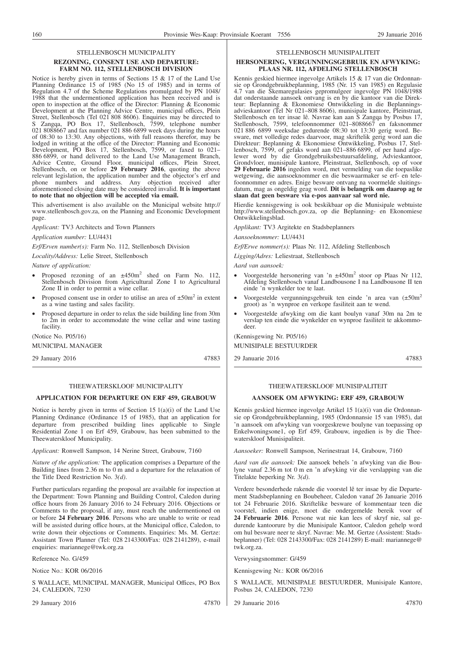#### STELLENBOSCH MUNICIPALITY **REZONING, CONSENT USE AND DEPARTURE: FARM NO. 112, STELLENBOSCH DIVISION**

Notice is hereby given in terms of Sections 15 & 17 of the Land Use Planning Ordinance 15 of 1985 (No 15 of 1985) and in terms of Regulation 4.7 of the Scheme Regulations promulgated by PN 1048/ 1988 that the undermentioned application has been received and is open to inspection at the office of the Director: Planning & Economic Development at the Planning Advice Centre, municipal offices, Plein Street, Stellenbosch (Tel 021 808 8606). Enquiries may be directed to S Zangqa, PO Box 17, Stellenbosch, 7599, telephone number 021 8088667 and fax number 021 886 6899 week days during the hours of 08:30 to 13:30. Any objections, with full reasons therefor, may be lodged in writing at the office of the Director: Planning and Economic Development, PO Box 17, Stellenbosch, 7599, or faxed to 021– 886 6899, or hand delivered to the Land Use Management Branch, Advice Centre, Ground Floor, municipal offices, Plein Street, Stellenbosch, on or before **29 February 2016**, quoting the above relevant legislation, the application number and the objector's erf and phone numbers and address. Any objection received after aforementioned closing date may be considered invalid. **It is important to note that no objection will be accepted via email.**

This advertisement is also available on the Municipal website http:// www.stellenbosch.gov.za, on the Planning and Economic Development page.

*Applicant:* TV3 Architects and Town Planners

*Application number:* LU/4431

*Erf/Erven number(s):* Farm No. 112, Stellenbosch Division

*Locality/Address:* Lelie Street, Stellenbosch

*Nature of application:*

- Proposed rezoning of an  $\pm 450$ m<sup>2</sup> shed on Farm No. 112, Stellenbosch Division from Agricultural Zone I to Agricultural Zone II in order to permit a wine cellar.
- Proposed consent use in order to utilise an area of  $\pm 50$ m<sup>2</sup> in extent as a wine tasting and sales facility.
- Proposed departure in order to relax the side building line from 30m to 2m in order to accommodate the wine cellar and wine tasting facility.

(Notice No. P05/16)

MUNICIPAL MANAGER

29 January 2016 47883

# THEEWATERSKLOOF MUNICIPALITY

# **APPLICATION FOR DEPARTURE ON ERF 459, GRABOUW**

Notice is hereby given in terms of Section 15  $1(a)(i)$  of the Land Use Planning Ordinance (Ordinance 15 of 1985), that an application for departure from prescribed building lines applicable to Single Residential Zone 1 on Erf 459, Grabouw, has been submitted to the Theewaterskloof Municipality.

*Applicant:* Ronwell Sampson, 14 Nerine Street, Grabouw, 7160

*Nature of the application:* The application comprises a Departure of the Building lines from 2.36 m to 0 m and a departure for the relaxation of the Title Deed Restriction No. 3*(d)*.

Further particulars regarding the proposal are available for inspection at the Department: Town Planning and Building Control, Caledon during office hours from 26 January 2016 to 24 February 2016. Objections or Comments to the proposal, if any, must reach the undermentioned on or before **24 February 2016**. Persons who are unable to write or read will be assisted during office hours, at the Municipal office, Caledon, to write down their objections or Comments. Enquiries: Ms. M. Gertze: Assistant Town Planner (Tel: 028 2143300/Fax: 028 2141289), e-mail enquiries: mariannege@twk.org.za

Reference No. G/459

Notice No.: KOR 06/2016

S WALLACE, MUNICIPAL MANAGER, Municipal Offices, PO Box 24, CALEDON, 7230

29 January 2016 47870

#### STELLENBOSCH MUNISIPALITEIT

#### **HERSONERING, VERGUNNINGSGEBRUIK EN AFWYKING: PLAAS NR. 112, AFDELING STELLENBOSCH**

Kennis geskied hiermee ingevolge Artikels 15 & 17 van die Ordonnansie op Grondgebruikbeplanning, 1985 (Nr. 15 van 1985) en Regulasie 4.7 van die Skemaregulasies gepromulgeer ingevolge PN 1048/1988 dat onderstaande aansoek ontvang is en by die kantoor van die Direkteur: Beplanning & Ekonomiese Ontwikkeling in die Beplanningsadvieskantoor (Tel Nr 021–808 8606), munisipale kantore, Pleinstraat, Stellenbosch en ter insae lê. Navrae kan aan S Zangqa by Posbus 17, Stellenbosch, 7599, telefoonnommer 021–8088667 en faksnommer 021 886 6899 weeksdae gedurende 08:30 tot 13:30 gerig word. Besware, met volledige redes daarvoor, mag skriftelik gerig word aan die Direkteur: Beplanning & Ekonomiese Ontwikkeling, Posbus 17, Stellenbosch, 7599, of gefaks word aan 021–886 6899, of per hand afgelewer word by die Grondgebruiksbestuursafdeling, Advieskantoor, Grondvloer, munisipale kantore, Pleinstraat, Stellenbosch, op of voor **29 Februarie 2016** ingedien word, met vermelding van die toepaslike wetgewing, die aansoeknommer en die beswaarmaker se erf- en telefoonnommer en adres. Enige besware ontvang na voormelde sluitingsdatum, mag as ongeldig geag word. **Dit is belangrik om daarop ag te slaan dat geen besware via e-pos aanvaar sal word nie.**

Hierdie kennisgewing is ook beskikbaar op die Munisipale webtuiste http://www.stellenbosch.gov.za, op die Beplanning- en Ekonomiese Ontwikkelingsblad.

*Applikant:* TV3 Argitekte en Stadsbeplanners

*Aansoeknommer:* LU/4431

*Erf/Erwe nommer(s):* Plaas Nr. 112, Afdeling Stellenbosch

*Ligging/Adres:* Leliestraat, Stellenbosch

*Aard van aansoek:*

- Voorgestelde hersonering van 'n  $\pm 450$ m<sup>2</sup> stoor op Plaas Nr 112, Afdeling Stellenbosch vanaf Landbousone I na Landbousone II ten einde 'n wynkelder toe te laat.
- Voorgestelde vergunningsgebruik ten einde 'n area van (±50m2 groot) as 'n wynproe en verkope fasiliteit aan te wend.
- Voorgestelde afwyking om die kant boulyn vanaf 30m na 2m te verslap ten einde die wynkelder en wynproe fasiliteit te akkommodeer.

(Kennisgewing Nr. P05/16) MUNISIPALE BESTUURDER

29 Januarie 2016 47883

# THEEWATERSKLOOF MUNISIPALITEIT

# **AANSOEK OM AFWYKING: ERF 459, GRABOUW**

Kennis geskied hiermee ingevolge Artikel 15 1(a)(i) van die Ordonnansie op Grondgebruikbeplanning, 1985 (Ordonnansie 15 van 1985), dat 'n aansoek om afwyking van voorgeskrewe boulyne van toepassing op Enkelwoningsone1, op Erf 459, Grabouw, ingedien is by die Theewaterskloof Munisipaliteit.

*Aansoeker:* Ronwell Sampson, Nerinestraat 14, Grabouw, 7160

*Aard van die aansoek:* Die aansoek behels 'n afwyking van die Boulyne vanaf 2.36 m tot 0 m en 'n afwyking vir die verslapping van die Titelakte beperking Nr. 3*(d)*.

Verdere besonderhede rakende die voorstel lê ter insae by die Departement Stadsbeplanning en Boubeheer, Caledon vanaf 26 Januarie 2016 tot 24 Februarie 2016. Skriftelike besware of kommentaar teen die voorstel, indien enige, moet die ondergemelde bereik voor of **24 Februarie 2016**. Persone wat nie kan lees of skryf nie, sal gedurende kantoorure by die Munisipale Kantoor, Caledon gehelp word om hul besware neer te skryf. Navrae: Me. M. Gertze (Assistent: Stadsbeplanner) (Tel: 028 2143300/Fax: 028 2141289) E-mail: mariannege@ twk.org.za.

Verwysingsnommer: G/459

Kennisgewing Nr.: KOR 06/2016

S WALLACE, MUNISIPALE BESTUURDER, Munisipale Kantore, Posbus 24, CALEDON, 7230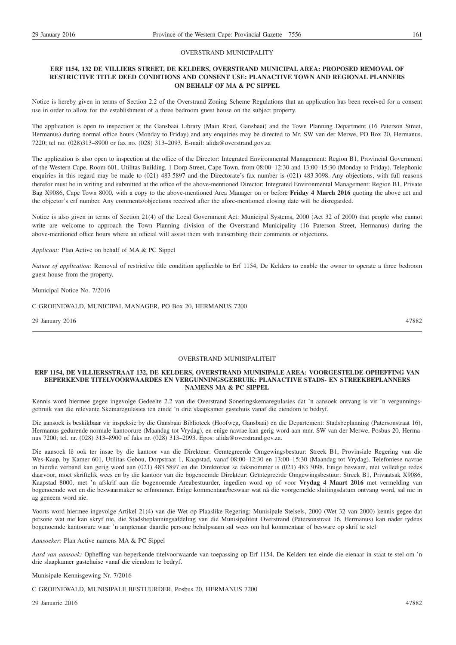#### OVERSTRAND MUNICIPALITY

# **ERF 1154, 132 DE VILLIERS STREET, DE KELDERS, OVERSTRAND MUNICIPAL AREA: PROPOSED REMOVAL OF RESTRICTIVE TITLE DEED CONDITIONS AND CONSENT USE: PLANACTIVE TOWN AND REGIONAL PLANNERS ON BEHALF OF MA & PC SIPPEL**

Notice is hereby given in terms of Section 2.2 of the Overstrand Zoning Scheme Regulations that an application has been received for a consent use in order to allow for the establishment of a three bedroom guest house on the subject property.

The application is open to inspection at the Gansbaai Library (Main Road, Gansbaai) and the Town Planning Department (16 Paterson Street, Hermanus) during normal office hours (Monday to Friday) and any enquiries may be directed to Mr. SW van der Merwe, PO Box 20, Hermanus, 7220; tel no. (028)313–8900 or fax no. (028) 313–2093. E-mail: alida@overstrand.gov.za

The application is also open to inspection at the office of the Director: Integrated Environmental Management: Region B1, Provincial Government of the Western Cape, Room 601, Utilitas Building, 1 Dorp Street, Cape Town, from 08:00–12:30 and 13:00–15:30 (Monday to Friday). Telephonic enquiries in this regard may be made to (021) 483 5897 and the Directorate's fax number is (021) 483 3098. Any objections, with full reasons therefor must be in writing and submitted at the office of the above-mentioned Director: Integrated Environmental Management: Region B1, Private Bag X9086, Cape Town 8000, with a copy to the above-mentioned Area Manager on or before **Friday 4 March 2016** quoting the above act and the objector's erf number. Any comments/objections received after the afore-mentioned closing date will be disregarded.

Notice is also given in terms of Section 21(4) of the Local Government Act: Municipal Systems, 2000 (Act 32 of 2000) that people who cannot write are welcome to approach the Town Planning division of the Overstrand Municipality (16 Paterson Street, Hermanus) during the above-mentioned office hours where an official will assist them with transcribing their comments or objections.

#### *Applicant:* Plan Active on behalf of MA & PC Sippel

*Nature of application:* Removal of restrictive title condition applicable to Erf 1154, De Kelders to enable the owner to operate a three bedroom guest house from the property.

Municipal Notice No. 7/2016

C GROENEWALD, MUNICIPAL MANAGER, PO Box 20, HERMANUS 7200

29 January 2016 47882

#### OVERSTRAND MUNISIPALITEIT

#### **ERF 1154, DE VILLIERSSTRAAT 132, DE KELDERS, OVERSTRAND MUNISIPALE AREA: VOORGESTELDE OPHEFFING VAN BEPERKENDE TITELVOORWAARDES EN VERGUNNINGSGEBRUIK: PLANACTIVE STADS- EN STREEKBEPLANNERS NAMENS MA & PC SIPPEL**

Kennis word hiermee gegee ingevolge Gedeelte 2.2 van die Overstrand Soneringskemaregulasies dat 'n aansoek ontvang is vir 'n vergunningsgebruik van die relevante Skemaregulasies ten einde 'n drie slaapkamer gastehuis vanaf die eiendom te bedryf.

Die aansoek is beskikbaar vir inspeksie by die Gansbaai Biblioteek (Hoofweg, Gansbaai) en die Departement: Stadsbeplanning (Patersonstraat 16), Hermanus gedurende normale kantoorure (Maandag tot Vrydag), en enige navrae kan gerig word aan mnr. SW van der Merwe, Posbus 20, Hermanus 7200; tel. nr. (028) 313–8900 of faks nr. (028) 313–2093. Epos: alida@overstrand.gov.za.

Die aansoek lê ook ter insae by die kantoor van die Direkteur: Geïntegreerde Omgewingsbestuur: Streek B1, Provinsiale Regering van die Wes-Kaap, by Kamer 601, Utilitas Gebou, Dorpstraat 1, Kaapstad, vanaf 08:00–12:30 en 13:00–15:30 (Maandag tot Vrydag). Telefoniese navrae in hierdie verband kan gerig word aan (021) 483 5897 en die Direktoraat se faksnommer is (021) 483 3098. Enige besware, met volledige redes daarvoor, moet skriftelik wees en by die kantoor van die bogenoemde Direkteur: Geïntegreerde Omgewingsbestuur: Streek B1, Privaatsak X9086, Kaapstad 8000, met 'n afskrif aan die bogenoemde Areabestuurder, ingedien word op of voor **Vrydag 4 Maart 2016** met vermelding van bogenoemde wet en die beswaarmaker se erfnommer. Enige kommentaar/beswaar wat ná die voorgemelde sluitingsdatum ontvang word, sal nie in ag geneem word nie.

Voorts word hiermee ingevolge Artikel 21(4) van die Wet op Plaaslike Regering: Munisipale Stelsels, 2000 (Wet 32 van 2000) kennis gegee dat persone wat nie kan skryf nie, die Stadsbeplanningsafdeling van die Munisipaliteit Overstrand (Patersonstraat 16, Hermanus) kan nader tydens bogenoemde kantoorure waar 'n amptenaar daardie persone behulpsaam sal wees om hul kommentaar of besware op skrif te stel

*Aansoeker:* Plan Active namens MA & PC Sippel

*Aard van aansoek:* Opheffing van beperkende titelvoorwaarde van toepassing op Erf 1154, De Kelders ten einde die eienaar in staat te stel om 'n drie slaapkamer gastehuise vanaf die eiendom te bedryf.

Munisipale Kennisgewing Nr. 7/2016

C GROENEWALD, MUNISIPALE BESTUURDER, Posbus 20, HERMANUS 7200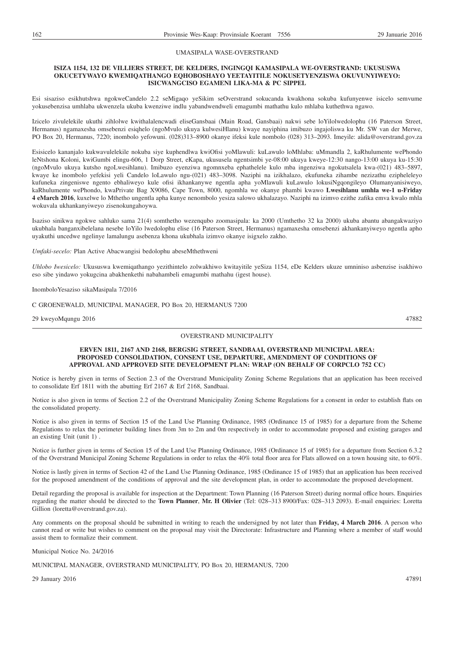#### UMASIPALA WASE-OVERSTRAND

#### **ISIZA 1154, 132 DE VILLIERS STREET, DE KELDERS, INGINGQI KAMASIPALA WE-OVERSTRAND: UKUSUSWA OKUCETYWAYO KWEMIQATHANGO EQHOBOSHAYO YEETAYITILE NOKUSETYENZISWA OKUVUNYIWEYO: ISICWANGCISO EGAMENI LIKA-MA & PC SIPPEL**

Esi sisaziso esikhutshwa ngokweCandelo 2.2 seMigaqo yeSikim seOverstrand sokucanda kwakhona sokuba kufunyenwe isicelo semvume yokusebenzisa umhlaba ukwenzela ukuba kwenziwe indlu yabandwendweli emagumbi mathathu kulo mhlaba kuthethwa ngawo.

Izicelo zivulelekile ukuthi zihlolwe kwithalalencwadi eliseGansbaai (Main Road, Gansbaai) nakwi sebe loYilolwedolophu (16 Paterson Street, Hermanus) ngamaxesha omsebenzi esiqhelo (ngoMvulo ukuya kulwesiHlanu) kwaye nayiphina imibuzo ingajoliswa ku Mr. SW van der Merwe, PO Box 20, Hermanus, 7220; inombolo yefowuni. (028)313–8900 okanye ifeksi kule nombolo (028) 313–2093. Imeyile: alida@overstrand.gov.za

Esisicelo kananjalo kukwavulelekile nokuba siye kuphendlwa kwiOfisi yoMlawuli: kuLawulo loMhlaba: uMmandla 2, kaRhulumente wePhondo leNtshona Koloni, kwiGumbi elingu-606, 1 Dorp Street, eKapa, ukususela ngentsimbi ye-08:00 ukuya kweye-12:30 nango-13:00 ukuya ku-15:30 (ngoMvulo ukuya kutsho ngoLwesihlanu). Imibuzo eyenziwa ngomnxeba ephathelele kulo mba ingenziwa ngokutsalela kwa-(021) 483–5897, kwaye ke inombolo yefekisi yeli Candelo loLawulo ngu-(021) 483–3098. Naziphi na izikhalazo, ekufuneka zihambe nezizathu ezipheleleyo kufuneka zingeniswe ngento ebhaliweyo kule ofisi ikhankanywe ngentla apha yoMlawuli kuLawulo lokusiNgqongileyo Olumanyanisiweyo, kaRhulumente wePhondo, kwaPrivate Bag X9086, Cape Town, 8000, ngomhla we okanye phambi kwawo **Lwesihlanu umhla we-1 u-Friday 4 eMarch 2016**, kuxelwe lo Mthetho ungentla apha kunye nenombolo yesiza salowo ukhalazayo. Naziphi na izimvo ezithe zafika emva kwalo mhla wokuvala ukhankanyiweyo zisenokungahoywa.

Isaziso sinikwa ngokwe sahluko sama 21(4) somthetho wezenqubo zoomasipala: ka 2000 (Umthetho 32 ka 2000) ukuba abantu abangakwaziyo ukubhala banganxibelelana nesebe loYilo lwedolophu elise (16 Paterson Street, Hermanus) ngamaxesha omsebenzi akhankanyiweyo ngentla apho uyakuthi uncedwe ngelinye lamalungu asebenza khona ukubhala izimvo okanye isigxelo zakho.

*Umfaki-secelo:* Plan Active Abacwangisi bedolophu abeseMthethweni

*Uhlobo Iwesicelo:* Ukususwa kwemiqathango yezithintelo zolwakhiwo kwitayitile yeSiza 1154, eDe Kelders ukuze umniniso asbenzise isakhiwo eso sibe yindawo yokugcina abakhenkethi nabahambeli emagumbi mathahu (igest house).

InomboloYesaziso sikaMasipala 7/2016

C GROENEWALD, MUNICIPAL MANAGER, PO Box 20, HERMANUS 7200

29 kweyoMqungu 2016 47882

#### OVERSTRAND MUNICIPALITY

#### **ERVEN 1811, 2167 AND 2168, BERGSIG STREET, SANDBAAI, OVERSTRAND MUNICIPAL AREA: PROPOSED CONSOLIDATION, CONSENT USE, DEPARTURE, AMENDMENT OF CONDITIONS OF APPROVAL AND APPROVED SITE DEVELOPMENT PLAN: WRAP (ON BEHALF OF CORPCLO 752 CC)**

Notice is hereby given in terms of Section 2.3 of the Overstrand Municipality Zoning Scheme Regulations that an application has been received to consolidate Erf 1811 with the abutting Erf 2167 & Erf 2168, Sandbaai.

Notice is also given in terms of Section 2.2 of the Overstrand Municipality Zoning Scheme Regulations for a consent in order to establish flats on the consolidated property.

Notice is also given in terms of Section 15 of the Land Use Planning Ordinance, 1985 (Ordinance 15 of 1985) for a departure from the Scheme Regulations to relax the perimeter building lines from 3m to 2m and 0m respectively in order to accommodate proposed and existing garages and an existing Unit (unit 1) .

Notice is further given in terms of Section 15 of the Land Use Planning Ordinance, 1985 (Ordinance 15 of 1985) for a departure from Section 6.3.2 of the Overstrand Municipal Zoning Scheme Regulations in order to relax the 40% total floor area for Flats allowed on a town housing site, to 60%.

Notice is lastly given in terms of Section 42 of the Land Use Planning Ordinance, 1985 (Ordinance 15 of 1985) that an application has been received for the proposed amendment of the conditions of approval and the site development plan, in order to accommodate the proposed development.

Detail regarding the proposal is available for inspection at the Department: Town Planning (16 Paterson Street) during normal office hours. Enquiries regarding the matter should be directed to the **Town Planner**, **Mr. H Olivier** (Tel: 028–313 8900/Fax: 028–313 2093). E-mail enquiries: Loretta Gillion (loretta@overstrand.gov.za).

Any comments on the proposal should be submitted in writing to reach the undersigned by not later than **Friday, 4 March 2016**. A person who cannot read or write but wishes to comment on the proposal may visit the Directorate: Infrastructure and Planning where a member of staff would assist them to formalize their comment.

Municipal Notice No. 24/2016

MUNICIPAL MANAGER, OVERSTRAND MUNICIPALITY, PO Box 20, HERMANUS, 7200

29 January 2016 47891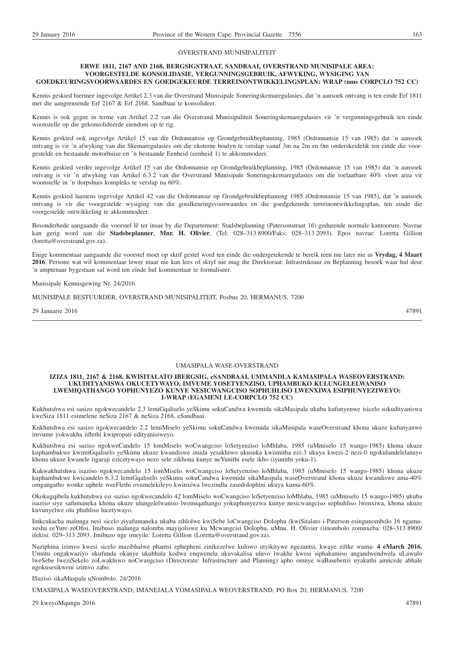#### OVERSTRAND MUNISIPALITEIT

#### **ERWE 1811, 2167 AND 2168, BERGSIGSTRAAT, SANDBAAI, OVERSTRAND MUNISIPALE AREA: VOORGESTELDE KONSOLIDASIE, VERGUNNINGSGEBRUIK, AFWYKING, WYSIGING VAN GOEDKEURINGSVOORWAARDES EN GOEDGEKEURDE TERREINONTWIKKELINGSPLAN: WRAP (nms CORPCLO 752 CC)**

Kennis geskied hiermee ingevolge Artikel 2.3 van die Overstrand Munisipale Soneringskemaregulasies, dat 'n aansoek ontvang is ten einde Erf 1811 met die aangrensende Erf 2167 & Erf 2168, Sandbaai te konsolideer.

Kennis is ook gegee in terme van Artikel 2.2 van die Overstrand Munisipaliteit Soneringskemaregulasies vir 'n vergunningsgebruik ten einde woonstelle op die gekonsolideerde eiendom op te rig.

Kennis geskied ook ingevolge Artikel 15 van die Ordonnansie op Grondgebruikbeplanning, 1985 (Ordonnansie 15 van 1985) dat 'n aansoek ontvang is vir 'n afwyking van die Skemaregulasies om die eksterne boulyn te verslap vanaf 3m na 2m en 0m onderskeidelik ten einde die voorgestelde en bestaande motorhuise en 'n bestaande Eenheid (eenheid 1) te akkommodeer.

Kennis geskied verder ingevolge Artikel 15 van die Ordonnansie op Grondgebruikbeplanning, 1985 (Ordonnansie 15 van 1985) dat 'n aansoek ontvang is vir 'n afwyking van Artikel 6.3.2 van die Overstrand Munisipale Soneringskemaregulasies om die toelaatbare 40% vloer area vir woonstelle in 'n dorpshuis kompleks te verslap na 60%.

Kennis geskied laastens ingevolge Artikel 42 van die Ordonnansie op Grondgebruikbeplanning 1985 (Ordonnansie 15 van 1985), dat 'n aansoek ontvang is vir die voorgestelde wysiging van die goedkeuringsvoorwaardes en die goedgekeurde terreinontwikkelingsplan, ten einde die voorgestelde ontwikkeling te akkommodeer.

Besonderhede aangaande die voorstel lê ter insae by die Departement: Stadsbeplanning (Patersonstraat 16) gedurende normale kantoorure. Navrae kan gerig word aan die **Stadsbeplanner**, **Mnr. H. Olivier**, (Tel: 028–313 8900/Faks: 028–313 2093). Epos navrae: Loretta Gillion (loretta@overstrand.gov.za).

Enige kommentaar aangaande die voorstel moet op skrif gestel word ten einde die ondergetekende te bereik teen nie later nie as **Vrydag, 4 Maart 2016**. Persone wat wil kommentaar lewer maar nie kan lees of skryf nie mag die Direktoraat: Infrastruktuur en Beplanning besoek waar hul deur 'n amptenaar bygestaan sal word ten einde hul kommentaar te formaliseer.

Munisipale Kennisgewing Nr. 24/2016

MUNISIPALE BESTUURDER, OVERSTRAND MUNISIPALITEIT, Posbus 20, HERMANUS, 7200

29 Januarie 2016 47891

#### UMASIPALA WASE-OVERSTRAND

#### **IZIZA 1811, 2167 & 2168, KWISITALATO IBERGSIG, eSANDBAAI, UMMANDLA KAMASIPALA WASEOVERSTRAND: UKUDITYANISWA OKUCETYWAYO, IMVUME YOSETYENZISO, UPHAMBUKO KULUNGELELWANISO LWEMIQATHANGO YOPHUNYEZO KUNYE NESICWANGCISO SOPHUHLISO LWENXIWA ESIPHUNYEZIWEYO: I-WRAP (EGAMENI LE-CORPCLO 752 CC)**

Kukhutshwa esi sasizo ngokwecandelo 2.3 lemiGqaliselo yeSkimu sokuCandwa kwemida sikaMasipala ukuba kufunyenwe isicelo sokudityaniswa kweSiza 1811 esimelene neSiza 2167 & neSiza 2168, eSandbaai.

Kukhutshwa esi sasizo ngokwecandelo 2.2 lemiMiselo yeSkimu sokuCandwa kwemida sikaMasipala waseOverstrand khona ukuze kufunyanwe imvume yokwakha iiflethi kwipropati edityanisiweyo.

Kukhutshwa esi saziso ngokweCandelo 15 lomMiselo woCwangciso loSetyenziso loMhlaba, 1985 (uMmiselo 15 wango-1985) khona ukuze kuphambukwe kwimiGqaliselo yeSkimu ukuze kwandiswe imida yesakhiwo ukusuka kwiimitha ezi-3 ukuya kwezi-2 nezi-0 ngokulandelelanayo khona ukuze kwanele iigaraji ezicetywayo nezo sele zikhona kunye neYunithi esele ikho (iyunithi yoku-1).

Kukwakhutshwa isaziso ngokwecandelo 15 lomMiselo woCwangciso loSetyenziso loMhlaba, 1985 (uMmiselo 15 wango-1985) khona ukuze kuphambukwe kwicandelo 6.3.2 lemiGqaliselo yeSkimu sokuCandwa kwemida sikaMasipala waseOverstrand khona ukuze kwandiswe ama-40% omgangatho wonke uphele weeFlethi ovumelekileyo kwinxiwa lwezindlu zasedolophini ukuya kuma-60%.

Okokugqibela kukhutshwa esi saziso ngokwecandelo 42 lomMiselo woCwangciso loSetyenziso loMhlaba, 1985 (uMmiselo 15 wango-1985) ukuba isaziso siye safumaneka khona ukuze ulungelelwaniso lwemiqathango yokuphunyezwa kunye nesicwangciso sophuhliso lwenxiwa, khona ukuze kuvunyelwe olu phuhliso lucetywayo.

Iinkcukacha malunga nesi sicelo ziyafumaneka ukuba zihlolwe kwiSebe loCwangciso Dolophu (kwiSitalato i-Paterson esingunombolo 16 ngamaxesha eeYure zeOfisi. Imibuso malunga nalomba mayijoliswe ku Mcwangcisi Dolophu, uMnu. H. Olivier (iinombolo zomnxeba: 028–313 8900/ ifekisi: 029–313 2093. Imibuzo nge imeyile: Loretta Gillion (Loretta@overstrand.gov.za).

Naziphina izimvo kwesi sicelo mazibhalwe phantsi ephepheni zinikezelwe kulowo utyikitywe ngezantsi, kwaye zifike wama- **4 eMarch 2016.** Umntu ongakwaziyo ukufunda okanye ukubhala kodwa enqwenela ukuvakalisa uluvo lwakhe kwesi siphakamiso angandwendwela uLawulo lweSebe lweziSekelo zoLwakhiwo noCwangciso (Directorate: Infrastructure and Planning) apho omnye waBasebenzi uyakuthi amncede abhale ngokusesikweni izimvo zabo.

ISaziso sikaMaspala uNombolo. 24/2016

UMASIPALA WASEOVERSTRAND, IMANEJALA YOMASIPALA WEOVERSTRAND, PO Box 20, HERMANUS, 7200

29 kweyoMqungu 2016 47891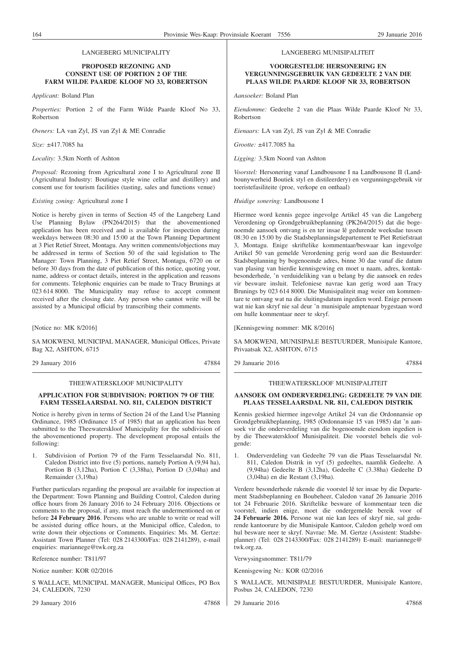#### **PROPOSED REZONING AND CONSENT USE OF PORTION 2 OF THE FARM WILDE PAARDE KLOOF NO 33, ROBERTSON**

*Applicant:* Boland Plan

*Properties:* Portion 2 of the Farm Wilde Paarde Kloof No 33, Robertson

*Owners:* LA van Zyl, JS van Zyl & ME Conradie

*Size:* ±417.7085 ha

*Locality:* 3.5km North of Ashton

*Proposal:* Rezoning from Agricultural zone I to Agricultural zone II (Agricultural Industry: Boutique style wine cellar and distillery) and consent use for tourism facilities (tasting, sales and functions venue)

*Existing zoning:* Agricultural zone I

Notice is hereby given in terms of Section 45 of the Langeberg Land Use Planning Bylaw (PN264/2015) that the abovementioned application has been received and is available for inspection during weekdays between 08:30 and 15:00 at the Town Planning Department at 3 Piet Retief Street, Montagu. Any written comments/objections may be addressed in terms of Section 50 of the said legislation to The Manager: Town Planning, 3 Piet Retief Street, Montagu, 6720 on or before 30 days from the date of publication of this notice, quoting your, name, address or contact details, interest in the application and reasons for comments. Telephonic enquiries can be made to Tracy Brunings at 023 614 8000. The Municipality may refuse to accept comment received after the closing date. Any person who cannot write will be assisted by a Municipal official by transcribing their comments.

[Notice no: MK 8/2016]

SA MOKWENI, MUNICIPAL MANAGER, Municipal Offices, Private Bag X2, ASHTON, 6715

29 January 2016 47884

#### THEEWATERSKLOOF MUNICIPALITY

#### **APPLICATION FOR SUBDIVISION: PORTION 79 OF THE FARM TESSELAARSDAL NO. 811, CALEDON DISTRICT**

Notice is hereby given in terms of Section 24 of the Land Use Planning Ordinance, 1985 (Ordinance 15 of 1985) that an application has been submitted to the Theewaterskloof Municipality for the subdivision of the abovementioned property. The development proposal entails the following:

1. Subdivision of Portion 79 of the Farm Tesselaarsdal No. 811, Caledon District into five (5) portions, namely Portion A (9,94 ha), Portion B (3,12ha), Portion C (3,38ha), Portion D (3,04ha) and Remainder (3,19ha)

Further particulars regarding the proposal are available for inspection at the Department: Town Planning and Building Control, Caledon during office hours from 26 January 2016 to 24 February 2016. Objections or comments to the proposal, if any, must reach the undermentioned on or before **24 February 2016**. Persons who are unable to write or read will be assisted during office hours, at the Municipal office, Caledon, to write down their objections or Comments. Enquiries: Ms. M. Gertze: Assistant Town Planner (Tel: 028 2143300/Fax: 028 2141289), e-mail enquiries: mariannege@twk.org.za

Reference number: T811/97

Notice number: KOR 02/2016

S WALLACE, MUNICIPAL MANAGER, Municipal Offices, PO Box 24, CALEDON, 7230

29 January 2016 47868

#### LANGEBERG MUNISIPALITEIT

#### **VOORGESTELDE HERSONERING EN VERGUNNINGSGEBRUIK VAN GEDEELTE 2 VAN DIE PLAAS WILDE PAARDE KLOOF NR 33, ROBERTSON**

*Aansoeker:* Boland Plan

*Eiendomme:* Gedeelte 2 van die Plaas Wilde Paarde Kloof Nr 33, Robertson

*Eienaars:* LA van Zyl, JS van Zyl & ME Conradie

*Grootte:* ±417.7085 ha

*Ligging:* 3.5km Noord van Ashton

*Voorstel:* Hersonering vanaf Landbousone I na Landbousone II (Landbounywerheid Boutiek styl en distileerdery) en vergunningsgebruik vir toeristefasiliteite (proe, verkope en onthaal)

*Huidige sonering:* Landbousone I

Hiermee word kennis gegee ingevolge Artikel 45 van die Langeberg Verordening op Grondgebruikbeplanning (PK264/2015) dat die bogenoemde aansoek ontvang is en ter insae lê gedurende weeksdae tussen 08:30 en 15:00 by die Stadsbeplanningsdepartement te Piet Retiefstraat 3, Montagu. Enige skriftelike kommentaar/beswaar kan ingevolge Artikel 50 van gemelde Verordening gerig word aan die Bestuurder: Stadsbeplanning by bogenoemde adres, binne 30 dae vanaf die datum van plasing van hierdie kennisgewing en moet u naam, adres, kontakbesonderhede, 'n verduideliking van u belang by die aansoek en redes vir besware insluit. Telefoniese navrae kan gerig word aan Tracy Brunings by 023 614 8000. Die Munisipaliteit mag weier om kommentare te ontvang wat na die sluitingsdatum ingedien word. Enige persoon wat nie kan skryf nie sal deur 'n munisipale amptenaar bygestaan word om hulle kommentaar neer te skryf.

[Kennisgewing nommer: MK 8/2016]

SA MOKWENI, MUNISIPALE BESTUURDER, Munisipale Kantore, Privaatsak X2, ASHTON, 6715

29 Januarie 2016 47884

#### THEEWATERSKLOOF MUNISIPALITEIT

#### **AANSOEK OM ONDERVERDELING: GEDEELTE 79 VAN DIE PLAAS TESSELAARSDAL NR. 811, CALEDON DISTRIK**

Kennis geskied hiermee ingevolge Artikel 24 van die Ordonnansie op Grondgebruikbeplanning, 1985 (Ordonnansie 15 van 1985) dat 'n aansoek vir die onderverdeling van die bogenoemde eiendom ingedien is by die Theewaterskloof Munisipaliteit. Die voorstel behels die volgende:

1. Onderverdeling van Gedeelte 79 van die Plaas Tesselaarsdal Nr. 811, Caledon Distrik in vyf (5) gedeeltes, naamlik Gedeelte. A (9,94ha) Gedeelte B (3,12ha), Gedeelte C (3.38ha) Gedeelte D (3,04ha) en die Restant (3,19ha).

Verdere besonderhede rakende die voorstel lê ter insae by die Departement Stadsbeplanning en Boubeheer, Caledon vanaf 26 Januarie 2016 tot 24 Februarie 2016. Skriftelike besware of kommentaar teen die voorstel, indien enige, moet die ondergemelde bereik voor of **24 Februarie 2016.** Persone wat nie kan lees of skryf nie, sal gedurende kantoorure by die Munisipale Kantoor, Caledon gehelp word om hul besware neer te skryf. Navrae: Me. M. Gertze (Assistent: Stadsbeplanner) (Tel: 028 2143300/Fax: 028 2141289) E-mail: mariannege@ twk.org.za.

Verwysingsnommer: T811/79

Kennisgewing Nr.: KOR 02/2016

S WALLACE, MUNISIPALE BESTUURDER, Munisipale Kantore, Posbus 24, CALEDON, 7230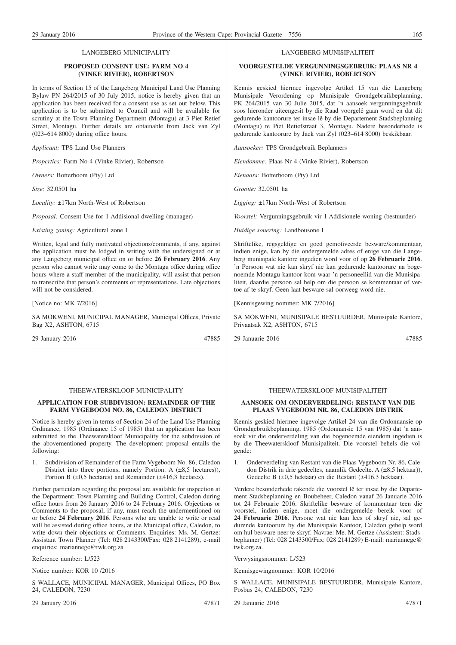### **PROPOSED CONSENT USE: FARM NO 4 (VINKE RIVIER), ROBERTSON**

In terms of Section 15 of the Langeberg Municipal Land Use Planning Bylaw PN 264/2015 of 30 July 2015, notice is hereby given that an application has been received for a consent use as set out below. This application is to be submitted to Council and will be available for scrutiny at the Town Planning Department (Montagu) at 3 Piet Retief Street, Montagu. Further details are obtainable from Jack van Zyl (023–614 8000) during office hours.

*Applicant:* TPS Land Use Planners

*Properties:* Farm No 4 (Vinke Rivier), Robertson

*Owners:* Botterboom (Pty) Ltd

*Size:* 32.0501 ha

*Locality:* ±17km North-West of Robertson

*Proposal:* Consent Use for 1 Addisional dwelling (manager)

*Existing zoning:* Agricultural zone I

Written, legal and fully motivated objections/comments, if any, against the application must be lodged in writing with the undersigned or at any Langeberg municipal office on or before **26 February 2016**. Any person who cannot write may come to the Montagu office during office hours where a staff member of the municipality, will assist that person to transcribe that person's comments or representations. Late objections will not be considered.

[Notice no: MK 7/2016]

SA MOKWENI, MUNICIPAL MANAGER, Municipal Offices, Private Bag X2, ASHTON, 6715

29 January 2016 47885

#### THEEWATERSKLOOF MUNICIPALITY

#### **APPLICATION FOR SUBDIVISION: REMAINDER OF THE FARM VYGEBOOM NO. 86, CALEDON DISTRICT**

Notice is hereby given in terms of Section 24 of the Land Use Planning Ordinance, 1985 (Ordinance 15 of 1985) that an application has been submitted to the Theewaterskloof Municipality for the subdivision of the abovementioned property. The development proposal entails the following:

1. Subdivision of Remainder of the Farm Vygeboom No. 86, Caledon District into three portions, namely Portion. A  $(\pm 8.5$  hectares)), Portion B  $(\pm 0.5$  hectares) and Remainder ( $\pm 416.3$  hectares).

Further particulars regarding the proposal are available for inspection at the Department: Town Planning and Building Control, Caledon during office hours from 26 January 2016 to 24 February 2016. Objections or Comments to the proposal, if any, must reach the undermentioned on or before **24 February 2016**. Persons who are unable to write or read will be assisted during office hours, at the Municipal office, Caledon, to write down their objections or Comments. Enquiries: Ms. M. Gertze: Assistant Town Planner (Tel: 028 2143300/Fax: 028 2141289), e-mail enquiries: mariannege@twk.org.za

Reference number: L/523

Notice number: KOR 10 /2016

S WALLACE, MUNICIPAL MANAGER, Municipal Offices, PO Box 24, CALEDON, 7230

29 January 2016 47871

#### LANGEBERG MUNISIPALITEIT

#### **VOORGESTELDE VERGUNNINGSGEBRUIK: PLAAS NR 4 (VINKE RIVIER), ROBERTSON**

Kennis geskied hiermee ingevolge Artikel 15 van die Langeberg Munisipale Verordening op Munisipale Grondgebruikbeplanning, PK 264/2015 van 30 Julie 2015, dat 'n aansoek vergunningsgebruik soos hieronder uiteengesit by die Raad voorgelê gaan word en dat dit gedurende kantoorure ter insae lê by die Departement Stadsbeplanning (Montagu) te Piet Retiefstraat 3, Montagu. Nadere besonderhede is gedurende kantoorure by Jack van Zyl (023–614 8000) beskikbaar.

*Aansoeker:* TPS Grondgebruik Beplanners

*Eiendomme:* Plaas Nr 4 (Vinke Rivier), Robertson

*Eienaars:* Botterboom (Pty) Ltd

*Grootte:* 32.0501 ha

*Ligging:* ±17km North-West of Robertson

*Voorstel:* Vergunningsgebruik vir 1 Addisionele woning (bestuurder)

*Huidige sonering:* Landbousone I

Skriftelike, regsgeldige en goed gemotiveerde besware/kommentaar, indien enige, kan by die ondergemelde adres of enige van die Langeberg munisipale kantore ingedien word voor of op **26 Februarie 2016**. 'n Persoon wat nie kan skryf nie kan gedurende kantoorure na bogenoemde Montagu kantoor kom waar 'n personeellid van die Munisipaliteit, daardie persoon sal help om die persoon se kommentaar of vertoë af te skryf. Geen laat besware sal oorweeg word nie.

[Kennisgewing nommer: MK 7/2016]

SA MOKWENI, MUNISIPALE BESTUURDER, Munisipale Kantore, Privaatsak X2, ASHTON, 6715

29 Januarie 2016 47885

#### THEEWATERSKLOOF MUNISIPALITEIT

#### **AANSOEK OM ONDERVERDELING: RESTANT VAN DIE PLAAS VYGEBOOM NR. 86, CALEDON DISTRIK**

Kennis geskied hiermee ingevolge Artikel 24 van die Ordonnansie op Grondgebruikbeplanning, 1985 (Ordonnansie 15 van 1985) dat 'n aansoek vir die onderverdeling van die bogenoemde eiendom ingedien is by die Theewaterskloof Munisipaliteit. Die voorstel behels die volgende:

1. Onderverdeling van Restant van die Plaas Vygeboom Nr. 86, Caledon Distrik in drie gedeeltes, naamlik Gedeelte. A (±8,5 hektaar)), Gedeelte B (±0,5 hektaar) en die Restant (±416.3 hektaar).

Verdere besonderhede rakende die voorstel lê ter insae by die Departement Stadsbeplanning en Boubeheer, Caledon vanaf 26 Januarie 2016 tot 24 Februarie 2016. Skriftelike besware of kommentaar teen die voorstel, indien enige, moet die ondergemelde bereik voor of **24 Februarie 2016**. Persone wat nie kan lees of skryf nie, sal gedurende kantoorure by die Munisipale Kantoor, Caledon gehelp word om hul besware neer te skryf. Navrae: Me. M. Gertze (Assistent: Stadsbeplanner) (Tel: 028 2143300/Fax: 028 2141289) E-mail: mariannege@ twk.org.za.

Verwysingsnommer: L/523

Kennisgewingnommer: KOR 10/2016

S WALLACE, MUNISIPALE BESTUURDER, Munisipale Kantore, Posbus 24, CALEDON, 7230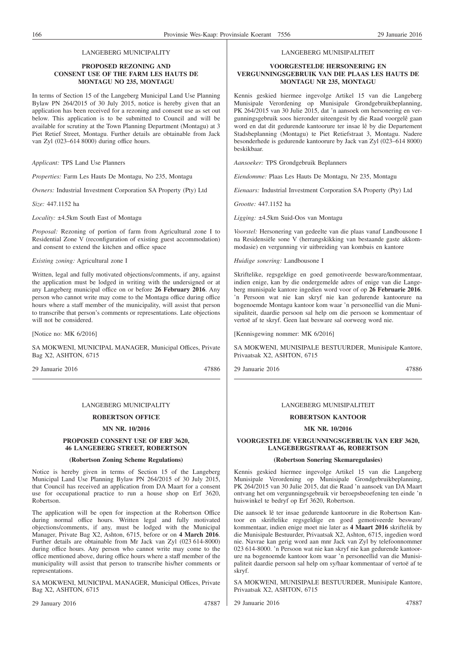#### **PROPOSED REZONING AND CONSENT USE OF THE FARM LES HAUTS DE MONTAGU NO 235, MONTAGU**

In terms of Section 15 of the Langeberg Municipal Land Use Planning Bylaw PN 264/2015 of 30 July 2015, notice is hereby given that an application has been received for a rezoning and consent use as set out below. This application is to be submitted to Council and will be available for scrutiny at the Town Planning Department (Montagu) at 3 Piet Retief Street, Montagu. Further details are obtainable from Jack van Zyl (023–614 8000) during office hours.

*Applicant:* TPS Land Use Planners

*Properties:* Farm Les Hauts De Montagu, No 235, Montagu

*Owners:* Industrial Investment Corporation SA Property (Pty) Ltd

*Size:* 447.1152 ha

*Locality:* ±4.5km South East of Montagu

*Proposal:* Rezoning of portion of farm from Agricultural zone I to Residential Zone V (reconfiguration of existing guest accommodation) and consent to extend the kitchen and office space

*Existing zoning:* Agricultural zone I

Written, legal and fully motivated objections/comments, if any, against the application must be lodged in writing with the undersigned or at any Langeberg municipal office on or before **26 February 2016**. Any person who cannot write may come to the Montagu office during office hours where a staff member of the municipality, will assist that person to transcribe that person's comments or representations. Late objections will not be considered.

[Notice no: MK 6/2016]

SA MOKWENI, MUNICIPAL MANAGER, Municipal Offices, Private Bag X2, ASHTON, 6715

29 Januarie 2016 47886

#### LANGEBERG MUNICIPALITY

# **ROBERTSON OFFICE**

#### **MN NR. 10/2016**

#### **PROPOSED CONSENT USE OF ERF 3620, 46 LANGEBERG STREET, ROBERTSON**

#### **(Robertson Zoning Scheme Regulations)**

Notice is hereby given in terms of Section 15 of the Langeberg Municipal Land Use Planning Bylaw PN 264/2015 of 30 July 2015, that Council has received an application from DA Maart for a consent use for occupational practice to run a house shop on Erf 3620, Robertson.

The application will be open for inspection at the Robertson Office during normal office hours. Written legal and fully motivated objections/comments, if any, must be lodged with the Municipal Manager, Private Bag X2, Ashton, 6715, before or on **4 March 2016**. Further details are obtainable from Mr Jack van Zyl (023 614-8000) during office hours. Any person who cannot write may come to the office mentioned above, during office hours where a staff member of the municipality will assist that person to transcribe his/her comments or representations.

SA MOKWENI, MUNICIPAL MANAGER, Municipal Offices, Private Bag X2, ASHTON, 6715

29 January 2016 47887

#### LANGEBERG MUNISIPALITEIT

#### **VOORGESTELDE HERSONERING EN VERGUNNINGSGEBRUIK VAN DIE PLAAS LES HAUTS DE MONTAGU NR 235, MONTAGU**

Kennis geskied hiermee ingevolge Artikel 15 van die Langeberg Munisipale Verordening op Munisipale Grondgebruikbeplanning, PK 264/2015 van 30 Julie 2015, dat 'n aansoek om hersonering en vergunningsgebruik soos hieronder uiteengesit by die Raad voorgelê gaan word en dat dit gedurende kantoorure ter insae lê by die Departement Stadsbeplanning (Montagu) te Piet Retiefstraat 3, Montagu. Nadere besonderhede is gedurende kantoorure by Jack van Zyl (023–614 8000) beskikbaar.

*Aansoeker:* TPS Grondgebruik Beplanners

*Eiendomme:* Plaas Les Hauts De Montagu, Nr 235, Montagu

*Eienaars:* Industrial Investment Corporation SA Property (Pty) Ltd

*Grootte:* 447.1152 ha

*Ligging:* ±4.5km Suid-Oos van Montagu

*Voorstel:* Hersonering van gedeelte van die plaas vanaf Landbousone I na Residensiële sone V (herrangskikking van bestaande gaste akkommodasie) en vergunning vir uitbreiding van kombuis en kantore

*Huidige sonering:* Landbousone I

Skriftelike, regsgeldige en goed gemotiveerde besware/kommentaar, indien enige, kan by die ondergemelde adres of enige van die Langeberg munisipale kantore ingedien word voor of op **26 Februarie 2016**. 'n Persoon wat nie kan skryf nie kan gedurende kantoorure na bogenoemde Montagu kantoor kom waar 'n personeellid van die Munisipaliteit, daardie persoon sal help om die persoon se kommentaar of vertoë af te skryf. Geen laat besware sal oorweeg word nie.

[Kennisgewing nommer: MK 6/2016]

SA MOKWENI, MUNISIPALE BESTUURDER, Munisipale Kantore, Privaatsak X2, ASHTON, 6715

29 Januarie 2016 47886

#### LANGEBERG MUNISIPALITEIT

#### **ROBERTSON KANTOOR**

#### **MK NR. 10/2016**

**VOORGESTELDE VERGUNNINGSGEBRUIK VAN ERF 3620, LANGEBERGSTRAAT 46, ROBERTSON**

#### **(Robertson Sonering Skemaregulasies)**

Kennis geskied hiermee ingevolge Artikel 15 van die Langeberg Munisipale Verordening op Munisipale Grondgebruikbeplanning, PK 264/2015 van 30 Julie 2015, dat die Raad 'n aansoek van DA Maart ontvang het om vergunningsgebruik vir beroepsbeoefening ten einde 'n huiswinkel te bedryf op Erf 3620, Robertson.

Die aansoek lê ter insae gedurende kantoorure in die Robertson Kantoor en skriftelike regsgeldige en goed gemotiveerde besware/ kommentaar, indien enige moet nie later as **4 Maart 2016** skriftelik by die Munisipale Bestuurder, Privaatsak X2, Ashton, 6715, ingedien word nie. Navrae kan gerig word aan mnr Jack van Zyl by telefoonnommer 023 614-8000. 'n Persoon wat nie kan skryf nie kan gedurende kantoorure na bogenoemde kantoor kom waar 'n personeellid van die Munisipaliteit daardie persoon sal help om sy/haar kommentaar of vertoë af te skryf.

SA MOKWENI, MUNISIPALE BESTUURDER, Munisipale Kantore, Privaatsak X2, ASHTON, 6715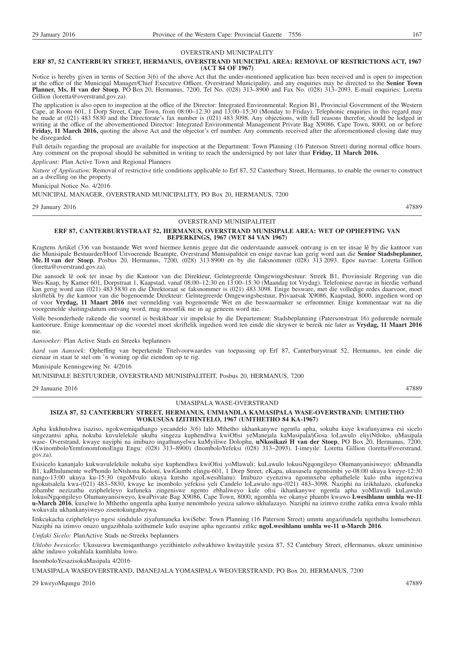#### OVERSTRAND MUNICIPALITY

#### **ERF 87, 52 CANTERBURY STREET, HERMANUS, OVERSTRAND MUNICIPAL AREA: REMOVAL OF RESTRICTIONS ACT, 1967 (ACT 84 OF 1967)**

Notice is hereby given in terms of Section 3(6) of the above Act that the under-mentioned application has been received and is open to inspection at the office of the Municipal Manager/Chief Executive Officer, Overstrand Municipality, and any enquiries may be directed to the **Senior Town Planner, Ms. H van der Stoep**, PO Box 20, Hermanus, 7200, Tel No. (028) 313–8900 and Fax No. (028) 313–2093. E-mail enquiries: Loretta Gillion (loretta@overstrand.gov.za).

The application is also open to inspection at the office of the Director: Integrated Environmental: Region B1, Provincial Government of the Western Cape, at Room 601, 1 Dorp Street, Cape Town, from 08:00–12:30 and 13:00–15:30 (Monday to Friday). Telephonic enquiries in this regard may be made at (021) 483 5830 and the Directorate's fax number is (021) 483 3098. Any objections, with full reasons therefor, should be lodged in writing at the office of the abovementioned Director: Integrated Environmental Management Private Bag X9086, Cape Town, 8000, on or before **Friday, 11 March 2016,** quoting the above Act and the objector's erf number. Any comments received after the aforementioned closing date may be disregarded.

Full details regarding the proposal are available for inspection at the Department: Town Planning (16 Paterson Street) during normal office hours. Any comment on the proposal should be submitted in writing to reach the undersigned by not later than **Friday, 11 March 2016.**

*Applicant:* Plan Active Town and Regional Planners

*Nature of Application:* Removal of restrictive title conditions applicable to Erf 87, 52 Canterbury Street, Hermanus, to enable the owner to construct an a dwelling on the property.

Municipal Notice No. 4/2016

MUNICIPAL MANAGER, OVERSTRAND MUNICIPALITY, PO Box 20, HERMANUS, 7200

29 January 2016 47889

#### OVERSTRAND MUNISIPALITEIT

#### **ERF 87, CANTERBURYSTRAAT 52, HERMANUS, OVERSTRAND MUNISIPALE AREA: WET OP OPHEFFING VAN BEPERKINGS, 1967 (WET 84 VAN 1967)**

Kragtens Artikel (3)6 van bostaande Wet word hiermee kennis gegee dat die onderstaande aansoek ontvang is en ter insae lê by die kantoor van die Munisipale Bestuurder/Hoof Uitvoerende Beampte, Overstrand Munisipaliteit en enige navrae kan gerig word aan die **Senior Stadsbeplanner, Me. H van der Stoep**, Posbus 20, Hermanus, 7200, (028) 313 8900 en by die faksnommer (028) 313 2093. Epos navrae: Loretta Gillion (loretta@overstrand.gov.za).

Die aansoek lê ook ter insae by die Kantoor van die Direkteur, Geïntegreerde Omgewingsbestuur: Streek B1, Provinsiale Regering van die Wes-Kaap, by Kamer 601, Dorpstraat 1, Kaapstad, vanaf 08:00–12:30 en 13:00–15:30 (Maandag tot Vrydag). Telefoniese navrae in hierdie verband kan gerig word aan (021) 483 5830 en die Direktoraat se faksnommer is (021) 483 3098. Enige besware, met die volledige redes daarvoor, moet skriftelik by die kantoor van die bogenoemde Direkteur: Geïntegreerde Omgewingsbestuur, Privaatsak X9086, Kaapstad, 8000, ingedien word op of voor **Vrydag, 11 Maart 2016** met vermelding van bogenoemde Wet en die beswaarmaker se erfnommer. Enige kommentaar wat na die voorgemelde sluitingsdatum ontvang word, mag moontlik nie in ag geneem word nie.

Volle besonderhede rakende die voorstel is beskikbaar vir inspeksie by die Departement: Stadsbeplanning (Patersonstraat 16) gedurende normale kantoorure. Enige kommentaar op die voorstel moet skriftelik ingedien word ten einde die skrywer te bereik nie later as **Vrydag, 11 Maart 2016** nie.

*Aansoeker:* Plan Active Stads en Streeks beplanners

*Aard van Aansoek:* Opheffing van beperkende Titelvoorwaardes van toepassing op Erf 87, Canterburystraat 52, Hermanus, ten einde die eienaar in staat te stel om 'n woning op die eiendom op te rig.

Munisipale Kennisgewing Nr. 4/2016

MUNISIPALE BESTUURDER, OVERSTRAND MUNISIPALITEIT, Posbus 20, HERMANUS, 7200

29 Januarie 2016 47889

#### UMASIPALA WASE-OVERSTRAND

#### **ISIZA 87, 52 CANTERBURY STREET, HERMANUS, UMMANDLA KAMASIPALA WASE-OVERSTRAND: UMTHETHO WOKUSUSA IZITHINTELO, 1967 (UMTHETHO 84 KA-1967)**

Apha kukhutshwa isaziso, ngokwemiqathango yecandelo 3(6) lalo Mthetho ukhankanywe ngentla apha, sokuba kuye kwafunyanwa esi sicelo singezantsi apha, nokuba kuvulelekile ukuba singeza kuphendlwa kwiOfisi yeManejala kaMasipala/iGosa loLawulo eliyiNtloko, uMasipala wase- Overstrand, kwaye nayiphi na imibuzo ingathunyelwa kuMyiliwe Dolophu, **uNkosikazi H van der Stoep**, PO Box 20, Hermanus, 7200, (KwinomboloYemfonomfonoEngu Engu: (028) 313–8900) (InomboloYefeksi (028) 313–2093). I-imeyile: Loretta Gillion (loretta@overstrand. gov.za).

Esisicelo kananjalo kukwavulelekile nokuba siye kuphendlwa kwiOfisi yoMlawuli: kuLawulo lokusiNgqongileyo Olumanyanisiweyo: uMmandla B1, kaRhulumente wePhondo leNtshona Koloni, kwiGumbi elingu-601, 1 Dorp Street, eKapa, ukususela ngentsimbi ye-08:00 ukuya kweye-12:30 nango-13:00 ukuya ku-15:30 (ngoMvulo ukuya kutsho ngoLwesihlanu). Imibuzo eyenziwa ngomnxeba ephathelele kulo mba ingenziwa ngokutsalela kwa-(021) 483–5830, kwaye ke inombolo yefekisi yeli Candelo loLawulo ngu-(021) 483–3098. Naziphi na izikhalazo, ekufuneka zihambe nezizathu ezipheleleyo kufuneka zingeniswe ngento ebhaliweyo kule ofisi ikhankanywe ngentla apha yoMlawuli kuLawulo lokusiNgqongileyo Olumanyanisiweyo, kwaPrivate Bag X9086, Cape Town, 8000, ngomhla we okanye phambi kwawo **Lwesihlanu umhla we-11 u-March 2016**, kuxelwe lo Mthetho ungentla apha kunye nenombolo yesiza salowo ukhalazayo. Naziphi na izimvo ezithe zafika emva kwalo mhla wokuvala ukhankanyiweyo zisenokungahoywa.

Iinkcukacha ezipheleleyo ngesi sindululo ziyafumaneka kwiSebe: Town Planning (16 Paterson Street) umntu angazifundela ngethuba lomsebenzi. Naziphi na izimvo onazo ungazibhala uzithumele kulo usayine apha ngezantsi zifike **ngoLwesihlanu umhla we-11 u-March 2016**.

*Umfaki Sicelo:* PlanActive Stads ne-Streeks beplanners

*Uhlobo Iwesicelo:* Ukususwa kwemiqanthango yezithintelo zolwakhiwo kwitayitile yesiza 87, 52 Cantebury Street, eHermanus, ukuze umininiso akhe indawo yokuhlala kumhlaba lowo.

InomboloYesazisokaMasipala 4/2016

UMASIPALA WASEOVERSTRAND, IMANEJALA YOMASIPALA WEOVERSTRAND, PO Box 20, HERMANUS, 7200

29 kweyoMqungu 2016 47889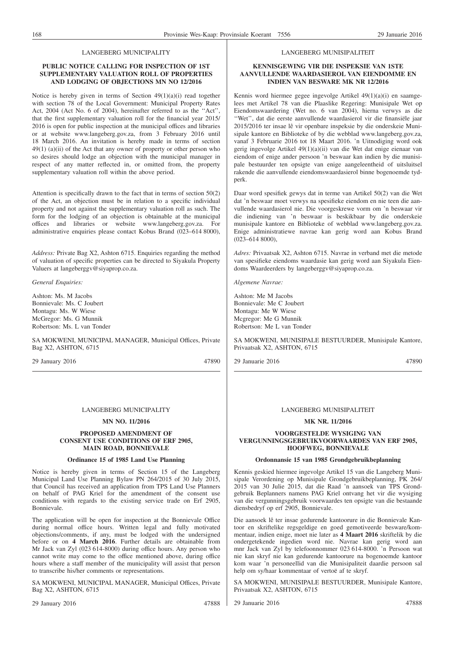#### **PUBLIC NOTICE CALLING FOR INSPECTION OF 1ST SUPPLEMENTARY VALUATION ROLL OF PROPERTIES AND LODGING OF OBJECTIONS MN NO 12/2016**

Notice is hereby given in terms of Section 49(1)(a)(i) read together with section 78 of the Local Government: Municipal Property Rates Act, 2004 (Act No. 6 of 2004), hereinafter referred to as the ''Act'', that the first supplementary valuation roll for the financial year 2015/ 2016 is open for public inspection at the municipal offices and libraries or at website www.langeberg.gov.za, from 3 February 2016 until 18 March 2016. An invitation is hereby made in terms of section  $49(1)$  (a)(ii) of the Act that any owner of property or other person who so desires should lodge an objection with the municipal manager in respect of any matter reflected in, or omitted from, the property supplementary valuation roll within the above period.

Attention is specifically drawn to the fact that in terms of section 50(2) of the Act, an objection must be in relation to a specific individual property and not against the supplementary valuation roll as such. The form for the lodging of an objection is obtainable at the municipal offices and libraries or website www.langeberg.gov.za. For administrative enquiries please contact Kobus Brand (023–614 8000),

*Address:* Private Bag X2, Ashton 6715. Enquiries regarding the method of valuation of specific properties can be directed to Siyakula Property Valuers at langeberggv@siyaprop.co.za.

*General Enquiries:*

Ashton: Ms. M Jacobs Bonnievale: Ms. C Joubert Montagu: Ms. W Wiese McGregor: Ms. G Munnik Robertson: Ms. L van Tonder

SA MOKWENI, MUNICIPAL MANAGER, Municipal Offices, Private Bag X2, ASHTON, 6715

29 January 2016 47890

# LANGEBERG MUNICIPALITY

#### **MN NO. 11/2016**

#### **PROPOSED AMENDMENT OF CONSENT USE CONDITIONS OF ERF 2905, MAIN ROAD, BONNIEVALE**

#### **Ordinance 15 of 1985 Land Use Planning**

Notice is hereby given in terms of Section 15 of the Langeberg Municipal Land Use Planning Bylaw PN 264/2015 of 30 July 2015, that Council has received an application from TPS Land Use Planners on behalf of PAG Kriel for the amendment of the consent use conditions with regards to the existing service trade on Erf 2905, Bonnievale.

The application will be open for inspection at the Bonnievale Office during normal office hours. Written legal and fully motivated objections/comments, if any, must be lodged with the undersigned before or on **4 March 2016**. Further details are obtainable from Mr Jack van Zyl (023 614-8000) during office hours. Any person who cannot write may come to the office mentioned above, during office hours where a staff member of the municipality will assist that person to transcribe his/her comments or representations.

SA MOKWENI, MUNICIPAL MANAGER, Municipal Offices, Private Bag X2, ASHTON, 6715

29 January 2016 47888

#### LANGEBERG MUNISIPALITEIT

#### **KENNISGEWING VIR DIE INSPEKSIE VAN 1STE AANVULLENDE WAARDASIEROL VAN EIENDOMME EN INDIEN VAN BESWARE MK NR 12/2016**

Kennis word hiermee gegee ingevolge Artikel 49(1)(a)(i) en saamgelees met Artikel 78 van die Plaaslike Regering: Munisipale Wet op Eiendomswaardering (Wet no. 6 van 2004), hierna verwys as die ''Wet'', dat die eerste aanvullende waardasierol vir die finansiële jaar 2015/2016 ter insae lê vir openbare inspeksie by die onderskeie Munisipale kantore en Biblioteke of by die webblad www.langeberg.gov.za, vanaf 3 Februarie 2016 tot 18 Maart 2016. 'n Uitnodiging word ook gerig ingevolge Artikel 49(1)(a)(ii) van die Wet dat enige eienaar van eiendom of enige ander persoon 'n beswaar kan indien by die munisipale bestuurder ten opsigte van enige aangeleentheid of uitsluitsel rakende die aanvullende eiendomswaardasierol binne bogenoemde tydperk.

Daar word spesifiek gewys dat in terme van Artikel 50(2) van die Wet dat 'n beswaar moet verwys na spesifieke eiendom en nie teen die aanvullende waardasierol nie. Die voorgeskrewe vorm om 'n beswaar vir die indiening van 'n beswaar is beskikbaar by die onderskeie munisipale kantore en Biblioteke of webblad www.langeberg.gov.za. Enige administratiewe navrae kan gerig word aan Kobus Brand  $(023-6148000)$ ,

*Adres:* Privaatsak X2, Ashton 6715. Navrae in verband met die metode van spesifieke eiendoms waardasie kan gerig word aan Siyakula Eiendoms Waardeerders by langeberggv@siyaprop.co.za.

*Algemene Navrae:*

Ashton: Me M Jacobs Bonnievale: Me C Joubert Montagu: Me W Wiese Mcgregor: Me G Munnik Robertson: Me L van Tonder

SA MOKWENI, MUNISIPALE BESTUURDER, Munisipale Kantore, Privaatsak X2, ASHTON, 6715

29 Januarie 2016 47890

# LANGEBERG MUNISIPALITEIT

#### **MK NR. 11/2016**

#### **VOORGESTELDE WYSIGING VAN VERGUNNINGSGEBRUIKVOORWAARDES VAN ERF 2905, HOOFWEG, BONNIEVALE**

#### **Ordonnansie 15 van 1985 Grondgebruikbeplanning**

Kennis geskied hiermee ingevolge Artikel 15 van die Langeberg Munisipale Verordening op Munisipale Grondgebruikbeplanning, PK 264/ 2015 van 30 Julie 2015, dat die Raad 'n aansoek van TPS Grondgebruik Beplanners namens PAG Kriel ontvang het vir die wysiging van die vergunningsgebruik voorwaardes ten opsigte van die bestaande diensbedryf op erf 2905, Bonnievale.

Die aansoek lê ter insae gedurende kantoorure in die Bonnievale Kantoor en skriftelike regsgeldige en goed gemotiveerde besware/kommentaar, indien enige, moet nie later as **4 Maart 2016** skriftelik by die ondergetekende ingedien word nie. Navrae kan gerig word aan mnr Jack van Zyl by telefoonnommer 023 614-8000. 'n Persoon wat nie kan skryf nie kan gedurende kantoorure na bogenoemde kantoor kom waar 'n personeellid van die Munisipaliteit daardie persoon sal help om sy/haar kommentaar of vertoë af te skryf.

SA MOKWENI, MUNISIPALE BESTUURDER, Munisipale Kantore, Privaatsak X2, ASHTON, 6715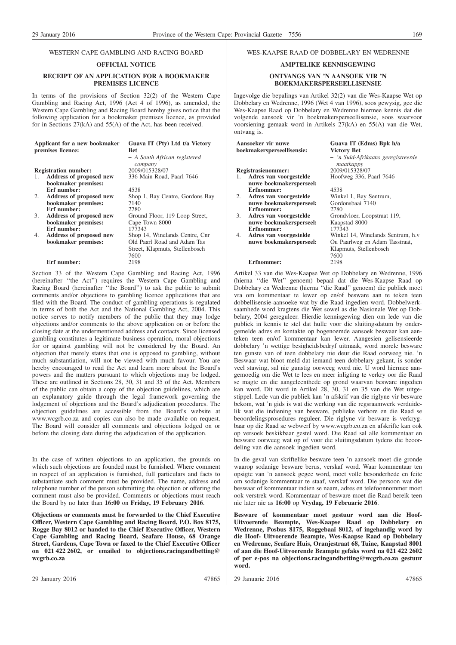# WESTERN CAPE GAMBLING AND RACING BOARD

#### **OFFICIAL NOTICE**

#### **RECEIPT OF AN APPLICATION FOR A BOOKMAKER PREMISES LICENCE**

In terms of the provisions of Section 32(2) of the Western Cape Gambling and Racing Act, 1996 (Act 4 of 1996), as amended, the Western Cape Gambling and Racing Board hereby gives notice that the following application for a bookmaker premises licence, as provided for in Sections 27(kA) and 55(A) of the Act, has been received.

|                   | Applicant for a new bookmaker | Guava IT (Pty) Ltd t/a Victory          |
|-------------------|-------------------------------|-----------------------------------------|
| premises licence: |                               | <b>Bet</b>                              |
|                   |                               | - A South African registered<br>company |
|                   | <b>Registration number:</b>   | 2009/015328/07                          |
| 1.                | Address of proposed new       | 336 Main Road, Paarl 7646               |
|                   | bookmaker premises:           |                                         |
|                   | Erf number:                   | 4538                                    |
| 2.                | Address of proposed new       | Shop 1, Bay Centre, Gordons Bay         |
|                   | bookmaker premises:           | 7140                                    |
|                   | Erf number:                   | 2780                                    |
| 3.                | Address of proposed new       | Ground Floor, 119 Loop Street,          |
|                   | bookmaker premises:           | Cape Town 8000                          |
|                   | Erf number:                   | 177343                                  |
| 4.                | Address of proposed new       | Shop 14, Winelands Centre, Cnr.         |
|                   | bookmaker premises:           | Old Paarl Road and Adam Tas             |
|                   |                               | Street, Klapmuts, Stellenbosch          |
|                   |                               | 7600                                    |
|                   | Erf number:                   | 2198                                    |

Section 33 of the Western Cape Gambling and Racing Act, 1996 (hereinafter ''the Act'') requires the Western Cape Gambling and Racing Board (hereinafter ''the Board'') to ask the public to submit comments and/or objections to gambling licence applications that are filed with the Board. The conduct of gambling operations is regulated in terms of both the Act and the National Gambling Act, 2004. This notice serves to notify members of the public that they may lodge objections and/or comments to the above application on or before the closing date at the undermentioned address and contacts. Since licensed gambling constitutes a legitimate business operation, moral objections for or against gambling will not be considered by the Board. An objection that merely states that one is opposed to gambling, without much substantiation, will not be viewed with much favour. You are hereby encouraged to read the Act and learn more about the Board's powers and the matters pursuant to which objections may be lodged. These are outlined in Sections 28, 30, 31 and 35 of the Act. Members of the public can obtain a copy of the objection guidelines, which are an explanatory guide through the legal framework governing the lodgement of objections and the Board's adjudication procedures. The objection guidelines are accessible from the Board's website at www.wcgrb.co.za and copies can also be made available on request. The Board will consider all comments and objections lodged on or before the closing date during the adjudication of the application.

In the case of written objections to an application, the grounds on which such objections are founded must be furnished. Where comment in respect of an application is furnished, full particulars and facts to substantiate such comment must be provided. The name, address and telephone number of the person submitting the objection or offering the comment must also be provided. Comments or objections must reach the Board by no later than **16:00** on **Friday, 19 February 2016**.

**Objections or comments must be forwarded to the Chief Executive Officer, Western Cape Gambling and Racing Board, P.O. Box 8175, Rogge Bay 8012 or handed to the Chief Executive Officer, Western Cape Gambling and Racing Board, Seafare House, 68 Orange Street, Gardens, Cape Town or faxed to the Chief Executive Officer on 021 422 2602, or emailed to objections.racingandbetting@ wcgrb.co.za**

# WES-KAAPSE RAAD OP DOBBELARY EN WEDRENNE

### **AMPTELIKE KENNISGEWING**

#### **ONTVANGS VAN 'N AANSOEK VIR 'N BOEKMAKERSPERSEELLISENSIE**

Ingevolge die bepalings van Artikel 32(2) van die Wes-Kaapse Wet op Dobbelary en Wedrenne, 1996 (Wet 4 van 1996), soos gewysig, gee die Wes-Kaapse Raad op Dobbelary en Wedrenne hiermee kennis dat die volgende aansoek vir 'n boekmakersperseellisensie, soos waarvoor voorsiening gemaak word in Artikels 27(kA) en 55(A) van die Wet, ontvang is.

|                            | Aansoeker vir nuwe      | Guava IT (Edms) Bpk h/a            |
|----------------------------|-------------------------|------------------------------------|
| boekmakersperseellisensie: |                         | Victory Bet                        |
|                            |                         | - 'n Suid-Afrikaans geregistreerde |
|                            | Registrasienommer:      | maatkappy<br>2009/015328/07        |
| 1.                         | Adres van voorgestelde  | Hoofweg 336, Paarl 7646            |
|                            | nuwe boekmakersperseel: |                                    |
|                            | Erfnommer:              | 4538                               |
| 2.                         | Adres van voorgestelde  | Winkel 1, Bay Sentrum,             |
|                            | nuwe boekmakersperseel: | Gordonsbaai 7140                   |
|                            | Erfnommer:              | 2780                               |
| 3.                         | Adres van voorgestelde  | Grondvloer, Loopstraat 119,        |
|                            | nuwe boekmakersperseel: | Kaapstad 8000                      |
|                            | Erfnommer:              | 177343                             |
| 4.                         | Adres van voorgestelde  | Winkel 14, Winelands Sentrum, h.v  |
|                            | nuwe boekmakersperseel: | Ou Paarlweg en Adam Tasstraat,     |
|                            |                         | Klapmuts, Stellenbosch             |
|                            |                         | 7600                               |
|                            | Erfnommer:              | 2198                               |
|                            |                         |                                    |

Artikel 33 van die Wes-Kaapse Wet op Dobbelary en Wedrenne, 1996 (hierna ''die Wet'' genoem) bepaal dat die Wes-Kaapse Raad op Dobbelary en Wedrenne (hierna ''die Raad'' genoem) die publiek moet vra om kommentaar te lewer op en/of besware aan te teken teen dobbellisensie-aansoeke wat by die Raad ingedien word. Dobbelwerksaamhede word kragtens die Wet sowel as die Nasionale Wet op Dobbelary, 2004 gereguleer. Hierdie kennisgewing dien om lede van die publiek in kennis te stel dat hulle voor die sluitingsdatum by ondergemelde adres en kontakte op bogenoemde aansoek beswaar kan aanteken teen en/of kommentaar kan lewer. Aangesien gelisensieerde dobbelary 'n wettige besigheidsbedryf uitmaak, word morele besware ten gunste van of teen dobbelary nie deur die Raad oorweeg nie. 'n Beswaar wat bloot meld dat iemand teen dobbelary gekant, is sonder veel stawing, sal nie gunstig oorweeg word nie. U word hiermee aangemoedig om die Wet te lees en meer inligting te verkry oor die Raad se magte en die aangeleenthede op grond waarvan besware ingedien kan word. Dit word in Artikel 28, 30, 31 en 35 van die Wet uitgestippel. Lede van die publiek kan 'n afskrif van die riglyne vir besware bekom, wat 'n gids is wat die werking van die regsraamwerk verduidelik wat die indiening van besware, publieke verhore en die Raad se beoordelingsprosedures reguleer. Die riglyne vir besware is verkrygbaar op die Raad se webwerf by www.wcgrb.co.za en afskrifte kan ook op versoek beskikbaar gestel word. Die Raad sal alle kommentaar en besware oorweeg wat op of voor die sluitingsdatum tydens die beoordeling van die aansoek ingedien word.

In die geval van skriftelike besware teen 'n aansoek moet die gronde waarop sodanige besware berus, verskaf word. Waar kommentaar ten opsigte van 'n aansoek gegee word, moet volle besonderhede en feite om sodanige kommentaar te staaf, verskaf word. Die persoon wat die beswaar of kommentaar indien se naam, adres en telefoonnommer moet ook verstrek word. Kommentaar of besware moet die Raad bereik teen nie later nie as **16:00** op **Vrydag, 19 Februarie 2016**.

**Besware of kommentaar moet gestuur word aan die Hoof-Uitvoerende Beampte, Wes-Kaapse Raad op Dobbelary en Wedrenne, Posbus 8175, Roggebaai 8012, of ingehandig word by die Hoof- Uitvoerende Beampte, Wes-Kaapse Raad op Dobbelary en Wedrenne, Seafare Huis, Oranjestraat 68, Tuine, Kaapstad 8001 of aan die Hoof-Uitvoerende Beampte gefaks word na 021 422 2602 of per e-pos na objections.racingandbetting@wcgrb.co.za gestuur word.**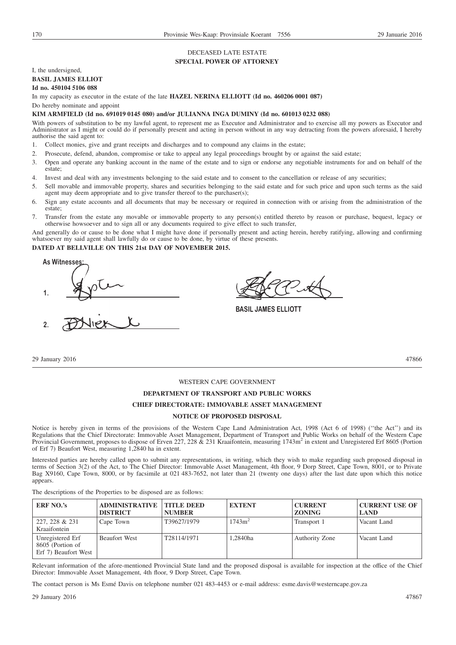# DECEASED LATE ESTATE

# **SPECIAL POWER OF ATTORNEY**

I, the undersigned,

# **BASIL JAMES ELLIOT**

**Id no. 450104 5106 088**

In my capacity as executor in the estate of the late **HAZEL NERINA ELLIOTT (Id no. 460206 0001 087)**

Do hereby nominate and appoint

#### **KIM ARMFIELD (Id no. 691019 0145 080) and/or JULIANNA INGA DUMINY (Id no. 601013 0232 088)**

With powers of substitution to be my lawful agent, to represent me as Executor and Administrator and to exercise all my powers as Executor and Administrator as I might or could do if personally present and acting in person without in any way detracting from the powers aforesaid, I hereby authorise the said agent to:

- 1. Collect monies, give and grant receipts and discharges and to compound any claims in the estate;
- 2. Prosecute, defend, abandon, compromise or take to appeal any legal proceedings brought by or against the said estate;
- 3. Open and operate any banking account in the name of the estate and to sign or endorse any negotiable instruments for and on behalf of the estate;
- 4. Invest and deal with any investments belonging to the said estate and to consent to the cancellation or release of any securities;
- 5. Sell movable and immovable property, shares and securities belonging to the said estate and for such price and upon such terms as the said agent may deem appropriate and to give transfer thereof to the purchaser(s);
- 6. Sign any estate accounts and all documents that may be necessary or required in connection with or arising from the administration of the estate;
- 7. Transfer from the estate any movable or immovable property to any person(s) entitled thereto by reason or purchase, bequest, legacy or otherwise howsoever and to sign all or any documents required to give effect to such transfer,

And generally do or cause to be done what I might have done if personally present and acting herein, hereby ratifying, allowing and confirming whatsoever my said agent shall lawfully do or cause to be done, by virtue of these presents.

#### **DATED AT BELLVILLE ON THIS 21st DAY OF NOVEMBER 2015.**

**As Witnesse 1.**

**2.**

**BASIL JAMES ELLIOTT**

29 January 2016 47866

#### WESTERN CAPE GOVERNMENT

#### **DEPARTMENT OF TRANSPORT AND PUBLIC WORKS**

#### **CHIEF DIRECTORATE: IMMOVABLE ASSET MANAGEMENT**

#### **NOTICE OF PROPOSED DISPOSAL**

Notice is hereby given in terms of the provisions of the Western Cape Land Administration Act, 1998 (Act 6 of 1998) (''the Act'') and its Regulations that the Chief Directorate: Immovable Asset Management, Department of Transport and Public Works on behalf of the Western Cape Provincial Government, proposes to dispose of Erven 227, 228 & 231 Kraaifontein, measuring 1743m<sup>2</sup> in extent and Unregistered Erf 8605 (Portion of Erf 7) Beaufort West, measuring 1,2840 ha in extent.

Interested parties are hereby called upon to submit any representations, in writing, which they wish to make regarding such proposed disposal in terms of Section 3(2) of the Act, to The Chief Director: Immovable Asset Management, 4th floor, 9 Dorp Street, Cape Town, 8001, or to Private Bag X9160, Cape Town, 8000, or by facsimile at 021 483-7652, not later than 21 (twenty one days) after the last date upon which this notice appears.

The descriptions of the Properties to be disposed are as follows:

| <b>ERF NO.'s</b>                                             | <b>ADMINISTRATIVE</b><br><b>DISTRICT</b> | <b>TITLE DEED</b><br><b>NUMBER</b> | <b>EXTENT</b>      | <b>CURRENT</b><br><b>ZONING</b> | <b>CURRENT USE OF</b><br><b>LAND</b> |
|--------------------------------------------------------------|------------------------------------------|------------------------------------|--------------------|---------------------------------|--------------------------------------|
| 227, 228 & 231<br>Kraaifontein                               | Cape Town                                | T39627/1979                        | 1743m <sup>2</sup> | Transport 1                     | Vacant Land                          |
| Unregistered Erf<br>8605 (Portion of<br>Erf 7) Beaufort West | <b>Beaufort West</b>                     | T28114/1971                        | .2840ha            | Authority Zone                  | Vacant Land                          |

Relevant information of the afore-mentioned Provincial State land and the proposed disposal is available for inspection at the office of the Chief Director: Immovable Asset Management, 4th floor, 9 Dorp Street, Cape Town.

The contact person is Ms Esmé Davis on telephone number 021 483-4453 or e-mail address: esme.davis@westerncape.gov.za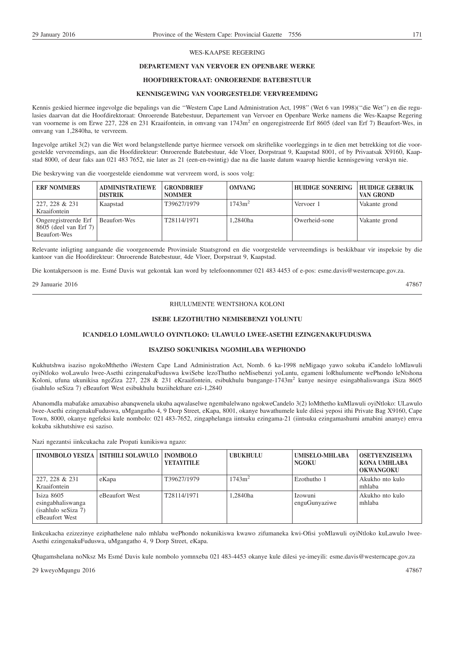#### WES-KAAPSE REGERING

### **DEPARTEMENT VAN VERVOER EN OPENBARE WERKE**

### **HOOFDIREKTORAAT: ONROERENDE BATEBESTUUR**

#### **KENNISGEWING VAN VOORGESTELDE VERVREEMDING**

Kennis geskied hiermee ingevolge die bepalings van die ''Western Cape Land Administration Act, 1998'' (Wet 6 van 1998)(''die Wet'') en die regulasies daarvan dat die Hoofdirektoraat: Onroerende Batebestuur, Departement van Vervoer en Openbare Werke namens die Wes-Kaapse Regering van voorneme is om Erwe 227, 228 en 231 Kraaifontein, in omvang van 1743m<sup>2</sup> en ongeregistreerde Erf 8605 (deel van Erf 7) Beaufort-Wes, in omvang van 1,2840ha, te vervreem.

Ingevolge artikel 3(2) van die Wet word belangstellende partye hiermee versoek om skriftelike voorleggings in te dien met betrekking tot die voorgestelde vervreemdings, aan die Hoofdirekteur: Onroerende Batebestuur, 4de Vloer, Dorpstraat 9, Kaapstad 8001, of by Privaatsak X9160, Kaapstad 8000, of deur faks aan 021 483 7652, nie later as 21 (een-en-twintig) dae na die laaste datum waarop hierdie kennisgewing verskyn nie.

Die beskrywing van die voorgestelde eiendomme wat vervreem word, is soos volg:

| <b>ERF NOMMERS</b>                                            | <b>ADMINISTRATIEWE</b><br><b>DISTRIK</b> | <b>GRONDBRIEF</b><br><b>NOMMER</b> | <b>OMVANG</b>      | <b>HUIDIGE SONERING</b> | <b>HUIDIGE GEBRUIK</b><br>VAN GROND |
|---------------------------------------------------------------|------------------------------------------|------------------------------------|--------------------|-------------------------|-------------------------------------|
| 227, 228 & 231<br>Kraaifontein                                | Kaapstad                                 | T39627/1979                        | 1743m <sup>2</sup> | Vervoer 1               | Vakante grond                       |
| Ongeregistreerde Erf<br>8605 (deel van Erf 7)<br>Beaufort-Wes | Beaufort-Wes                             | T28114/1971                        | 1.2840ha           | Owerheid-sone           | Vakante grond                       |

Relevante inligting aangaande die voorgenoemde Provinsiale Staatsgrond en die voorgestelde vervreemdings is beskikbaar vir inspeksie by die kantoor van die Hoofdirekteur: Onroerende Batebestuur, 4de Vloer, Dorpstraat 9, Kaapstad.

Die kontakpersoon is me. Esmé Davis wat gekontak kan word by telefoonnommer 021 483 4453 of e-pos: esme.davis@westerncape.gov.za.

29 Januarie 2016 47867

#### RHULUMENTE WENTSHONA KOLONI

#### **ISEBE LEZOTHUTHO NEMISEBENZI YOLUNTU**

#### **ICANDELO LOMLAWULO OYINTLOKO: ULAWULO LWEE-ASETHI EZINGENAKUFUDUSWA**

#### **ISAZISO SOKUNIKISA NGOMHLABA WEPHONDO**

Kukhutshwa isaziso ngokoMthetho iWestern Cape Land Administration Act, Nomb. 6 ka-1998 neMigaqo yawo sokuba iCandelo loMlawuli oyiNtloko woLawulo lwee-Asethi ezingenakuFuduswa kwiSebe lezoThutho neMisebenzi yoLuntu, egameni loRhulumente wePhondo leNtshona Koloni, ufuna ukunikisa ngeZiza 227, 228 & 231 eKraaifontein, esibukhulu bungange-1743m<sup>2</sup> kunye nesinye esingabhaliswanga iSiza 8605 (isahlulo seSiza 7) eBeaufort West esibukhulu buziihekthare ezi-1,2840

Abanomdla mabafake amaxabiso abanqwenela ukuba aqwalaselwe ngembalelwano ngokweCandelo 3(2) loMthetho kuMlawuli oyiNtloko: ULawulo lwee-Asethi ezingenakuFuduswa, uMgangatho 4, 9 Dorp Street, eKapa, 8001, okanye bawathumele kule dilesi yeposi ithi Private Bag X9160, Cape Town, 8000, okanye ngefeksi kule nombolo: 021 483-7652, zingaphelanga iintsuku ezingama-21 (iintsuku ezingamashumi amabini ananye) emva kokuba sikhutshiwe esi saziso.

Nazi ngezantsi iinkcukacha zale Propati kunikiswa ngazo:

|                                                                          | IINOMBOLO YESIZA   ISITHILI SOLAWULO   INOMBOLO | <b>YETAYITILE</b> | UBUKHULU           | <b>UMISELO-MHLABA</b><br><b>NGOKU</b> | <b>OSETYENZISELWA</b><br>KONA UMHLABA<br><b>OKWANGOKU</b> |
|--------------------------------------------------------------------------|-------------------------------------------------|-------------------|--------------------|---------------------------------------|-----------------------------------------------------------|
| 227, 228 & 231<br>Kraaifontein                                           | eKapa                                           | T39627/1979       | 1743m <sup>2</sup> | Ezothutho 1                           | Akukho nto kulo<br>mhlaba                                 |
| Isiza 8605<br>esingabhaliswanga<br>(isahlulo seSize 7)<br>eBeaufort West | eBeaufort West                                  | T28114/1971       | l.2840ha           | Izowuni<br>enguGunyaziwe              | Akukho nto kulo<br>mhlaba                                 |

Iinkcukacha ezizezinye eziphathelene nalo mhlaba wePhondo nokunikiswa kwawo zifumaneka kwi-Ofisi yoMlawuli oyiNtloko kuLawulo lwee-Asethi ezingenakuFuduswa, uMgangatho 4, 9 Dorp Street, eKapa.

Qhagamshelana noNksz Ms Esmé Davis kule nombolo yomnxeba 021 483-4453 okanye kule dilesi ye-imeyili: esme.davis@westerncape.gov.za

29 kweyoMqungu 2016 47867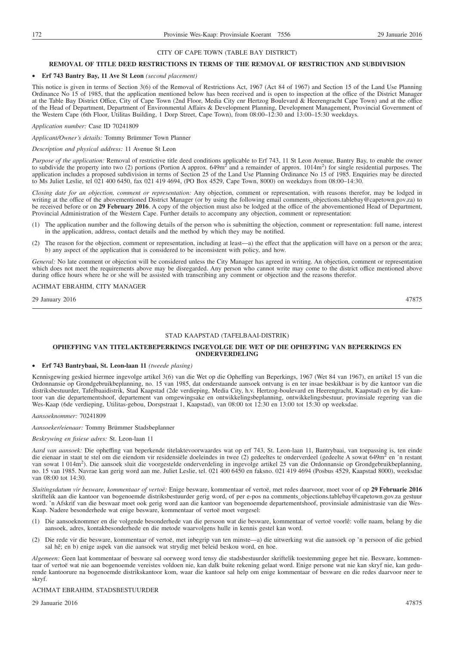#### **REMOVAL OF TITLE DEED RESTRICTIONS IN TERMS OF THE REMOVAL OF RESTRICTION AND SUBDIVISION**

#### • **Erf 743 Bantry Bay, 11 Ave St Leon** *(second placement)*

This notice is given in terms of Section 3(6) of the Removal of Restrictions Act, 1967 (Act 84 of 1967) and Section 15 of the Land Use Planning Ordinance No 15 of 1985, that the application mentioned below has been received and is open to inspection at the office of the District Manager at the Table Bay District Office, City of Cape Town (2nd Floor, Media City cnr Hertzog Boulevard & Heerengracht Cape Town) and at the office of the Head of Department, Department of Environmental Affairs & Development Planning, Development Management, Provincial Government of the Western Cape (6th Floor, Utilitas Building, 1 Dorp Street, Cape Town), from 08:00–12:30 and 13:00–15:30 weekdays.

*Application number:* Case ID 70241809

*Applicant/Owner's details:* Tommy Brümmer Town Planner

#### *Description and physical address:* 11 Avenue St Leon

*Purpose of the application:* Removal of restrictive title deed conditions applicable to Erf 743, 11 St Leon Avenue, Bantry Bay, to enable the owner to subdivide the property into two (2) portions (Portion A approx.  $649m<sup>2</sup>$  and a remainder of approx.  $1014m<sup>2</sup>$ ) for single residential purposes. The application includes a proposed subdivision in terms of Section 25 of the Land Use Planning Ordinance No 15 of 1985. Enquiries may be directed to Ms Juliet Leslie, tel 021 400 6450, fax 021 419 4694, (PO Box 4529, Cape Town, 8000) on weekdays from 08:00–14:30.

*Closing date for an objection, comment or representation:* Any objection, comment or representation, with reasons therefor, may be lodged in writing at the office of the abovementioned District Manager (or by using the following email comments\_objections.tablebay@capetown.gov.za) to be received before or on **29 February 2016**. A copy of the objection must also be lodged at the office of the abovementioned Head of Department, Provincial Administration of the Western Cape. Further details to accompany any objection, comment or representation:

- (1) The application number and the following details of the person who is submitting the objection, comment or representation: full name, interest in the application, address, contact details and the method by which they may be notified.
- (2) The reason for the objection, comment or representation, including at least—a) the effect that the application will have on a person or the area; b) any aspect of the application that is considered to be inconsistent with policy, and how.

*General:* No late comment or objection will be considered unless the City Manager has agreed in writing. An objection, comment or representation which does not meet the requirements above may be disregarded. Any person who cannot write may come to the district office mentioned above during office hours where he or she will be assisted with transcribing any comment or objection and the reasons therefor.

#### ACHMAT EBRAHIM, CITY MANAGER

29 January 2016 47875

#### STAD KAAPSTAD (TAFELBAAI-DISTRIK)

#### **OPHEFFING VAN TITELAKTEBEPERKINGS INGEVOLGE DIE WET OP DIE OPHEFFING VAN BEPERKINGS EN ONDERVERDELING**

# • **Erf 743 Bantrybaai, St. Leon-laan 11** *(tweede plasing)*

Kennisgewing geskied hiermee ingevolge artikel 3(6) van die Wet op die Opheffing van Beperkings, 1967 (Wet 84 van 1967), en artikel 15 van die Ordonnansie op Grondgebruikbeplanning, no. 15 van 1985, dat onderstaande aansoek ontvang is en ter insae beskikbaar is by die kantoor van die distriksbestuurder, Tafelbaaidistrik, Stad Kaapstad (2de verdieping, Media City, h.v. Hertzog-boulevard en Heerengracht, Kaapstad) en by die kantoor van die departementshoof, departement van omgewingsake en ontwikkelingsbeplanning, ontwikkelingsbestuur, provinsiale regering van die Wes-Kaap (6de verdieping, Utilitas-gebou, Dorspstraat 1, Kaapstad), van 08:00 tot 12:30 en 13:00 tot 15:30 op weeksdae.

# *Aansoeknommer:* 70241809

#### *Aansoeker/eienaar:* Tommy Brümmer Stadsbeplanner

#### *Beskrywing en fisiese adres:* St. Leon-laan 11

*Aard van aansoek:* Die opheffing van beperkende titelaktevoorwaardes wat op erf 743, St. Leon-laan 11, Bantrybaai, van toepassing is, ten einde die eienaar in staat te stel om die eiendom vir residensiële doeleindes in twee (2) gedeeltes te onderverdeel (gedeelte A sowat 649m<sup>2</sup> en 'n restant van sowat 1 014m<sup>2</sup>). Die aansoek sluit die voorgestelde onderverdeling in ingevolge artikel 25 van die Ordonnansie op Grondgebruikbeplanning, no. 15 van 1985. Navrae kan gerig word aan me. Juliet Leslie, tel. 021 400 6450 en faksno. 021 419 4694 (Posbus 4529, Kaapstad 8000), weeksdae van 08:00 tot 14:30.

*Sluitingsdatum vir besware, kommentaar of vertoë:* Enige besware, kommentaar of vertoë, met redes daarvoor, moet voor of op **29 Februarie 2016** skriftelik aan die kantoor van bogenoemde distriksbestuurder gerig word, of per e-pos na comments\_objections.tablebay@capetown.gov.za gestuur word. 'n Afskrif van die beswaar moet ook gerig word aan die kantoor van bogenoemde departementshoof, provinsiale administrasie van die Wes-Kaap. Nadere besonderhede wat enige besware, kommentaar of vertoë moet vergesel:

- (1) Die aansoeknommer en die volgende besonderhede van die persoon wat die besware, kommentaar of vertoë voorlê: volle naam, belang by die aansoek, adres, kontakbesonderhede en die metode waarvolgens hulle in kennis gestel kan word.
- (2) Die rede vir die besware, kommentaar of vertoë, met inbegrip van ten minste—a) die uitwerking wat die aansoek op 'n persoon of die gebied sal hê; en b) enige aspek van die aansoek wat strydig met beleid beskou word, en hoe.

*Algemeen:* Geen laat kommentaar of besware sal oorweeg word tensy die stadsbestuurder skriftelik toestemming gegee het nie. Besware, kommentaar of vertoë wat nie aan bogenoemde vereistes voldoen nie, kan dalk buite rekening gelaat word. Enige persone wat nie kan skryf nie, kan gedurende kantoorure na bogenoemde distrikskantoor kom, waar die kantoor sal help om enige kommentaar of besware en die redes daarvoor neer te skryf.

#### ACHMAT EBRAHIM, STADSBESTUURDER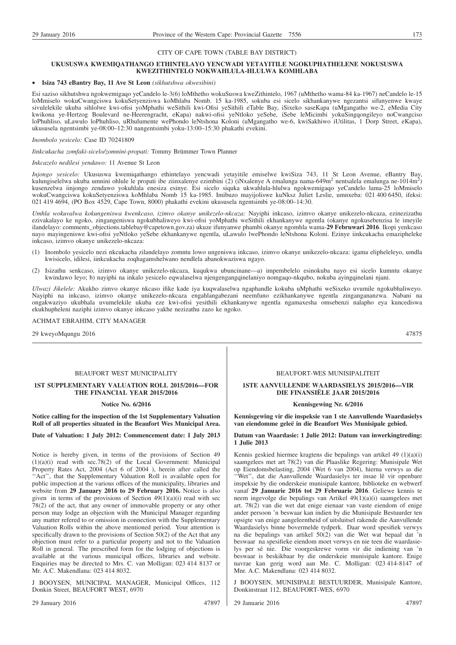#### **UKUSUSWA KWEMIQATHANGO ETHINTELAYO YENCWADI YETAYITILE NGOKUPHATHELENE NOKUSUSWA KWEZITHINTELO NOKWAHLULA-HLULWA KOMHLABA**

#### • **Isiza 743 eBantry Bay, 11 Ave St Leon** *(sikhutshwa okwesibini)*

Esi saziso sikhutshwa ngokwemigaqo yeCandelo le-3(6) loMthetho wokuSuswa kweZithintelo, 1967 (uMthetho wama-84 ka-1967) neCandelo le-15 loMmiselo wokuCwangciswa kokuSetyenziswa koMhlaba Nomb. 15 ka-1985, sokuba esi sicelo sikhankanywe ngezantsi sifunyenwe kwaye sivulelekile ukuba sihlolwe kwi-ofisi yoMphathi weSithili kwi-Ofisi yeSithili eTable Bay, iSixeko saseKapa (uMgangatho we-2, eMedia City kwikona ye-Hertzog Boulevard ne-Heerengracht, eKapa) nakwi-ofisi yeNtloko yeSebe, iSebe leMicimbi yokuSingqongileyo noCwangciso loPhuhliso, uLawulo loPhuhliso, uRhulumente wePhondo leNtshona Koloni (uMgangatho we-6, kwiSakhiwo iUtilitas, 1 Dorp Street, eKapa), ukususela ngentsimbi ye-08:00–12:30 nangentsimbi yoku-13:00–15:30 phakathi evekini.

#### *Inombolo yesicelo:* Case ID 70241809

*Iinkcukacha zomfaki-sicelo/zomnini-propati:* Tommy Brümmer Town Planner

#### *Inkcazelo nedilesi yendawo:* 11 Avenue St Leon

*Injongo yesicelo:* Ukususwa kwemiqathango ethintelayo yencwadi yetayitile emiselwe kwiSiza 743, 11 St Leon Avenue, eBantry Bay, kulungiselelwa ukuba umnini ohlule le propati ibe ziinxalenye ezimbini (2) (iNxalenye A emalunga nama-649m<sup>2</sup> nentsalela emalunga ne-1014m<sup>2</sup>) kusenzelwa iinjongo zendawo yokuhlala enesiza esinye. Esi sicelo siquka ukwahlula-hlulwa ngokwemigaqo yeCandelo lama-25 loMmiselo wokuCwangciswa kokuSetyenziswa koMhlaba Nomb 15 ka-1985. Imibuzo mayijoliswe kuNksz Juliet Leslie, umnxeba: 021 400 6450, ifeksi: 021 419 4694, (PO Box 4529, Cape Town, 8000) phakathi evekini ukususela ngentsimbi ye-08:00–14:30.

*Umhla wokuvalwa kokungeniswa kwenkcaso, izimvo okanye unikezelo-nkcaza:* Nayiphi inkcaso, izimvo okanye unikezelo-nkcaza, ezinezizathu ezivakalayo ke ngoko, zingangeniswa ngokubhaliweyo kwi-ofisi yoMphathi weSithili ekhankanywe ngentla (okanye ngokusebenzisa le imeyile ilandelayo: comments\_objections.tablebay@capetown.gov.za) ukuze ifunyanwe phambi okanye ngomhla wama-**29 Februwari 2016**. Ikopi yenkcaso nayo mayingeniswe kwi-ofisi yeNtloko yeSebe ekhankanywe ngentla, uLawulo lwePhondo leNtshona Koloni. Ezinye iinkcukacha emazipheleke inkcaso, izimvo okanye unikezelo-nkcaza:

- (1) Inombolo yesicelo nezi nkcukacha zilandelayo zomntu lowo ungeniswa inkcaso, izimvo okanye unikezelo-nkcaza: igama elipheleleyo, umdla kwisicelo, idilesi, iinkcukacha zoqhagamshelwano nendlela abanokwaziswa ngayo.
- (2) Isizathu senkcaso, izimvo okanye unikezelo-nkcaza, kuqukwa ubuncinane—a) impembelelo esinokuba nayo esi sicelo kumntu okanye kwindawo leyo; b) nayiphi na inkalo yesicelo eqwalaselwa njengengangqinelaniyo nomgaqo-nkqubo, nokuba ayingqinelani njani.

*Ulwazi Jikelele:* Akukho zimvo okanye nkcaso ifike kade iya kuqwalaselwa ngaphandle kokuba uMphathi weSixeko uvumile ngokubhaliweyo. Nayiphi na inkcaso, izimvo okanye unikezelo-nkcaza engahlangabezani neemfuno ezikhankanywe ngentla zingangananzwa. Nabani na ongakwaziyo ukubhala uvumelekile ukuba eze kwi-ofisi yesithili ekhankanywe ngentla ngamaxesha omsebenzi nalapho eya kuncediswa ekukhupheleni naziphi izimvo okanye inkcaso yakhe nezizathu zazo ke ngoko.

ACHMAT EBRAHIM, CITY MANAGER

29 kweyoMqungu 2016 47875

# BEAUFORT WEST MUNICIPALITY

#### **1ST SUPPLEMENTARY VALUATION ROLL 2015/2016—FOR THE FINANCIAL YEAR 2015/2016**

#### **Notice No. 6/2016**

#### **Notice calling for the inspection of the 1st Supplementary Valuation Roll of all properties situated in the Beaufort Wes Municipal Area.**

#### **Date of Valuation: 1 July 2012: Commencement date: 1 July 2013**

Notice is hereby given, in terms of the provisions of Section 49 (1)(a)(i) read with sec.78(2) of the Local Government: Municipal Property Rates Act, 2004 (Act 6 of 2004 ), herein after called the ''Act'', that the Supplementary Valuation Roll is available open for public inspection at the various offices of the municipality, libraries and website from **29 January 2016 to 29 February 2016.** Notice is also given in terms of the provisions of Section  $49(1)(a)(i)$  read with sec 78(2) of the act, that any owner of immovable property or any other person may lodge an objection with the Municipal Manager regarding any matter refered to or omission in connection with the Supplementary Valuation Rolls within the above mentioned period. Your attention is specifically drawn to the provisions of Section 50(2) of the Act that any objection must refer to a particular property and not to the Valuation Roll in general. The prescribed form for the lodging of objections is available at the various municipal offices, libraries and website. Enquiries may be directed to Mrs. C. van Molligan: 023 414 8137 or Mr. A.C. Makendlana: 023 414 8032.

J BOOYSEN, MUNICIPAL MANAGER, Municipal Offices, 112 Donkin Street, BEAUFORT WEST, 6970

#### 29 January 2016 47897

#### BEAUFORT-WES MUNISIPALITEIT

#### **1STE AANVULLENDE WAARDASIELYS 2015/2016—VIR DIE FINANSIËLE JAAR 2015/2016**

#### **Kennisgewing Nr. 6/2016**

**Kennisgewing vir die inspeksie van 1 ste Aanvullende Waardasielys van eiendomme geleë in die Beaufort Wes Munisipale gebied.**

#### **Datum van Waardasie: 1 Julie 2012: Datum van inwerkingtreding: 1 Julie 2013**

Kennis geskied hiermee kragtens die bepalings van artikel 49 (1)(a)(i) saamgelees met art 78(2) van die Plaaslike Regering: Munisipale Wet op Eiendomsbelasting, 2004 (Wet 6 van 2004), hierna verwys as die ''Wet'', dat die Aanvullende Waardasielys ter insae lê vir openbare inspeksie by die onderskeie munisipale kantore, biblioteke en webwerf vanaf **29 Januarie 2016 tot 29 Februarie 2016**. Geliewe kennis te neem ingevolge die bepalings van Artikel 49(1)(a)(i) saamgelees met art. 78(2) van die wet dat enige eienaar van vaste eiendom of enige ander persoon 'n beswaar kan indien by die Munisipale Bestuurder ten opsigte van enige aangeleentheid of uitsluitsel rakende die Aanvullende Waardasielys binne bovermelde tydperk. Daar word spesifiek verwys na die bepalings van artikel 50(2) van die Wet wat bepaal dat 'n beswaar na spesifieke eiendom moet verwys en nie teen die waardasielys per sé nie. Die voorgeskrewe vorm vir die indiening van 'n beswaar is beskikbaar by die onderskeie munisipale kantore. Enige navrae kan gerig word aan Me. C. Molligan: 023 414-8147 of Mnr. A.C. Makendlana: 023 414 8032.

J BOOYSEN, MUNISIPALE BESTUURDER, Munisipale Kantore, Donkinstraat 112, BEAUFORT-WES, 6970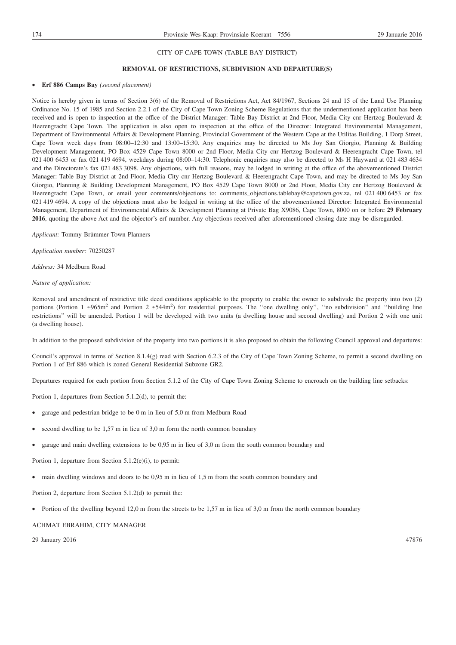#### **REMOVAL OF RESTRICTIONS, SUBDIVISION AND DEPARTURE(S)**

#### • **Erf 886 Camps Bay** *(second placement)*

Notice is hereby given in terms of Section 3(6) of the Removal of Restrictions Act, Act 84/1967, Sections 24 and 15 of the Land Use Planning Ordinance No. 15 of 1985 and Section 2.2.1 of the City of Cape Town Zoning Scheme Regulations that the undermentioned application has been received and is open to inspection at the office of the District Manager: Table Bay District at 2nd Floor, Media City cnr Hertzog Boulevard & Heerengracht Cape Town. The application is also open to inspection at the office of the Director: Integrated Environmental Management, Department of Environmental Affairs & Development Planning, Provincial Government of the Western Cape at the Utilitas Building, 1 Dorp Street, Cape Town week days from 08:00–12:30 and 13:00–15:30. Any enquiries may be directed to Ms Joy San Giorgio, Planning & Building Development Management, PO Box 4529 Cape Town 8000 or 2nd Floor, Media City cnr Hertzog Boulevard & Heerengracht Cape Town, tel 021 400 6453 or fax 021 419 4694, weekdays during 08:00–14:30. Telephonic enquiries may also be directed to Ms H Hayward at 021 483 4634 and the Directorate's fax 021 483 3098. Any objections, with full reasons, may be lodged in writing at the office of the abovementioned District Manager: Table Bay District at 2nd Floor, Media City cnr Hertzog Boulevard & Heerengracht Cape Town, and may be directed to Ms Joy San Giorgio, Planning & Building Development Management, PO Box 4529 Cape Town 8000 or 2nd Floor, Media City cnr Hertzog Boulevard & Heerengracht Cape Town, or email your comments/objections to: comments\_objections.tablebay@capetown.gov.za, tel 021 400 6453 or fax 021 419 4694. A copy of the objections must also be lodged in writing at the office of the abovementioned Director: Integrated Environmental Management, Department of Environmental Affairs & Development Planning at Private Bag X9086, Cape Town, 8000 on or before **29 February 2016**, quoting the above Act and the objector's erf number. Any objections received after aforementioned closing date may be disregarded.

*Applicant:* Tommy Brümmer Town Planners

*Application number:* 70250287

*Address:* 34 Medburn Road

#### *Nature of application:*

Removal and amendment of restrictive title deed conditions applicable to the property to enable the owner to subdivide the property into two (2) portions (Portion 1  $\pm 965$ m<sup>2</sup> and Portion 2  $\pm 544$ m<sup>2</sup>) for residential purposes. The "one dwelling only", "no subdivision" and "building line restrictions'' will be amended. Portion 1 will be developed with two units (a dwelling house and second dwelling) and Portion 2 with one unit (a dwelling house).

In addition to the proposed subdivision of the property into two portions it is also proposed to obtain the following Council approval and departures:

Council's approval in terms of Section 8.1.4(g) read with Section 6.2.3 of the City of Cape Town Zoning Scheme, to permit a second dwelling on Portion 1 of Erf 886 which is zoned General Residential Subzone GR2.

Departures required for each portion from Section 5.1.2 of the City of Cape Town Zoning Scheme to encroach on the building line setbacks:

Portion 1, departures from Section 5.1.2(d), to permit the:

- garage and pedestrian bridge to be 0 m in lieu of 5,0 m from Medburn Road
- second dwelling to be  $1,57$  m in lieu of  $3,0$  m form the north common boundary
- garage and main dwelling extensions to be 0,95 m in lieu of 3,0 m from the south common boundary and

Portion 1, departure from Section 5.1.2(e)(i), to permit:

• main dwelling windows and doors to be 0,95 m in lieu of 1,5 m from the south common boundary and

Portion 2, departure from Section 5.1.2(d) to permit the:

• Portion of the dwelling beyond 12,0 m from the streets to be 1,57 m in lieu of 3,0 m from the north common boundary

ACHMAT EBRAHIM, CITY MANAGER

29 January 2016 47876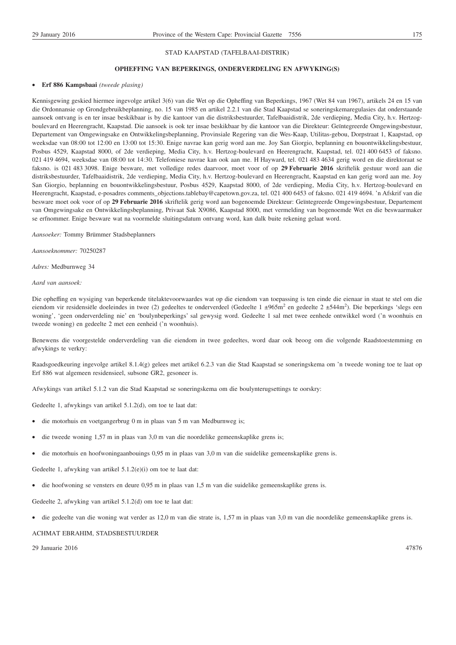#### STAD KAAPSTAD (TAFELBAAI-DISTRIK)

#### **OPHEFFING VAN BEPERKINGS, ONDERVERDELING EN AFWYKING(S)**

#### • **Erf 886 Kampsbaai** *(tweede plasing)*

Kennisgewing geskied hiermee ingevolge artikel 3(6) van die Wet op die Opheffing van Beperkings, 1967 (Wet 84 van 1967), artikels 24 en 15 van die Ordonnansie op Grondgebruikbeplanning, no. 15 van 1985 en artikel 2.2.1 van die Stad Kaapstad se soneringskemaregulasies dat onderstaande aansoek ontvang is en ter insae beskikbaar is by die kantoor van die distriksbestuurder, Tafelbaaidistrik, 2de verdieping, Media City, h.v. Hertzogboulevard en Heerengracht, Kaapstad. Die aansoek is ook ter insae beskikbaar by die kantoor van die Direkteur: Geïntegreerde Omgewingsbestuur, Departement van Omgewingsake en Ontwikkelingsbeplanning, Provinsiale Regering van die Wes-Kaap, Utilitas-gebou, Dorpstraat 1, Kaapstad, op weeksdae van 08:00 tot 12:00 en 13:00 tot 15:30. Enige navrae kan gerig word aan me. Joy San Giorgio, beplanning en bouontwikkelingsbestuur, Posbus 4529, Kaapstad 8000, of 2de verdieping, Media City, h.v. Hertzog-boulevard en Heerengracht, Kaapstad, tel. 021 400 6453 of faksno. 021 419 4694, weeksdae van 08:00 tot 14:30. Telefoniese navrae kan ook aan me. H Hayward, tel. 021 483 4634 gerig word en die direktoraat se faksno. is 021 483 3098. Enige besware, met volledige redes daarvoor, moet voor of op **29 Februarie 2016** skriftelik gestuur word aan die distriksbestuurder, Tafelbaaidistrik, 2de verdieping, Media City, h.v. Hertzog-boulevard en Heerengracht, Kaapstad en kan gerig word aan me. Joy San Giorgio, beplanning en bouontwikkelingsbestuur, Posbus 4529, Kaapstad 8000, of 2de verdieping, Media City, h.v. Hertzog-boulevard en Heerengracht, Kaapstad, e-posadres comments\_objections.tablebay@capetown.gov.za, tel. 021 400 6453 of faksno. 021 419 4694. 'n Afskrif van die besware moet ook voor of op **29 Februarie 2016** skriftelik gerig word aan bogenoemde Direkteur: Geïntegreerde Omgewingsbestuur, Departement van Omgewingsake en Ontwikkelingsbeplanning, Privaat Sak X9086, Kaapstad 8000, met vermelding van bogenoemde Wet en die beswaarmaker se erfnommer. Enige besware wat na voormelde sluitingsdatum ontvang word, kan dalk buite rekening gelaat word.

*Aansoeker:* Tommy Brümmer Stadsbeplanners

*Aansoeknommer:* 70250287

*Adres:* Medburnweg 34

#### *Aard van aansoek:*

Die opheffing en wysiging van beperkende titelaktevoorwaardes wat op die eiendom van toepassing is ten einde die eienaar in staat te stel om die eiendom vir residensiële doeleindes in twee (2) gedeeltes te onderverdeel (Gedeelte 1 ±965m<sup>2</sup> en gedeelte 2 ±544m<sup>2</sup>). Die beperkings 'slegs een woning', 'geen onderverdeling nie' en 'boulynbeperkings' sal gewysig word. Gedeelte 1 sal met twee eenhede ontwikkel word ('n woonhuis en tweede woning) en gedeelte 2 met een eenheid ('n woonhuis).

Benewens die voorgestelde onderverdeling van die eiendom in twee gedeeltes, word daar ook beoog om die volgende Raadstoestemming en afwykings te verkry:

Raadsgoedkeuring ingevolge artikel 8.1.4(g) gelees met artikel 6.2.3 van die Stad Kaapstad se soneringskema om 'n tweede woning toe te laat op Erf 886 wat algemeen residensieel, subsone GR2, gesoneer is.

Afwykings van artikel 5.1.2 van die Stad Kaapstad se soneringskema om die boulynterugsettings te oorskry:

Gedeelte 1, afwykings van artikel 5.1.2(d), om toe te laat dat:

- die motorhuis en voetgangerbrug 0 m in plaas van 5 m van Medburnweg is;
- die tweede woning 1,57 m in plaas van 3,0 m van die noordelike gemeenskaplike grens is;
- die motorhuis en hoofwoningaanbouings 0,95 m in plaas van 3,0 m van die suidelike gemeenskaplike grens is.

Gedeelte 1, afwyking van artikel 5.1.2(e)(i) om toe te laat dat:

• die hoofwoning se vensters en deure 0,95 m in plaas van 1,5 m van die suidelike gemeenskaplike grens is.

Gedeelte 2, afwyking van artikel 5.1.2(d) om toe te laat dat:

• die gedeelte van die woning wat verder as 12,0 m van die strate is, 1,57 m in plaas van 3,0 m van die noordelike gemeenskaplike grens is.

#### ACHMAT EBRAHIM, STADSBESTUURDER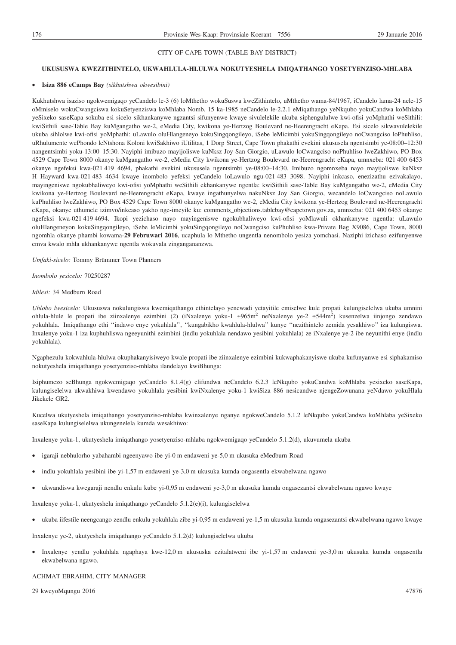#### **UKUSUSWA KWEZITHINTELO, UKWAHLULA-HLULWA NOKUTYESHELA IMIQATHANGO YOSETYENZISO-MHLABA**

#### • **Isiza 886 eCamps Bay** *(sikhutshwa okwesibini)*

Kukhutshwa isaziso ngokwemigaqo yeCandelo le-3 (6) loMthetho wokuSuswa kweZithintelo, uMthetho wama-84/1967, iCandelo lama-24 nele-15 oMmiselo wokuCwangciswa kokuSetyenziswa koMhlaba Nomb. 15 ka-1985 neCandelo le-2.2.1 eMiqathango yeNkqubo yokuCandwa koMhlaba yeSixeko saseKapa sokuba esi sicelo sikhankanywe ngzantsi sifunyenwe kwaye sivulelekile ukuba siphengululwe kwi-ofisi yoMphathi weSithili: kwiSithili sase-Table Bay kuMgangatho we-2, eMedia City, kwikona ye-Hertzog Boulevard ne-Heerengracht eKapa. Esi sicelo sikwavulelekile ukuba sihlolwe kwi-ofisi yoMphathi: uLawulo oluHlangeneyo kokuSingqongileyo, iSebe leMicimbi yokuSingqongileyo noCwangciso loPhuhliso, uRhulumente wePhondo leNtshona Koloni kwiSakhiwo iUtilitas, 1 Dorp Street, Cape Town phakathi evekini ukususela ngentsimbi ye-08:00–12:30 nangentsimbi yoku-13:00–15:30. Nayiphi imibuzo mayijoliswe kuNksz Joy San Giorgio, uLawulo loCwangciso noPhuhliso lweZakhiwo, PO Box 4529 Cape Town 8000 okanye kuMgangatho we-2, eMedia City kwikona ye-Hertzog Boulevard ne-Heerengracht eKapa, umnxeba: 021 400 6453 okanye ngefeksi kwa-021 419 4694, phakathi evekini ukususela ngentsimbi ye-08:00–14:30. Imibuzo ngomnxeba nayo mayijoliswe kuNksz H Hayward kwa-021 483 4634 kwaye inombolo yefeksi yeCandelo loLawulo ngu-021 483 3098. Nayiphi inkcaso, enezizathu ezivakalayo, mayingeniswe ngokubhaliweyo kwi-ofisi yoMphathi weSithili ekhankanywe ngentla: kwiSithili sase-Table Bay kuMgangatho we-2, eMedia City kwikona ye-Hertzog Boulevard ne-Heerengracht eKapa, kwaye ingathunyelwa nakuNksz Joy San Giorgio, wecandelo loCwangciso noLawulo kuPhuhliso lweZakhiwo, PO Box 4529 Cape Town 8000 okanye kuMgangatho we-2, eMedia City kwikona ye-Hertzog Boulevard ne-Heerengracht eKapa, okanye uthumele izimvo/inkcaso yakho nge-imeyile ku: comments\_objections.tablebay@capetown.gov.za, umnxeba: 021 400 6453 okanye ngefeksi kwa-021 419 4694. Ikopi yezichaso nayo mayingeniswe ngokubhaliweyo kwi-ofisi yoMlawuli okhankanywe ngentla: uLawulo oluHlangeneyon kokuSingqongileyo, iSebe leMicimbi yokuSingqongileyo noCwangciso kuPhuhliso kwa-Private Bag X9086, Cape Town, 8000 ngomhla okanye phambi kowama-**29 Februwari 2016**, ucaphula lo Mthetho ungentla nenombolo yesiza yomchasi. Naziphi izichaso ezifunyenwe emva kwalo mhla ukhankanywe ngentla wokuvala zingangananzwa.

*Umfaki-sicelo:* Tommy Brümmer Town Planners

*Inombolo yesicelo:* 70250287

#### *Idilesi:* 34 Medburn Road

*Uhlobo lwesicelo:* Ukususwa nokulungiswa kwemiqathango ethintelayo yencwadi yetayitile emiselwe kule propati kulungiselelwa ukuba umnini ohlula-hlule le propati ibe ziinxalenye ezimbini (2) (iNxalenye yoku-1  $\pm 965$ m<sup>2</sup> neNxalenye ye-2  $\pm 544$ m<sup>2</sup>) kusenzelwa iinjongo zendawo yokuhlala. Imiqathango ethi ''indawo enye yokuhlala'', ''kungabikho kwahlula-hlulwa'' kunye ''nezithintelo zemida yesakhiwo'' iza kulungiswa. Inxalenye yoku-1 iza kuphuhliswa ngeeyunithi ezimbini (indlu yokuhlala nendawo yesibini yokuhlala) ze iNxalenye ye-2 ibe neyunithi enye (indlu yokuhlala).

Ngaphezulu kokwahlula-hlulwa okuphakanyisiweyo kwale propati ibe ziinxalenye ezimbini kukwaphakanyiswe ukuba kufunyanwe esi siphakamiso nokutyeshela imiqathango yosetyenziso-mhlaba ilandelayo kwiBhunga:

Isiphumezo seBhunga ngokwemigaqo yeCandelo 8.1.4(g) elifundwa neCandelo 6.2.3 leNkqubo yokuCandwa koMhlaba yesixeko saseKapa, kulungiselelwa ukwakhiwa kwendawo yokuhlala yesibini kwiNxalenye yoku-1 kwiSiza 886 nesicandwe njengeZowunana yeNdawo yokuHlala Jikekele GR2.

Kucelwa ukutyeshela imiqathango yosetyenziso-mhlaba kwinxalenye nganye ngokweCandelo 5.1.2 leNkqubo yokuCandwa koMhlaba yeSixeko saseKapa kulungiselelwa ukungenelela kumda wesakhiwo:

Inxalenye yoku-1, ukutyeshela imiqathango yosetyenziso-mhlaba ngokwemigaqo yeCandelo 5.1.2(d), ukuvumela ukuba

- igaraji nebhulorho yabahambi ngeenyawo ibe yi-0 m endaweni ye-5,0 m ukusuka eMedburn Road
- indlu yokuhlala yesibini ibe yi-1,57 m endaweni ye-3,0 m ukusuka kumda ongasentla ekwabelwana ngawo
- ukwandiswa kwegaraji nendlu enkulu kube yi-0,95 m endaweni ye-3,0 m ukusuka kumda ongasezantsi ekwabelwana ngawo kwaye

Inxalenye yoku-1, ukutyeshela imiqathango yeCandelo 5.1.2(e)(i), kulungiselelwa

• ukuba iifestile neengcango zendlu enkulu yokuhlala zibe yi-0,95 m endaweni ye-1,5 m ukusuka kumda ongasezantsi ekwabelwana ngawo kwaye

Inxalenye ye-2, ukutyeshela imiqathango yeCandelo 5.1.2(d) kulungiselelwa ukuba

• Inxalenye yendlu yokuhlala ngaphaya kwe-12,0 m ukususka ezitalatweni ibe yi-1,57 m endaweni ye-3,0 m ukusuka kumda ongasentla ekwabelwana ngawo.

#### ACHMAT EBRAHIM, CITY MANAGER

29 kweyoMqungu 2016 47876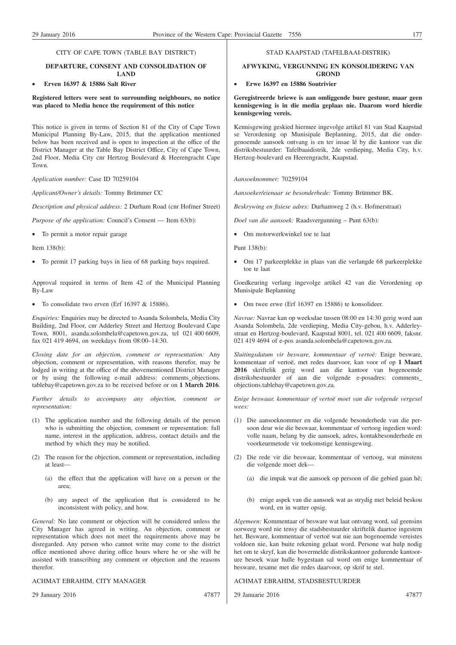# **DEPARTURE, CONSENT AND CONSOLIDATION OF LAND**

# • **Erven 16397 & 15886 Salt River**

**Registered letters were sent to surrounding neighbours, no notice was placed to Media hence the requirement of this notice**

This notice is given in terms of Section 81 of the City of Cape Town Municipal Planning By-Law, 2015, that the application mentioned below has been received and is open to inspection at the office of the District Manager at the Table Bay District Office, City of Cape Town, 2nd Floor, Media City cnr Hertzog Boulevard & Heerengracht Cape Town.

*Application number:* Case ID 70259104

*Applicant/Owner's details:* Tommy Brümmer CC

*Description and physical address:* 2 Durham Road (cnr Hofmer Street)

*Purpose of the application:* Council's Consent — Item 63(b):

• To permit a motor repair garage

Item 138(b):

• To permit 17 parking bays in lieu of 68 parking bays required.

Approval required in terms of Item 42 of the Municipal Planning By-Law

• To consolidate two erven (Erf 16397 & 15886).

*Enquiries:* Enquiries may be directed to Asanda Solombela, Media City Building, 2nd Floor, cnr Adderley Street and Hertzog Boulevard Cape Town, 8001, asanda.solombela@capetown.gov.za, tel 021 400 6609, fax 021 419 4694, on weekdays from 08:00–14:30.

*Closing date for an objection, comment or representation:* Any objection, comment or representation, with reasons therefor, may be lodged in writing at the office of the abovementioned District Manager or by using the following e-mail address: comments\_objections. tablebay@capetown.gov.za to be received before or on **1 March 2016**.

*Further details to accompany any objection, comment or representation:*

- (1) The application number and the following details of the person who is submitting the objection, comment or representation: full name, interest in the application, address, contact details and the method by which they may be notified.
- (2) The reason for the objection, comment or representation, including at least—
	- (a) the effect that the application will have on a person or the area;
	- (b) any aspect of the application that is considered to be inconsistent with policy, and how.

*General:* No late comment or objection will be considered unless the City Manager has agreed in writing. An objection, comment or representation which does not meet the requirements above may be disregarded. Any person who cannot write may come to the district office mentioned above during office hours where he or she will be assisted with transcribing any comment or objection and the reasons therefor.

#### ACHMAT EBRAHIM, CITY MANAGER

29 January 2016 47877

#### STAD KAAPSTAD (TAFELBAAI-DISTRIK)

#### **AFWYKING, VERGUNNING EN KONSOLIDERING VAN GROND**

#### • **Erwe 16397 en 15886 Soutrivier**

**Geregistreerde briewe is aan omliggende bure gestuur, maar geen kennisgewing is in die media geplaas nie. Daarom word hierdie kennisgewing vereis.**

Kennisgewing geskied hiermee ingevolge artikel 81 van Stad Kaapstad se Verordening op Munisipale Beplanning, 2015, dat die ondergenoemde aansoek ontvang is en ter insae lê by die kantoor van die distriksbestuurder: Tafelbaaidistrik, 2de verdieping, Media City, h.v. Hertzog-boulevard en Heerengracht, Kaapstad.

#### *Aansoeknommer:* 70259104

*Aansoeker/eienaar se besonderhede:* Tommy Brümmer BK.

*Beskrywing en fisiese adres:* Durhamweg 2 (h.v. Hofmerstraat)

*Doel van die aansoek:* Raadsvergunning – Punt 63(b):

• Om motorwerkwinkel toe te laat

Punt 138(b):

• Om 17 parkeerplekke in plaas van die verlangde 68 parkeerplekke toe te laat

Goedkeuring verlang ingevolge artikel 42 van die Verordening op Munisipale Beplanning

• Om twee erwe (Erf 16397 en 15886) te konsolideer.

*Navrae:* Navrae kan op weeksdae tussen 08:00 en 14:30 gerig word aan Asanda Solombela, 2de verdieping, Media City-gebou, h.v. Adderleystraat en Hertzog-boulevard, Kaapstad 8001, tel. 021 400 6609, faksnr. 021 419 4694 of e-pos asanda.solombela@capetown.gov.za.

*Sluitingsdatum vir besware, kommentaar of vertoë:* Enige besware, kommentaar of vertoë, met redes daarvoor, kan voor of op **1 Maart 2016** skriftelik gerig word aan die kantoor van bogenoemde distriksbestuurder of aan die volgende e-posadres: comments\_ objections.tablebay@capetown.gov.za.

*Enige beswaar, kommentaar of vertoë moet van die volgende vergesel wees:*

- (1) Die aansoeknommer en die volgende besonderhede van die persoon deur wie die beswaar, kommentaar of vertoog ingedien word: volle naam, belang by die aansoek, adres, kontakbesonderhede en voorkeurmetode vir toekomstige kennisgewing.
- (2) Die rede vir die beswaar, kommentaar of vertoog, wat minstens die volgende moet dek—
	- (a) die impak wat die aansoek op persoon of die gebied gaan hê;
	- (b) enige aspek van die aansoek wat as strydig met beleid beskou word, en in watter opsig.

*Algemeen:* Kommentaar of besware wat laat ontvang word, sal geensins oorweeg word nie tensy die stadsbestuurder skriftelik daartoe ingestem het. Besware, kommentaar of vertoë wat nie aan bogenoemde vereistes voldoen nie, kan buite rekening gelaat word. Persone wat hulp nodig het om te skryf, kan die bovermelde distrikskantoor gedurende kantoorure besoek waar hulle bygestaan sal word om enige kommentaar of besware, tesame met die redes daarvoor, op skrif te stel.

#### ACHMAT EBRAHIM, STADSBESTUURDER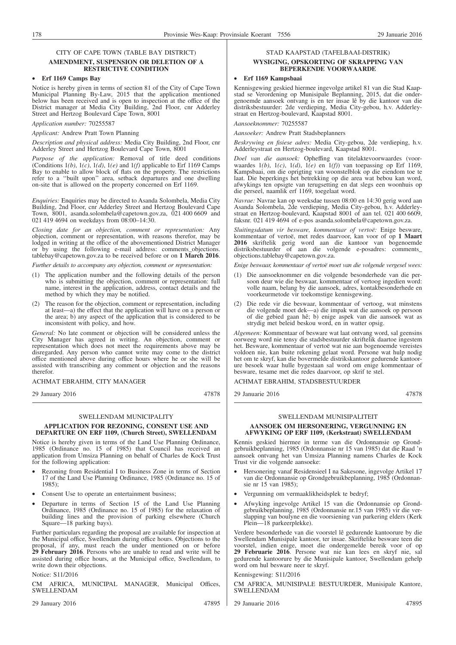#### **AMENDMENT, SUSPENSION OR DELETION OF A RESTRICTIVE CONDITION**

# • **Erf 1169 Camps Bay**

Notice is hereby given in terms of section 81 of the City of Cape Town Municipal Planning By-Law, 2015 that the application mentioned below has been received and is open to inspection at the office of the District manager at Media City Building, 2nd Floor, cnr Adderley Street and Hertzog Boulevard Cape Town, 8001

#### *Application number:* 70255587

#### *Applicant:* Andrew Pratt Town Planning

*Description and physical address:* Media City Building, 2nd Floor, cnr Adderley Street and Hertzog Boulevard Cape Town, 8001

*Purpose of the application:* Removal of title deed conditions (Conditions  $1(b)$ ,  $1(c)$ ,  $1(d)$ ,  $1(e)$  and  $1(f)$  applicable to Erf 1169 Camps Bay to enable to allow block of flats on the property. The restrictions refer to a ''built upon'' area, setback departures and one dwelling on-site that is allowed on the property concerned on Erf 1169.

*Enquiries:* Enquiries may be directed to Asanda Solombela, Media City Building, 2nd Floor, cnr Adderley Street and Hertzog Boulevard Cape Town, 8001, asanda.solombela@capetown.gov.za, 021 400 6609 and 021 419 4694 on weekdays from 08:00–14:30.

*Closing date for an objection, comment or representation:* Any objection, comment or representation, with reasons therefor, may be lodged in writing at the office of the abovementioned District Manager or by using the following e-mail address: comments\_objections. tablebay@capetown.gov.za to be received before or on **1 March 2016**.

*Further details to accompany any objection, comment or representation:*

- (1) The application number and the following details of the person who is submitting the objection, comment or representation: full name, interest in the application, address, contact details and the method by which they may be notified.
- (2) The reason for the objection, comment or representation, including at least—a) the effect that the application will have on a person or the area; b) any aspect of the application that is considered to be inconsistent with policy, and how.

*General:* No late comment or objection will be considered unless the City Manager has agreed in writing. An objection, comment or representation which does not meet the requirements above may be disregarded. Any person who cannot write may come to the district office mentioned above during office hours where he or she will be assisted with transcribing any comment or objection and the reasons therefor.

#### ACHMAT EBRAHIM, CITY MANAGER

29 January 2016 47878

# SWELLENDAM MUNICIPALITY **APPLICATION FOR REZONING, CONSENT USE AND**

# **DEPARTURE ON ERF 1109, (Church Street), SWELLENDAM**

Notice is hereby given in terms of the Land Use Planning Ordinance, 1985 (Ordinance no. 15 of 1985) that Council has received an application from Umsiza Planning on behalf of Charles de Kock Trust for the following application:

- Rezoning from Residential I to Business Zone in terms of Section 17 of the Land Use Planning Ordinance, 1985 (Ordinance no. 15 of 1985);
- Consent Use to operate an entertainment business;
- Departure in terms of Section 15 of the Land Use Planning Ordinance, 1985 (Ordinance no. 15 of 1985) for the relaxation of building lines and the provision of parking elsewhere (Church Square—18 parking bays).

Further particulars regarding the proposal are available for inspection at the Municipal office, Swellendam during office hours. Objections to the proposal, if any, must reach the under mentioned on or before **29 February 2016**. Persons who are unable to read and write will be assisted during office hours, at the Municipal office, Swellendam, to write down their objections.

# Notice: S11/2016

AFRICA, MUNICIPAL MANAGER, Municipal Offices, SWELLENDAM

29 January 2016 47895

# STAD KAAPSTAD (TAFELBAAI-DISTRIK)

#### **WYSIGING, OPSKORTING OF SKRAPPING VAN BEPERKENDE VOORWAARDE**

#### • **Erf 1169 Kampsbaai**

Kennisgewing geskied hiermee ingevolge artikel 81 van die Stad Kaapstad se Verordening op Munisipale Beplanning, 2015, dat die ondergenoemde aansoek ontvang is en ter insae lê by die kantoor van die distriksbestuurder: 2de verdieping, Media City-gebou, h.v. Adderleystraat en Hertzog-boulevard, Kaapstad 8001.

# *Aansoeknommer:* 70255587

*Aansoeker:* Andrew Pratt Stadsbeplanners

*Beskrywing en fisiese adres:* Media City-gebou, 2de verdieping, h.v. Adderleystraat en Hertzog-boulevard, Kaapstad 8001.

*Doel van die aansoek:* Opheffing van titelaktevoorwaardes (voorwaardes 1*(b)*, 1*(c)*, 1*(d)*, 1*(e)* en 1*(f)*) van toepassing op Erf 1169, Kampsbaai, om die oprigting van woonstelblok op die eiendom toe te laat. Die beperkings het betrekking op die area wat bebou kan word, afwykings ten opsigte van terugsetting en dat slegs een woonhuis op die perseel, naamlik erf 1169, toegelaat word.

*Navrae:* Navrae kan op weeksdae tussen 08:00 en 14:30 gerig word aan Asanda Solombela, 2de verdieping, Media City-gebou, h.v. Adderleystraat en Hertzog-boulevard, Kaapstad 8001 of aan tel. 021 400 6609, faksnr. 021 419 4694 of e-pos asanda.solombela@capetown.gov.za.

*Sluitingsdatum vir besware, kommentaar of vertoë:* Enige besware, kommentaar of vertoë, met redes daarvoor, kan voor of op **1 Maart 2016** skriftelik gerig word aan die kantoor van bogenoemde distriksbestuurder of aan die volgende e-posadres: comments objections.tablebay@capetown.gov.za.

*Enige beswaar, kommentaar of vertoë moet van die volgende vergesel wees:*

- (1) Die aansoeknommer en die volgende besonderhede van die persoon deur wie die beswaar, kommentaar of vertoog ingedien word: volle naam, belang by die aansoek, adres, kontakbesonderhede en voorkeurmetode vir toekomstige kennisgewing.
- (2) Die rede vir die beswaar, kommentaar of vertoog, wat minstens die volgende moet dek—a) die impak wat die aansoek op persoon of die gebied gaan hê; b) enige aspek van die aansoek wat as strydig met beleid beskou word, en in watter opsig.

*Algemeen:* Kommentaar of besware wat laat ontvang word, sal geensins oorweeg word nie tensy die stadsbestuurder skriftelik daartoe ingestem het. Besware, kommentaar of vertoë wat nie aan bogenoemde vereistes voldoen nie, kan buite rekening gelaat word. Persone wat hulp nodig het om te skryf, kan die bovermelde distrikskantoor gedurende kantoorure besoek waar hulle bygestaan sal word om enige kommentaar of besware, tesame met die redes daarvoor, op skrif te stel.

ACHMAT EBRAHIM, STADSBESTUURDER

29 Januarie 2016 47878

#### SWELLENDAM MUNISIPALITEIT **AANSOEK OM HERSONERING, VERGUNNING EN AFWYKING OP ERF 1109, (Kerkstraat) SWELLENDAM**

Kennis geskied hiermee in terme van die Ordonnansie op Grondgebruikbeplanning, 1985 (Ordonnansie nr 15 van 1985) dat die Raad 'n aansoek ontvang het van Umsiza Planning namens Charles de Kock Trust vir die volgende aansoeke:

- Hersonering vanaf Residensieel I na Sakesone, ingevolge Artikel 17 van die Ordonnansie op Grondgebruikbeplanning, 1985 (Ordonnansie nr 15 van 1985);
- Vergunning om vermaaklikheidsplek te bedryf;
- Afwyking ingevolge Artikel 15 van die Ordonnansie op Grondgebruikbeplanning, 1985 (Ordonnansie nr.15 van 1985) vir die verslapping van boulyne en die voorsiening van parkering elders (Kerk Plein—18 parkeerplekke).

Verdere besonderhede van die voorstel lê gedurende kantoorure by die Swellendam Munisipale kantoor, ter insae. Skriftelike besware teen die voorstel, indien enige, moet die ondergemelde bereik voor of op **29 Februarie 2016**. Persone wat nie kan lees en skryf nie, sal gedurende kantoorure by die Munisipale kantoor, Swellendam gehelp word om hul besware neer te skryf.

# Kennisgewing: S11/2016

CM AFRICA, MUNISIPALE BESTUURDER, Munisipale Kantore, SWELLENDAM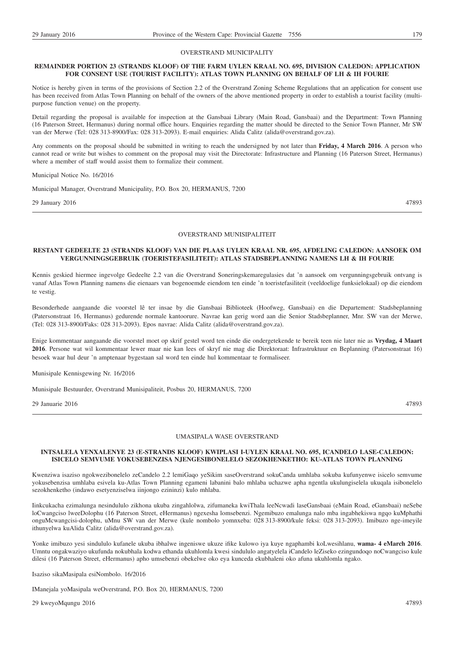#### OVERSTRAND MUNICIPALITY

#### **REMAINDER PORTION 23 (STRANDS KLOOF) OF THE FARM UYLEN KRAAL NO. 695, DIVISION CALEDON: APPLICATION FOR CONSENT USE (TOURIST FACILITY): ATLAS TOWN PLANNING ON BEHALF OF LH & IH FOURIE**

Notice is hereby given in terms of the provisions of Section 2.2 of the Overstrand Zoning Scheme Regulations that an application for consent use has been received from Atlas Town Planning on behalf of the owners of the above mentioned property in order to establish a tourist facility (multipurpose function venue) on the property.

Detail regarding the proposal is available for inspection at the Gansbaai Library (Main Road, Gansbaai) and the Department: Town Planning (16 Paterson Street, Hermanus) during normal office hours. Enquiries regarding the matter should be directed to the Senior Town Planner, Mr SW van der Merwe (Tel: 028 313-8900/Fax: 028 313-2093). E-mail enquiries: Alida Calitz (alida@overstrand.gov.za).

Any comments on the proposal should be submitted in writing to reach the undersigned by not later than **Friday, 4 March 2016**. A person who cannot read or write but wishes to comment on the proposal may visit the Directorate: Infrastructure and Planning (16 Paterson Street, Hermanus) where a member of staff would assist them to formalize their comment.

Municipal Notice No. 16/2016

Municipal Manager, Overstrand Municipality, P.O. Box 20, HERMANUS, 7200

29 January 2016 47893

#### OVERSTRAND MUNISIPALITEIT

#### **RESTANT GEDEELTE 23 (STRANDS KLOOF) VAN DIE PLAAS UYLEN KRAAL NR. 695, AFDELING CALEDON: AANSOEK OM VERGUNNINGSGEBRUIK (TOERISTEFASILITEIT): ATLAS STADSBEPLANNING NAMENS LH & IH FOURIE**

Kennis geskied hiermee ingevolge Gedeelte 2.2 van die Overstrand Soneringskemaregulasies dat 'n aansoek om vergunningsgebruik ontvang is vanaf Atlas Town Planning namens die eienaars van bogenoemde eiendom ten einde 'n toeristefasiliteit (veeldoelige funksielokaal) op die eiendom te vestig.

Besonderhede aangaande die voorstel lê ter insae by die Gansbaai Biblioteek (Hoofweg, Gansbaai) en die Departement: Stadsbeplanning (Patersonstraat 16, Hermanus) gedurende normale kantoorure. Navrae kan gerig word aan die Senior Stadsbeplanner, Mnr. SW van der Merwe, (Tel: 028 313-8900/Faks: 028 313-2093). Epos navrae: Alida Calitz (alida@overstrand.gov.za).

Enige kommentaar aangaande die voorstel moet op skrif gestel word ten einde die ondergetekende te bereik teen nie later nie as **Vrydag, 4 Maart 2016**. Persone wat wil kommentaar lewer maar nie kan lees of skryf nie mag die Direktoraat: Infrastruktuur en Beplanning (Patersonstraat 16) besoek waar hul deur 'n amptenaar bygestaan sal word ten einde hul kommentaar te formaliseer.

Munisipale Kennisgewing Nr. 16/2016

Munisipale Bestuurder, Overstrand Munisipaliteit, Posbus 20, HERMANUS, 7200

29 Januarie 2016 47893

# UMASIPALA WASE OVERSTRAND

#### **INTSALELA YENXALENYE 23 (E-STRANDS KLOOF) KWIPLASI I-UYLEN KRAAL NO. 695, ICANDELO LASE-CALEDON: ISICELO SEMVUME YOKUSEBENZISA NJENGESIBONELELO SEZOKHENKETHO: KU-ATLAS TOWN PLANNING**

Kwenziwa isaziso ngokwezibonelelo zeCandelo 2.2 lemiGaqo yeSikim saseOverstrand sokuCanda umhlaba sokuba kufunyenwe isicelo semvume yokusebenzisa umhlaba esivela ku-Atlas Town Planning egameni labanini balo mhlaba uchazwe apha ngentla ukulungiselela ukuqala isibonelelo sezokhenketho (indawo esetyenziselwa iinjongo ezininzi) kulo mhlaba.

Iinkcukacha ezimalunga nesindululo zikhona ukuba zingahlolwa, zifumaneka kwiThala leeNcwadi laseGansbaai (eMain Road, eGansbaai) neSebe loCwangciso lweeDolophu (16 Paterson Street, eHermanus) ngexesha lomsebenzi. Ngemibuzo emalunga nalo mba ingabhekiswa ngqo kuMphathi onguMcwangcisi-dolophu, uMnu SW van der Merwe (kule nombolo yomnxeba: 028 313-8900/kule feksi: 028 313-2093). Imibuzo nge-imeyile ithunyelwa kuAlida Calitz (alida@overstrand.gov.za).

Yonke imibuzo yesi sindululo kufanele ukuba ibhalwe ingeniswe ukuze ifike kulowo iya kuye ngaphambi koLwesihlanu, **wama- 4 eMarch 2016**. Umntu ongakwaziyo ukufunda nokubhala kodwa ethanda ukuhlomla kwesi sindululo angatyelela iCandelo leZiseko ezingundoqo noCwangciso kule dilesi (16 Paterson Street, eHermanus) apho umsebenzi obekelwe oko eya kunceda ekubhaleni oko afuna ukuhlomla ngako.

Isaziso sikaMasipala esiNombolo. 16/2016

IManejala yoMasipala weOverstrand, P.O. Box 20, HERMANUS, 7200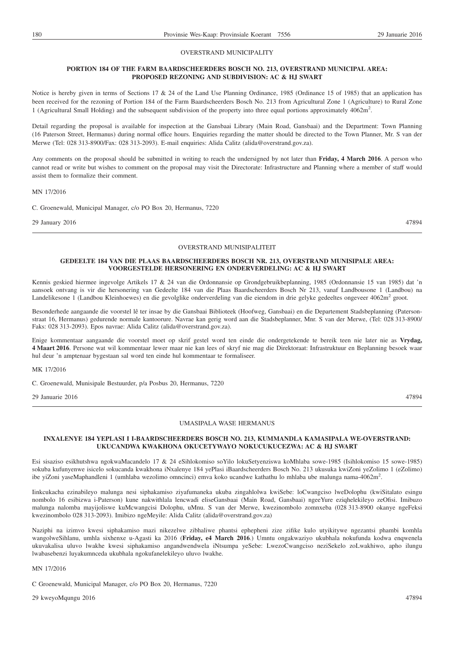#### OVERSTRAND MUNICIPALITY

#### **PORTION 184 OF THE FARM BAARDSCHEERDERS BOSCH NO. 213, OVERSTRAND MUNICIPAL AREA: PROPOSED REZONING AND SUBDIVISION: AC & HJ SWART**

Notice is hereby given in terms of Sections 17 & 24 of the Land Use Planning Ordinance, 1985 (Ordinance 15 of 1985) that an application has been received for the rezoning of Portion 184 of the Farm Baardscheerders Bosch No. 213 from Agricultural Zone 1 (Agriculture) to Rural Zone 1 (Agricultural Small Holding) and the subsequent subdivision of the property into three equal portions approximately 4062m2 .

Detail regarding the proposal is available for inspection at the Gansbaai Library (Main Road, Gansbaai) and the Department: Town Planning (16 Paterson Street, Hermanus) during normal office hours. Enquiries regarding the matter should be directed to the Town Planner, Mr. S van der Merwe (Tel: 028 313-8900/Fax: 028 313-2093). E-mail enquiries: Alida Calitz (alida@overstrand.gov.za).

Any comments on the proposal should be submitted in writing to reach the undersigned by not later than **Friday, 4 March 2016**. A person who cannot read or write but wishes to comment on the proposal may visit the Directorate: Infrastructure and Planning where a member of staff would assist them to formalize their comment.

MN 17/2016

C. Groenewald, Municipal Manager, c/o PO Box 20, Hermanus, 7220

29 January 2016 47894

#### OVERSTRAND MUNISIPALITEIT

### **GEDEELTE 184 VAN DIE PLAAS BAARDSCHEERDERS BOSCH NR. 213, OVERSTRAND MUNISIPALE AREA: VOORGESTELDE HERSONERING EN ONDERVERDELING: AC & HJ SWART**

Kennis geskied hiermee ingevolge Artikels 17 & 24 van die Ordonnansie op Grondgebruikbeplanning, 1985 (Ordonnansie 15 van 1985) dat 'n aansoek ontvang is vir die hersonering van Gedeelte 184 van die Plaas Baardscheerders Bosch Nr 213, vanaf Landbousone 1 (Landbou) na Landelikesone 1 (Landbou Kleinhoewes) en die gevolglike onderverdeling van die eiendom in drie gelyke gedeeltes ongeveer 4062m<sup>2</sup> groot.

Besonderhede aangaande die voorstel lê ter insae by die Gansbaai Biblioteek (Hoofweg, Gansbaai) en die Departement Stadsbeplanning (Patersonstraat 16, Hermanus) gedurende normale kantoorure. Navrae kan gerig word aan die Stadsbeplanner, Mnr. S van der Merwe, (Tel: 028 313-8900/ Faks: 028 313-2093). Epos navrae: Alida Calitz (alida@overstrand.gov.za).

Enige kommentaar aangaande die voorstel moet op skrif gestel word ten einde die ondergetekende te bereik teen nie later nie as **Vrydag, 4 Maart 2016**. Persone wat wil kommentaar lewer maar nie kan lees of skryf nie mag die Direktoraat: Infrastruktuur en Beplanning besoek waar hul deur 'n amptenaar bygestaan sal word ten einde hul kommentaar te formaliseer.

MK 17/2016

C. Groenewald, Munisipale Bestuurder, p/a Posbus 20, Hermanus, 7220

29 Januarie 2016 47894

#### UMASIPALA WASE HERMANUS

#### **INXALENYE 184 YEPLASI I I-BAARDSCHEERDERS BOSCH NO. 213, KUMMANDLA KAMASIPALA WE-OVERSTRAND: UKUCANDWA KWAKHONA OKUCETYWAYO NOKUCUKUCEZWA: AC & HJ SWART**

Esi sisaziso esikhutshwa ngokwaMacandelo 17 & 24 eSihlokomiso soYilo lokuSetyenziswa koMhlaba sowe-1985 (Isihlokomiso 15 sowe-1985) sokuba kufunyenwe isicelo sokucanda kwakhona iNxalenye 184 yePlasi iBaardscheerders Bosch No. 213 ukusuka kwiZoni yeZolimo 1 (eZolimo) ibe yiZoni yaseMaphandleni 1 (umhlaba wezolimo omncinci) emva koko ucandwe kathathu lo mhlaba ube malunga nama-4062m<sup>2</sup>.

Iinkcukacha ezinabileyo malunga nesi siphakamiso ziyafumaneka ukuba zingahlolwa kwiSebe: loCwangciso lweDolophu (kwiSitalato esingu nombolo 16 esibizwa i-Paterson) kune nakwithlala lencwadi eliseGansbaai (Main Road, Gansbaai) ngeeYure eziqhelekileyo zeOfisi. Imibuzo malunga nalomba mayijoliswe kuMcwangcisi Dolophu, uMnu. S van der Merwe, kwezinombolo zomnxeba (028 313-8900 okanye ngeFeksi kwezinombolo 028 313-2093). Imibizo ngeMeyile: Alida Calitz (alida@overstrand.gov.za)

Naziphi na izimvo kwesi siphakamiso mazi nikezelwe zibhaliwe phantsi ephepheni zize zifike kulo utyikitywe ngezantsi phambi komhla wangolweSihlanu, umhla sixhenxe u-Agasti ka 2016 (**Friday, e4 March 2016**.) Umntu ongakwaziyo ukubhala nokufunda kodwa enqwenela ukuvakalisa uluvo lwakhe kwesi siphakamiso angandwendwela iNtsumpa yeSebe: LwezoCwangciso neziSekelo zoLwakhiwo, apho ilungu lwabasebenzi luyakumnceda ukubhala ngokufanelekileyo uluvo lwakhe.

MN 17/2016

C Groenewald, Municipal Manager, c/o PO Box 20, Hermanus, 7220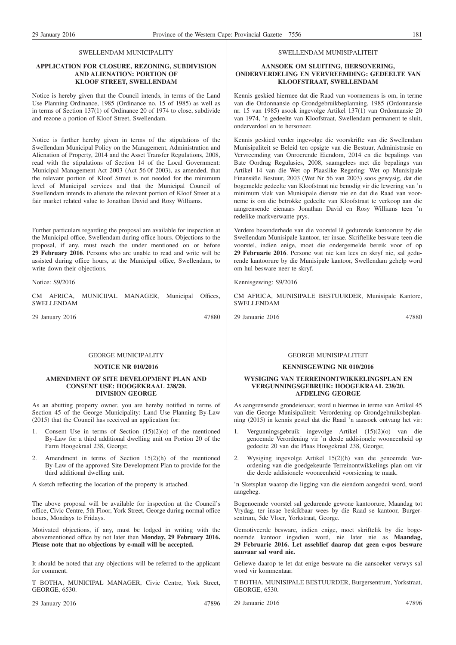#### SWELLENDAM MUNICIPALITY

#### **APPLICATION FOR CLOSURE, REZONING, SUBDIVISION AND ALIENATION: PORTION OF KLOOF STREET, SWELLENDAM**

Notice is hereby given that the Council intends, in terms of the Land Use Planning Ordinance, 1985 (Ordinance no. 15 of 1985) as well as in terms of Section 137(1) of Ordinance 20 of 1974 to close, subdivide and rezone a portion of Kloof Street, Swellendam.

Notice is further hereby given in terms of the stipulations of the Swellendam Municipal Policy on the Management, Administration and Alienation of Property, 2014 and the Asset Transfer Regulations, 2008, read with the stipulations of Section 14 of the Local Government: Municipal Management Act 2003 (Act 56 0f 2003), as amended, that the relevant portion of Kloof Street is not needed for the minimum level of Municipal services and that the Municipal Council of Swellendam intends to alienate the relevant portion of Kloof Street at a fair market related value to Jonathan David and Rosy Williams.

Further particulars regarding the proposal are available for inspection at the Municipal office, Swellendam during office hours. Objections to the proposal, if any, must reach the under mentioned on or before **29 February 2016**. Persons who are unable to read and write will be assisted during office hours, at the Municipal office, Swellendam, to write down their objections.

Notice: S9/2016

CM AFRICA, MUNICIPAL MANAGER, Municipal Offices, SWELLENDAM

29 January 2016 47880

#### GEORGE MUNICIPALITY

#### **NOTICE NR 010/2016**

#### **AMENDMENT OF SITE DEVELOPMENT PLAN AND CONSENT USE: HOOGEKRAAL 238/20. DIVISION GEORGE**

As an abutting property owner, you are hereby notified in terms of Section 45 of the George Municipality: Land Use Planning By-Law (2015) that the Council has received an application for:

- 1. Consent Use in terms of Section  $(15)(2)(0)$  of the mentioned By-Law for a third additional dwelling unit on Portion 20 of the Farm Hoogekraal 238, George;
- Amendment in terms of Section  $15(2)(h)$  of the mentioned By-Law of the approved Site Development Plan to provide for the third additional dwelling unit.
- A sketch reflecting the location of the property is attached.

The above proposal will be available for inspection at the Council's office, Civic Centre, 5th Floor, York Street, George during normal office hours, Mondays to Fridays.

Motivated objections, if any, must be lodged in writing with the abovementioned office by not later than **Monday, 29 February 2016. Please note that no objections by e-mail will be accepted.**

It should be noted that any objections will be referred to the applicant for comment.

T BOTHA, MUNICIPAL MANAGER, Civic Centre, York Street, GEORGE, 6530.

29 January 2016 47896

#### SWELLENDAM MUNISIPALITEIT

#### **AANSOEK OM SLUITING, HERSONERING, ONDERVERDELING EN VERVREEMDING: GEDEELTE VAN KLOOFSTRAAT, SWELLENDAM**

Kennis geskied hiermee dat die Raad van voornemens is om, in terme van die Ordonnansie op Grondgebruikbeplanning, 1985 (Ordonnansie nr. 15 van 1985) asook ingevolge Artikel 137(1) van Ordonnansie 20 van 1974, 'n gedeelte van Kloofstraat, Swellendam permanent te sluit, onderverdeel en te hersoneer.

Kennis geskied verder ingevolge die voorskrifte van die Swellendam Munisipaliteit se Beleid ten opsigte van die Bestuur, Administrasie en Vervreemding van Onroerende Eiendom, 2014 en die bepalings van Bate Oordrag Regulasies, 2008, saamgelees met die bepalings van Artikel 14 van die Wet op Plaaslike Regering: Wet op Munisipale Finansiële Bestuur, 2003 (Wet Nr 56 van 2003) soos gewysig, dat die bogemelde gedeelte van Kloofstraat nie benodig vir die lewering van 'n minimum vlak van Munisipale dienste nie en dat die Raad van voorneme is om die betrokke gedeelte van Kloofstraat te verkoop aan die aangrensende eienaars Jonathan David en Rosy Williams teen 'n redelike markverwante prys.

Verdere besonderhede van die voorstel lê gedurende kantoorure by die Swellendam Munisipale kantoor, ter insae. Skriftelike besware teen die voorstel, indien enige, moet die ondergemelde bereik voor of op **29 Februarie 2016**. Persone wat nie kan lees en skryf nie, sal gedurende kantoorure by die Munisipale kantoor, Swellendam gehelp word om hul besware neer te skryf.

Kennisgewing: S9/2016

CM AFRICA, MUNISIPALE BESTUURDER, Munisipale Kantore, SWELLENDAM

29 Januarie 2016 47880

#### GEORGE MUNISIPALITEIT

#### **KENNISGEWING NR 010/2016**

#### **WYSIGING VAN TERREINONTWIKKELINGSPLAN EN VERGUNNINGSGEBRUIK: HOOGEKRAAL 238/20. AFDELING GEORGE**

As aangrensende grondeienaar, word u hiermee in terme van Artikel 45 van die George Munisipaliteit: Verordening op Grondgebruiksbeplanning (2015) in kennis gestel dat die Raad 'n aansoek ontvang het vir:

- 1. Vergunningsgebruik ingevolge Artikel (15)(2)(o) van die genoemde Verordening vir 'n derde addisionele wooneenheid op gedeelte 20 van die Plaas Hoogekraal 238, George;
- 2. Wysiging ingevolge Artikel 15(2)(h) van die genoemde Verordening van die goedgekeurde Terreinontwikkelings plan om vir die derde addisionele wooneenheid voorsiening te maak.

'n Sketsplan waarop die ligging van die eiendom aangedui word, word aangeheg.

Bogenoemde voorstel sal gedurende gewone kantoorure, Maandag tot Vrydag, ter insae beskikbaar wees by die Raad se kantoor, Burgersentrum, 5de Vloer, Yorkstraat, George.

Gemotiveerde besware, indien enige, moet skriftelik by die bogenoemde kantoor ingedien word, nie later nie as **Maandag, 29 Februarie 2016. Let asseblief daarop dat geen e-pos besware aanvaar sal word nie.**

Geliewe daarop te let dat enige besware na die aansoeker verwys sal word vir kommentaar.

T BOTHA, MUNISIPALE BESTUURDER, Burgersentrum, Yorkstraat, GEORGE, 6530.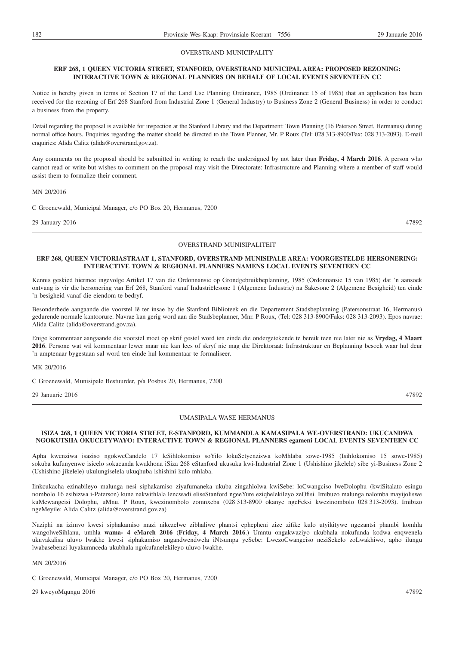#### OVERSTRAND MUNICIPALITY

#### **ERF 268, 1 QUEEN VICTORIA STREET, STANFORD, OVERSTRAND MUNICIPAL AREA: PROPOSED REZONING: INTERACTIVE TOWN & REGIONAL PLANNERS ON BEHALF OF LOCAL EVENTS SEVENTEEN CC**

Notice is hereby given in terms of Section 17 of the Land Use Planning Ordinance, 1985 (Ordinance 15 of 1985) that an application has been received for the rezoning of Erf 268 Stanford from Industrial Zone 1 (General Industry) to Business Zone 2 (General Business) in order to conduct a business from the property.

Detail regarding the proposal is available for inspection at the Stanford Library and the Department: Town Planning (16 Paterson Street, Hermanus) during normal office hours. Enquiries regarding the matter should be directed to the Town Planner, Mr. P Roux (Tel: 028 313-8900/Fax: 028 313-2093). E-mail enquiries: Alida Calitz (alida@overstrand.gov.za).

Any comments on the proposal should be submitted in writing to reach the undersigned by not later than **Friday, 4 March 2016**. A person who cannot read or write but wishes to comment on the proposal may visit the Directorate: Infrastructure and Planning where a member of staff would assist them to formalize their comment.

MN 20/2016

C Groenewald, Municipal Manager, c/o PO Box 20, Hermanus, 7200

29 January 2016 47892

#### OVERSTRAND MUNISIPALITEIT

#### **ERF 268, QUEEN VICTORIASTRAAT 1, STANFORD, OVERSTRAND MUNISIPALE AREA: VOORGESTELDE HERSONERING: INTERACTIVE TOWN & REGIONAL PLANNERS NAMENS LOCAL EVENTS SEVENTEEN CC**

Kennis geskied hiermee ingevolge Artikel 17 van die Ordonnansie op Grondgebruikbeplanning, 1985 (Ordonnansie 15 van 1985) dat 'n aansoek ontvang is vir die hersonering van Erf 268, Stanford vanaf Industriëlesone 1 (Algemene Industrie) na Sakesone 2 (Algemene Besigheid) ten einde 'n besigheid vanaf die eiendom te bedryf.

Besonderhede aangaande die voorstel lê ter insae by die Stanford Biblioteek en die Departement Stadsbeplanning (Patersonstraat 16, Hermanus) gedurende normale kantoorure. Navrae kan gerig word aan die Stadsbeplanner, Mnr. P Roux, (Tel: 028 313-8900/Faks: 028 313-2093). Epos navrae: Alida Calitz (alida@overstrand.gov.za).

Enige kommentaar aangaande die voorstel moet op skrif gestel word ten einde die ondergetekende te bereik teen nie later nie as **Vrydag, 4 Maart 2016**. Persone wat wil kommentaar lewer maar nie kan lees of skryf nie mag die Direktoraat: Infrastruktuur en Beplanning besoek waar hul deur 'n amptenaar bygestaan sal word ten einde hul kommentaar te formaliseer.

MK 20/2016

C Groenewald, Munisipale Bestuurder, p/a Posbus 20, Hermanus, 7200

29 Januarie 2016 47892

#### UMASIPALA WASE HERMANUS

#### **ISIZA 268, 1 QUEEN VICTORIA STREET, E-STANFORD, KUMMANDLA KAMASIPALA WE-OVERSTRAND: UKUCANDWA NGOKUTSHA OKUCETYWAYO: INTERACTIVE TOWN & REGIONAL PLANNERS egameni LOCAL EVENTS SEVENTEEN CC**

Apha kwenziwa isaziso ngokweCandelo 17 leSihlokomiso soYilo lokuSetyenziswa koMhlaba sowe-1985 (Isihlokomiso 15 sowe-1985) sokuba kufunyenwe isicelo sokucanda kwakhona iSiza 268 eStanford ukusuka kwi-Industrial Zone 1 (Ushishino jikelele) sibe yi-Business Zone 2 (Ushishino jikelele) ukulungiselela ukuqhuba ishishini kulo mhlaba.

Iinkcukacha ezinabileyo malunga nesi siphakamiso ziyafumaneka ukuba zingahlolwa kwiSebe: loCwangciso lweDolophu (kwiSitalato esingu nombolo 16 esibizwa i-Paterson) kune nakwithlala lencwadi eliseStanford ngeeYure eziqhelekileyo zeOfisi. Imibuzo malunga nalomba mayijoliswe kuMcwangcisi Dolophu, uMnu. P Roux, kwezinombolo zomnxeba (028 313-8900 okanye ngeFeksi kwezinombolo 028 313-2093). Imibizo ngeMeyile: Alida Calitz (alida@overstrand.gov.za)

Naziphi na izimvo kwesi siphakamiso mazi nikezelwe zibhaliwe phantsi ephepheni zize zifike kulo utyikitywe ngezantsi phambi komhla wangolweSihlanu, umhla **wama- 4 eMarch 2016** (**Friday, 4 March 2016**.) Umntu ongakwaziyo ukubhala nokufunda kodwa enqwenela ukuvakalisa uluvo lwakhe kwesi siphakamiso angandwendwela iNtsumpa yeSebe: LwezoCwangciso neziSekelo zoLwakhiwo, apho ilungu lwabasebenzi luyakumnceda ukubhala ngokufanelekileyo uluvo lwakhe.

MN 20/2016

C Groenewald, Municipal Manager, c/o PO Box 20, Hermanus, 7200

29 kweyoMqungu 2016 47892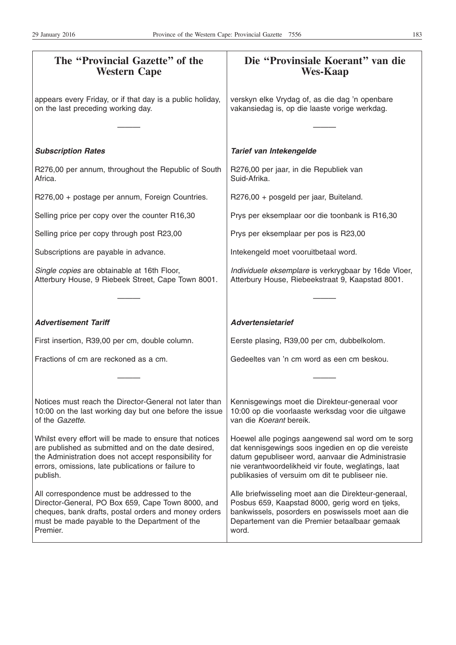| The "Provincial Gazette" of the<br><b>Western Cape</b>                                                                                                                                                                                    | Die "Provinsiale Koerant" van die<br><b>Wes-Kaap</b>                                                                                                                                                                                                                   |
|-------------------------------------------------------------------------------------------------------------------------------------------------------------------------------------------------------------------------------------------|------------------------------------------------------------------------------------------------------------------------------------------------------------------------------------------------------------------------------------------------------------------------|
| appears every Friday, or if that day is a public holiday,<br>on the last preceding working day.                                                                                                                                           | verskyn elke Vrydag of, as die dag 'n openbare<br>vakansiedag is, op die laaste vorige werkdag.                                                                                                                                                                        |
| <b>Subscription Rates</b>                                                                                                                                                                                                                 | Tarief van Intekengelde                                                                                                                                                                                                                                                |
| R276,00 per annum, throughout the Republic of South<br>Africa.                                                                                                                                                                            | R276,00 per jaar, in die Republiek van<br>Suid-Afrika.                                                                                                                                                                                                                 |
| R276,00 + postage per annum, Foreign Countries.                                                                                                                                                                                           | R276,00 + posgeld per jaar, Buiteland.                                                                                                                                                                                                                                 |
| Selling price per copy over the counter R16,30                                                                                                                                                                                            | Prys per eksemplaar oor die toonbank is R16,30                                                                                                                                                                                                                         |
| Selling price per copy through post R23,00                                                                                                                                                                                                | Prys per eksemplaar per pos is R23,00                                                                                                                                                                                                                                  |
| Subscriptions are payable in advance.                                                                                                                                                                                                     | Intekengeld moet vooruitbetaal word.                                                                                                                                                                                                                                   |
| Single copies are obtainable at 16th Floor,<br>Atterbury House, 9 Riebeek Street, Cape Town 8001.                                                                                                                                         | Individuele eksemplare is verkrygbaar by 16de Vloer,<br>Atterbury House, Riebeekstraat 9, Kaapstad 8001.                                                                                                                                                               |
|                                                                                                                                                                                                                                           |                                                                                                                                                                                                                                                                        |
| <b>Advertisement Tariff</b>                                                                                                                                                                                                               | <b>Advertensietarief</b>                                                                                                                                                                                                                                               |
| First insertion, R39,00 per cm, double column.                                                                                                                                                                                            | Eerste plasing, R39,00 per cm, dubbelkolom.                                                                                                                                                                                                                            |
| Fractions of cm are reckoned as a cm.                                                                                                                                                                                                     | Gedeeltes van 'n cm word as een cm beskou.                                                                                                                                                                                                                             |
|                                                                                                                                                                                                                                           |                                                                                                                                                                                                                                                                        |
| Notices must reach the Director-General not later than<br>10:00 on the last working day but one before the issue<br>of the Gazette.                                                                                                       | Kennisgewings moet die Direkteur-generaal voor<br>10:00 op die voorlaaste werksdag voor die uitgawe<br>van die Koerant bereik.                                                                                                                                         |
| Whilst every effort will be made to ensure that notices<br>are published as submitted and on the date desired,<br>the Administration does not accept responsibility for<br>errors, omissions, late publications or failure to<br>publish. | Hoewel alle pogings aangewend sal word om te sorg<br>dat kennisgewings soos ingedien en op die vereiste<br>datum gepubliseer word, aanvaar die Administrasie<br>nie verantwoordelikheid vir foute, weglatings, laat<br>publikasies of versuim om dit te publiseer nie. |
| All correspondence must be addressed to the<br>Director-General, PO Box 659, Cape Town 8000, and<br>cheques, bank drafts, postal orders and money orders<br>must be made payable to the Department of the<br>Premier.                     | Alle briefwisseling moet aan die Direkteur-generaal,<br>Posbus 659, Kaapstad 8000, gerig word en tjeks,<br>bankwissels, posorders en poswissels moet aan die<br>Departement van die Premier betaalbaar gemaak<br>word.                                                 |